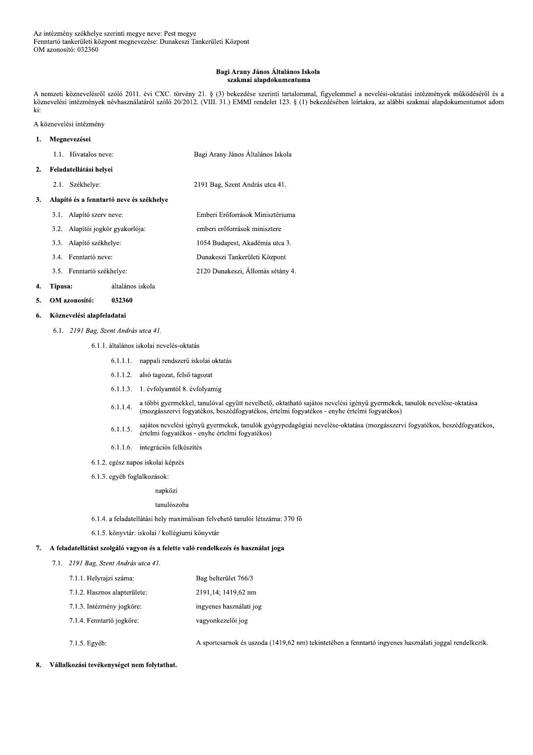### Bagi Arany János Általános Iskola szakmai alapdokumentuma

A nemzeti köznevelésről szóló 2011. évi CXC. törvény 21. § (3) bekezdése szerinti tartalommal, figyelemmel a nevelési-oktatási intézmények működéséről és a köznevelési intézmények névhasználatáról szóló 20/2012. (VIII. 31.) EMMI rendelet 123. § (1) bekezdésében leírtakra, az alábbi szakmai alapdokumentumot adom ki:

A köznevelési intézmény

#### Megnevezései  $\mathbf{1}$ .

- 1.1. Hivatalos neve: Bagi Arany János Általános Iskola
- 2. Feladatellátási helyei
	- 2.1. Székhelye: 2191 Bag, Szent András utca 41.

### 3. Alapító és a fenntartó neve és székhelye

- 3.1. Alapító szerv neve: Emberi Erőforrások Minisztériuma 3.2. Alapítói jogkör gyakorlója: emberi erőforrások minisztere 1054 Budapest, Akadémia utca 3. 3.3. Alapító székhelye: 3.4. Fenntartó neve: Dunakeszi Tankerületi Központ
- 2120 Dunakeszi, Állomás sétány 4. 3.5. Fenntartó székhelye:

#### Típusa: általános iskola 4.

OM azonosító: 032360  $\mathbf{5}$ 

#### Köznevelési alapfeladatai 6.

6.1. 2191 Bag, Szent András utca 41.

6.1.1. általános iskolai nevelés-oktatás

- 6.1.1.1. nappali rendszerű iskolai oktatás
- 6.1.1.2. alsó tagozat, felső tagozat
- 6.1.1.3. 1. évfolyamtól 8. évfolyamig
- a többi gyermekkel, tanulóval együtt nevelhető, oktatható sajátos nevelési igényű gyermekek, tanulók nevelése-oktatása  $6.1.1.4.$ (mozgásszervi fogyatékos, beszédfogyatékos, értelmi fogyatékos - enyhe értelmi fogyatékos)
- sajátos nevelési igényű gyermekek, tanulók gyógypedagógiai nevelése-oktatása (mozgásszervi fogyatékos, beszédfogyatékos,  $6.1.1.5.$ értelmi fogyatékos - enyhe értelmi fogyatékos)
- 6.1.1.6. integrációs felkészítés
- 6.1.2. egész napos iskolai képzés
- 6.1.3. egyéb foglalkozások:

napközi

### tanulószoba

- 6.1.4. a feladatellátási hely maximálisan felvehető tanulói létszáma: 370 fő
- 6.1.5. könyvtár: iskolai / kollégiumi könyvtár

### 7. A feladatellátást szolgáló vagyon és a felette való rendelkezés és használat joga

- 7.1. 2191 Bag, Szent András utca 41.
	- 7.1.1. Helyrajzi száma: Bag belterület 766/3 2191,14; 1419,62 nm 7.1.2. Hasznos alapterülete: 7.1.3. Intézmény jogköre: ingyenes használati jog 7.1.4. Fenntartó jogköre: vagyonkezelői jog
	- 7.1.5. Egyéb:

A sportcsarnok és uszoda (1419,62 nm) tekintetében a fenntartó ingyenes használati joggal rendelkezik.

#### $\mathbf{R}$ Vállalkozási tevékenységet nem folytathat.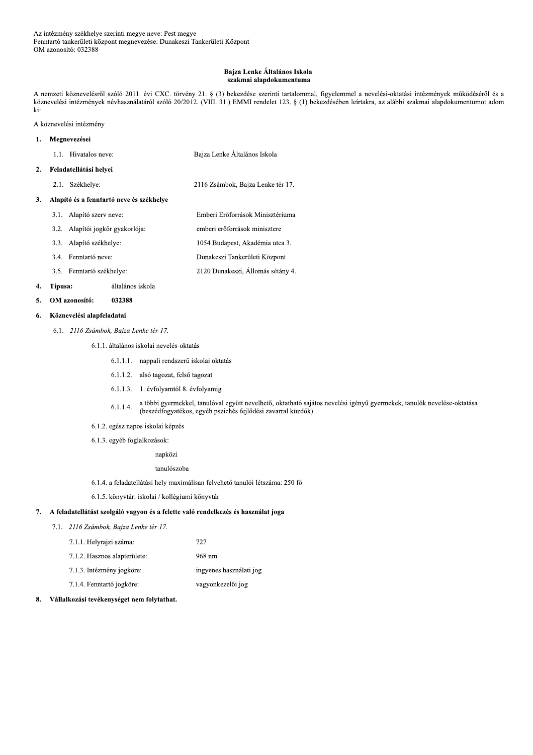### Bajza Lenke Általános Iskola szakmai alapdokumentuma

A nemzeti köznevelésről szóló 2011. évi CXC. törvény 21. § (3) bekezdése szerinti tartalommal, figyelemmel a nevelési-oktatási intézmények működéséről és a köznevelési intézmények névhasználatáról szóló 20/2012. (VIII. 31.) EMMI rendelet 123. § (1) bekezdésében leírtakra, az alábbi szakmai alapdokumentumot adom ki:

A köznevelési intézmény

### 1. Megnevezései

- 1.1. Hivatalos neve: Bajza Lenke Általános Iskola
- 2. Feladatellátási helyei
	- 2.1. Székhelye: 2116 Zsámbok, Bajza Lenke tér 17.

# 3. Alapító és a fenntartó neve és székhelye

- 3.1. Alapító szerv neve: Emberi Erőforrások Minisztériuma 3.2. Alapítói jogkör gyakorlója: emberi erőforrások minisztere 3.3. Alapító székhelye: 1054 Budapest, Akadémia utca 3. Dunakeszi Tankerületi Központ 3.4. Fenntartó neve:
- 2120 Dunakeszi, Állomás sétány 4. 3.5. Fenntartó székhelye:

#### 4. Típusa: általános iskola

OM azonosító: 032388  $5.$ 

#### Köznevelési alapfeladatai 6.

- 6.1. 2116 Zsámbok, Bajza Lenke tér 17.
	- 6.1.1. általános iskolai nevelés-oktatás
		- 6.1.1.1. nappali rendszerű iskolai oktatás
		- 6.1.1.2. alsó tagozat, felső tagozat
		- 6.1.1.3. 1. évfolyamtól 8. évfolyamig
		- a többi gyermekkel, tanulóval együtt nevelhető, oktatható sajátos nevelési igényű gyermekek, tanulók nevelése-oktatása  $6.1.1.4.$ (beszédfogyatékos, egyéb pszichés fejlődési zavarral küzdők)
	- 6.1.2. egész napos iskolai képzés
	- 6.1.3. egyéb foglalkozások:
		- napközi

tanulószoba

- 6.1.4. a feladatellátási hely maximálisan felvehető tanulói létszáma: 250 fő
- 6.1.5. könyvtár: iskolai / kollégiumi könyvtár

# 7. A feladatellátást szolgáló vagyon és a felette való rendelkezés és használat joga

7.1. 2116 Zsámbok, Bajza Lenke tér 17.

| 7.1.1. Helyrajzi száma:      | 727                     |
|------------------------------|-------------------------|
| 7.1.2. Hasznos alapterülete: | 968 nm                  |
| 7.1.3. Intézmény jogköre:    | ingyenes használati jog |
| 7.1.4. Fenntartó jogköre:    | vagyonkezelői jog       |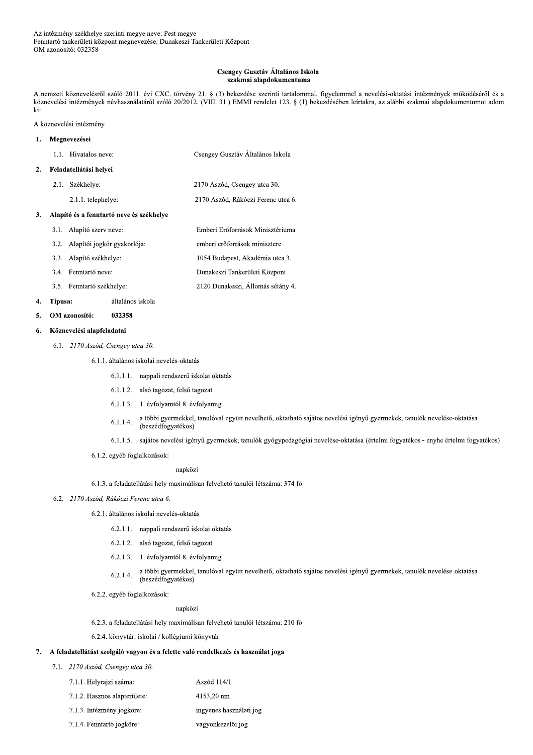### Csengey Gusztáv Általános Iskola szakmai alapdokumentuma

A nemzeti köznevelésről szóló 2011. évi CXC. törvény 21. § (3) bekezdése szerinti tartalommal, figyelemmel a nevelési-oktatási intézmények működéséről és a köznevelési intézmények névhasználatáról szóló 20/2012. (VIII. 31.) EMMI rendelet 123. § (1) bekezdésében leírtakra, az alábbi szakmai alapdokumentumot adom ki:

2170 Aszód, Rákóczi Ferenc utca 6.

A köznevelési intézmény

### Megnevezései  $\mathbf{1}$ . 1.1. Hivatalos neve: Csengey Gusztáv Általános Iskola Feladatellátási helyei  $2.$ 2.1. Székhelye: 2170 Aszód, Csengey utca 30.

2.1.1. telephelye:

# 3. Alapító és a fenntartó neve és székhelye

3.1. Alapító szerv neve: Emberi Erőforrások Minisztériuma 3.2. Alapítói jogkör gyakorlója: emberi erőforrások minisztere 3.3. Alapító székhelye: 1054 Budapest, Akadémia utca 3. 3.4. Fenntartó neve: Dunakeszi Tankerületi Központ 2120 Dunakeszi, Állomás sétány 4. 3.5. Fenntartó székhelye:

#### 4. Típusa: általános iskola

#### 5. OM azonosító: 032358

#### Köznevelési alapfeladatai 6.

6.1. 2170 Aszód, Csengey utca 30.

# 6.1.1. általános iskolai nevelés-oktatás

- 6.1.1.1. nappali rendszerű iskolai oktatás
- 6.1.1.2. alsó tagozat, felső tagozat
- 6.1.1.3. 1. évfolyamtól 8. évfolyamig
- a többi gyermekkel, tanulóval együtt nevelhető, oktatható sajátos nevelési igényű gyermekek, tanulók nevelése-oktatása 6.1.1.4. (beszédfogyatékos)
- 6.1.1.5. sajátos nevelési igényű gyermekek, tanulók gyógypedagógiai nevelése-oktatása (értelmi fogyatékos enyhe értelmi fogyatékos)
- 6.1.2. egyéb foglalkozások:

napközi

6.1.3. a feladatellátási hely maximálisan felvehető tanulói létszáma: 374 fő

## 6.2. 2170 Aszód, Rákóczi Ferenc utca 6.

- 6.2.1. általános iskolai nevelés-oktatás
	- 6.2.1.1. nappali rendszerű iskolai oktatás
	- 6.2.1.2. alsó tagozat, felső tagozat
	- 6.2.1.3. 1. évfolyamtól 8. évfolyamig
	- a többi gyermekkel, tanulóval együtt nevelhető, oktatható sajátos nevelési igényű gyermekek, tanulók nevelése-oktatása  $6.2.1.4.$ (beszédfogyatékos)
- 6.2.2. egyéb foglalkozások:

# napközi

6.2.3. a feladatellátási hely maximálisan felvehető tanulói létszáma: 210 fő

6.2.4. könyvtár: iskolai / kollégiumi könyvtár

# 7. A feladatellátást szolgáló vagyon és a felette való rendelkezés és használat joga

7.1. 2170 Aszód, Csengey utca 30.

| 7.1.1. Helvraizi száma:      | Aszód 114/1             |
|------------------------------|-------------------------|
| 7.1.2. Hasznos alapterülete: | 4153,20 nm              |
| 7.1.3. Intézmény jogköre:    | ingyenes használati jog |

7.1.4. Fenntartó jogköre: vagyonkezelői jog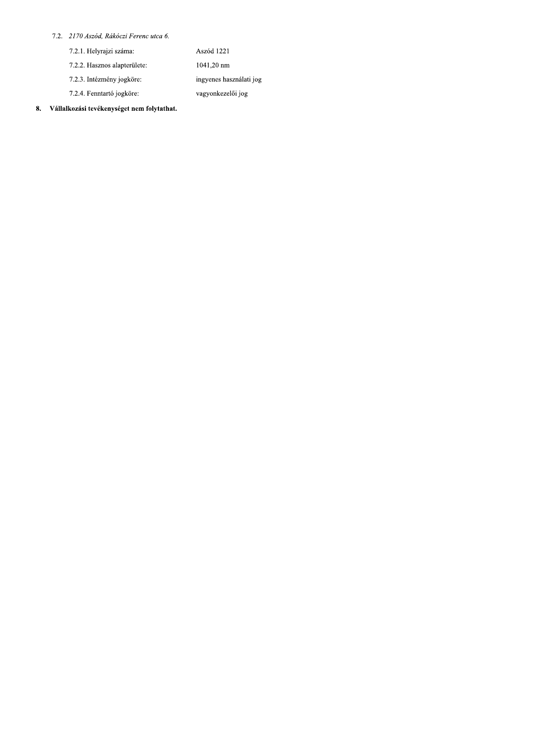# 7.2. 2170 Aszód, Rákóczi Ferenc utca 6.

| 7.2.1. Helyrajzi száma.      | Aszód 1221              |
|------------------------------|-------------------------|
| 7.2.2. Hasznos alapterülete: | 1041,20 nm              |
| 7.2.3. Intézmény jogköre:    | ingyenes használati jog |
| 7.2.4. Fenntartó jogköre:    | vagyonkezelői jog       |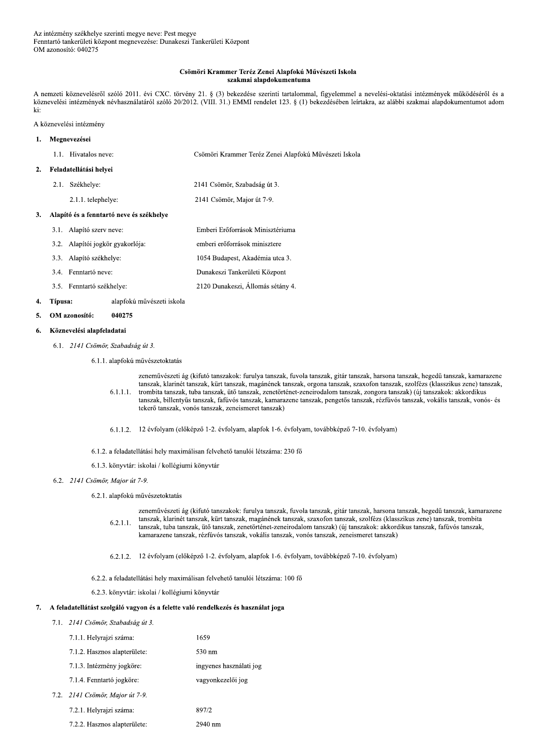### Csömöri Krammer Teréz Zenei Alapfokú Művészeti Iskola szakmai alapdokumentuma

A nemzeti köznevelésről szóló 2011. évi CXC. törvény 21. § (3) bekezdése szerinti tartalommal, figyelemmel a nevelési-oktatási intézmények működéséről és a köznevelési intézmények névhasználatáról szóló 20/2012. (VIII. 31.) EMMI rendelet 123. § (1) bekezdésében leírtakra, az alábbi szakmai alapdokumentumot adom ki:

A köznevelési intézmény

### Megnevezései  $\mathbf{1}$ . 1.1. Hivatalos neve: Csömöri Krammer Teréz Zenei Alapfokú Művészeti Iskola Feladatellátási helyei  $2.$ 2.1. Székhelye: 2141 Csömör, Szabadság út 3. 2.1.1. telephelye: 2141 Csömör, Major út 7-9. 3. Alapító és a fenntartó neve és székhelye 3.1. Alapító szerv neve: Emberi Erőforrások Minisztériuma 3.2. Alapítói jogkör gyakorlója: emberi erőforrások minisztere 3.3. Alapító székhelye: 1054 Budapest, Akadémia utca 3. 3.4. Fenntartó neve: Dunakeszi Tankerületi Központ 3.5. Fenntartó székhelye: 2120 Dunakeszi, Állomás sétány 4.

#### $\overline{4}$ . Típusa: alapfokú művészeti iskola

#### 5. OM azonosító: 040275

#### Köznevelési alapfeladatai 6.

6.1. 2141 Csömör, Szabadság út 3.

6.1.1. alapfokú művészetoktatás

zeneművészeti ág (kifutó tanszakok: furulya tanszak, fuvola tanszak, gitár tanszak, harsona tanszak, hegedű tanszak, kamarazene tanszak, klarinét tanszak, kürt tanszak, magánének tanszak, orgona tanszak, szaxofon tanszak, szolfézs (klasszikus zene) tanszak,  $6.1.1.1.$ trombita tanszak, tuba tanszak, ütő tanszak, zenetörténet-zeneirodalom tanszak, zongora tanszak) (új tanszakok: akkordikus tanszak, billentyűs tanszak, fafúvós tanszak, kamarazene tanszak, pengetős tanszak, rézfúvós tanszak, vokális tanszak, vonós- és tekerő tanszak, vonós tanszak, zeneismeret tanszak)

- 6.1.1.2. 12 évfolyam (előképző 1-2. évfolyam, alapfok 1-6. évfolyam, továbbképző 7-10. évfolyam)
- 6.1.2. a feladatellátási hely maximálisan felvehető tanulói létszáma: 230 fő
- 6.1.3. könyvtár: iskolai / kollégiumi könyvtár
- 6.2. 2141 Csömör, Major út 7-9.
	- 6.2.1. alapfokú művészetoktatás

zeneművészeti ág (kifutó tanszakok: furulya tanszak, fuvola tanszak, gitár tanszak, harsona tanszak, hegedű tanszak, kamarazene tanszak, klarinét tanszak, kürt tanszak, magánének tanszak, szaxofon tanszak, szolfézs (klasszikus zene) tanszak, trombita  $6.2.1.1.$ tanszak, tuba tanszak, ütő tanszak, zenetörténet-zeneirodalom tanszak) (új tanszakok; akkordikus tanszak, fafúvós tanszak, kamarazene tanszak, rézfúvós tanszak, vokális tanszak, vonós tanszak, zeneismeret tanszak)

- 6.2.1.2. 12 évfolyam (előképző 1-2. évfolyam, alapfok 1-6. évfolyam, továbbképző 7-10. évfolyam)
- 6.2.2. a feladatellátási hely maximálisan felvehető tanulói létszáma: 100 fő
- 6.2.3. könyvtár: iskolai / kollégiumi könyvtár

## 7. A feladatellátást szolgáló vagyon és a felette való rendelkezés és használat joga

7.1. 2141 Csömör, Szabadság út 3.

| 7.1.1. Helyrajzi száma:         | 1659                    |
|---------------------------------|-------------------------|
| 7.1.2. Hasznos alapterülete:    | 530 nm                  |
| 7.1.3. Intézmény jogköre:       | ingyenes használati jog |
| 7.1.4. Fenntartó jogköre:       | vagyonkezelői jog       |
| 7.2. 2141 Csömör, Major út 7-9. |                         |
| 7.2.1. Helyrajzi száma:         | 897/2                   |

7.2.2. Hasznos alapterülete: 2940 nm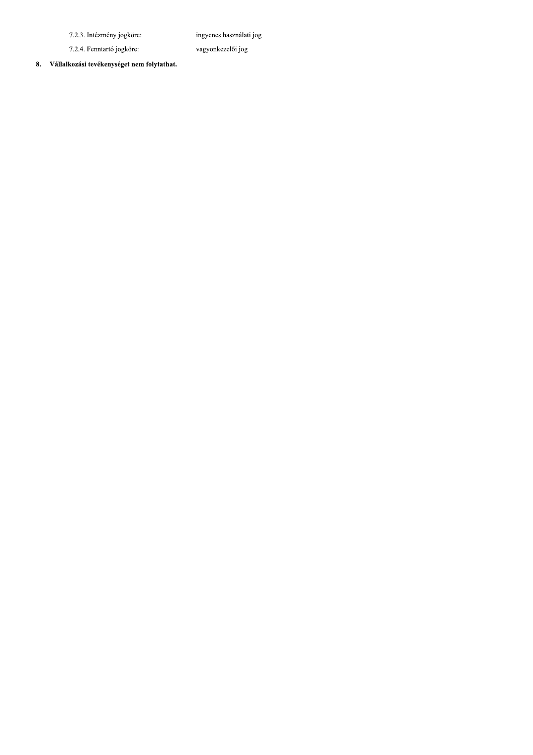7.2.3. Intézmény jogköre:

ingyenes használati jog

vagyonkezelői jog

7.2.4. Fenntartó jogköre: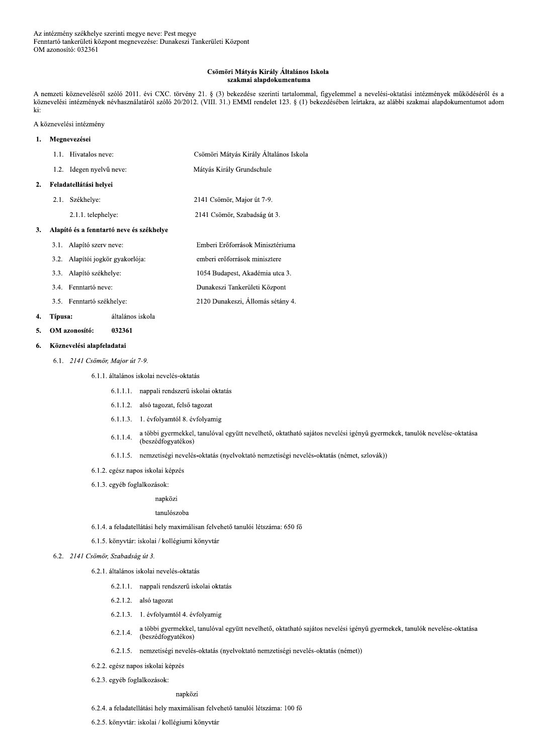### Csömöri Mátyás Király Általános Iskola szakmai alapdokumentuma

A nemzeti köznevelésről szóló 2011. évi CXC. törvény 21. § (3) bekezdése szerinti tartalommal, figyelemmel a nevelési-oktatási intézmények működéséről és a köznevelési intézmények névhasználatáról szóló 20/2012. (VIII. 31.) EMMI rendelet 123. § (1) bekezdésében leírtakra, az alábbi szakmai alapdokumentumot adom ki:

A köznevelési intézmény

| 1. | Megnevezései |                                          |                                        |
|----|--------------|------------------------------------------|----------------------------------------|
|    |              | 1.1. Hivatalos neve:                     | Csömöri Mátyás Király Általános Iskola |
|    |              | 1.2. Idegen nyelvű neve:                 | Mátyás Király Grundschule              |
| 2. |              | Feladatellátási helyei                   |                                        |
|    | 2.1.         | Székhelye:                               | 2141 Csömör, Major út 7-9.             |
|    |              | 2.1.1. telephelye:                       | 2141 Csömör, Szabadság út 3.           |
| 3. |              | Alapító és a fenntartó neve és székhelye |                                        |
|    | 3.1.         | Alapító szerv neve:                      | Emberi Erőforrások Minisztériuma       |
|    |              | 3.2. Alapítói jogkör gyakorlója:         | emberi erőforrások minisztere          |
|    |              | 3.3. Alapító székhelye:                  | 1054 Budapest, Akadémia utca 3.        |
|    |              | 3.4. Fenntartó neve:                     | Dunakeszi Tankerületi Központ          |

3.5. Fenntartó székhelye:

#### 4. Típusa: általános iskola

032361  $\overline{5}$ . OM azonosító:

#### Köznevelési alapfeladatai 6.

- 6.1. 2141 Csömör, Major út 7-9.
	- 6.1.1. általános iskolai nevelés-oktatás
		- 6.1.1.1. nappali rendszerű iskolai oktatás
		- 6.1.1.2. alsó tagozat, felső tagozat
		- 6.1.1.3. 1. évfolyamtól 8. évfolyamig
		- a többi gyermekkel, tanulóval együtt nevelhető, oktatható sajátos nevelési igényű gyermekek, tanulók nevelése-oktatása  $6.1.1.4.$ (beszédfogyatékos)
		- 6.1.1.5. nemzetiségi nevelés-oktatás (nyelvoktató nemzetiségi nevelés-oktatás (német, szlovák))

2120 Dunakeszi, Állomás sétány 4.

- 6.1.2. egész napos iskolai képzés
- 6.1.3. egyéb foglalkozások:

napközi

### tanulószoba

- 6.1.4. a feladatellátási hely maximálisan felvehető tanulói létszáma: 650 fő
- 6.1.5. könyvtár: iskolai / kollégiumi könyvtár

## 6.2. 2141 Csömör, Szabadság út 3.

- 6.2.1. általános iskolai nevelés-oktatás
	- 6.2.1.1. nappali rendszerű iskolai oktatás
	- 6.2.1.2. alsó tagozat
	- 6.2.1.3. 1. évfolyamtól 4. évfolyamig
	- a többi gyermekkel, tanulóval együtt nevelhető, oktatható sajátos nevelési igényű gyermekek, tanulók nevelése-oktatása  $6.2.1.4.$ (beszédfogyatékos)
	- 6.2.1.5. nemzetiségi nevelés-oktatás (nyelvoktató nemzetiségi nevelés-oktatás (német))
- 6.2.2. egész napos iskolai képzés
- 6.2.3. egyéb foglalkozások:

napközi

- 6.2.4. a feladatellátási hely maximálisan felvehető tanulói létszáma: 100 fő
- 6.2.5. könyvtár: iskolai / kollégiumi könyvtár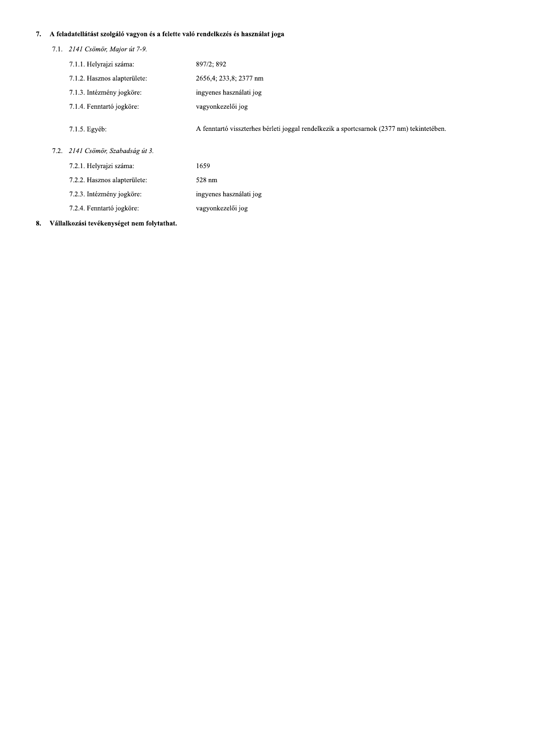# 7. – A feladatellatast szolgalo vagyon és a felette való rendelkezés és használa

- 
- 29 A feladatellátást szolgáló vagyon és a felette való rendelkezés és használat joga<br>
2.1. 2. *2.141 Csömör, Major út 7-9.*<br>
2. 7.1.1. Helyrajzi száma:<br>
2. 897/2; 892<br>
2. 7.1.2. Hasznos alapterülete:<br>
2. 2656,4; 233,8; 237 7.1.5. Egyéb: A fenntartó visszterhes bérleti joggal rendelkezik a sportcsarnok (2377 nm) tekintetében. 7.2. 2141 Csömör, Szabadság út 3. 7.2.1. Helyrajzi száma: 1659 7.2.2. Hasznos alapterülete: 528 nm 7.2.3. Intézmény jogköre: ingyenes használati jog 7.2.4. Fenntartó jogköre: vagyonkezelői jog
- 8. Vallalkozası tevekenyseget nem folytathat.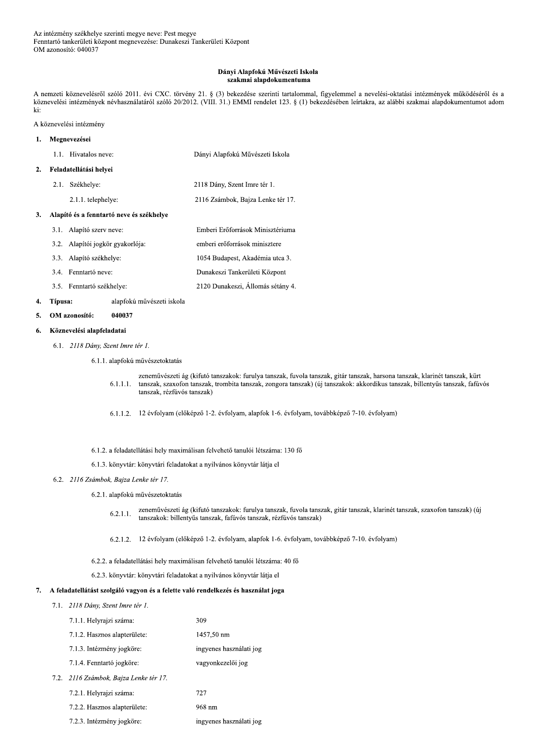### Dányi Alapfokú Művészeti Iskola szakmai alapdokumentuma

A nemzeti köznevelésről szóló 2011. évi CXC. törvény 21. § (3) bekezdése szerinti tartalommal, figyelemmel a nevelési-oktatási intézmények működéséről és a köznevelési intézmények névhasználatáról szóló 20/2012. (VIII. 31.) EMMI rendelet 123. § (1) bekezdésében leírtakra, az alábbi szakmai alapdokumentumot adom ki:

A köznevelési intézmény

### Megnevezései  $\mathbf{1}$ . 1.1. Hivatalos neve: Dányi Alapfokú Művészeti Iskola

### Feladatellátási helyei  $2.$ 2.1. Székhelye: 2118 Dány, Szent Imre tér 1. 2.1.1. telephelye: 2116 Zsámbok, Bajza Lenke tér 17.

#### Alapító és a fenntartó neve és székhelye  $3.$

| 3.1. Alapító szerv neve:         | Emberi Erőforrások Minisztériuma  |
|----------------------------------|-----------------------------------|
| 3.2. Alapítói jogkör gyakorlója: | emberi erőforrások minisztere     |
| 3.3. Alapító székhelye:          | 1054 Budapest, Akadémia utca 3.   |
| 3.4. Fenntartó neve:             | Dunakeszi Tankerületi Központ     |
| 3.5. Fenntartó székhelye:        | 2120 Dunakeszi, Állomás sétány 4. |

#### $\overline{4}$ . Típusa: alapfokú művészeti iskola

#### OM azonosító: 040037  $\mathbf{5}$ .

#### Köznevelési alapfeladatai 6.

6.1. 2118 Dány, Szent Imre tér 1.

6.1.1. alapfokú művészetoktatás

- zeneművészeti ág (kifutó tanszakok: furulya tanszak, fuvola tanszak, gitár tanszak, harsona tanszak, klarinét tanszak, kürt  $6.1.1.1.$ tanszak, szaxofon tanszak, trombita tanszak, zongora tanszak) (új tanszakok: akkordikus tanszak, billentyűs tanszak, fafúvós tanszak, rézfúvós tanszak)
- 6.1.1.2. 12 évfolyam (előképző 1-2. évfolyam, alapfok 1-6. évfolyam, továbbképző 7-10. évfolyam)
- 6.1.2. a feladatellátási hely maximálisan felvehető tanulói létszáma: 130 fő
- 6.1.3. könyvtár: könyvtári feladatokat a nyilvános könyvtár látja el

# 6.2. 2116 Zsámbok, Bajza Lenke tér 17.

- 6.2.1. alapfokú művészetoktatás
	- zeneművészeti ág (kifutó tanszakok: furulya tanszak, fuvola tanszak, gitár tanszak, klarinét tanszak, szaxofon tanszak) (új  $6.2.1.1.$ tanszakok: billentyűs tanszak, fafúvós tanszak, rézfúvós tanszak)

6.2.1.2. 12 évfolyam (előképző 1-2. évfolyam, alapfok 1-6. évfolyam, továbbképző 7-10. évfolyam)

6.2.2. a feladatellátási hely maximálisan felvehető tanulói létszáma: 40 fő

6.2.3. könyvtár: könyvtári feladatokat a nyilvános könyvtár látja el

## 7. A feladatellátást szolgáló vagyon és a felette való rendelkezés és használat joga

7.1. 2118 Dány, Szent Imre tér 1.

 $7.2.$ 

| 7.1.1. Helyrajzi száma:           | 309                     |
|-----------------------------------|-------------------------|
| 7.1.2. Hasznos alapterülete:      | 1457,50 nm              |
| 7.1.3. Intézmény jogköre:         | ingyenes használati jog |
| 7.1.4. Fenntartó jogköre:         | vagyonkezelői jog       |
| 2116 Zsámbok, Bajza Lenke tér 17. |                         |
| 7.2.1. Helyrajzi száma:           | 727                     |
| 7.2.2. Hasznos alapterülete:      | 968 nm                  |

7.2.3. Intézmény jogköre: ingyenes használati jog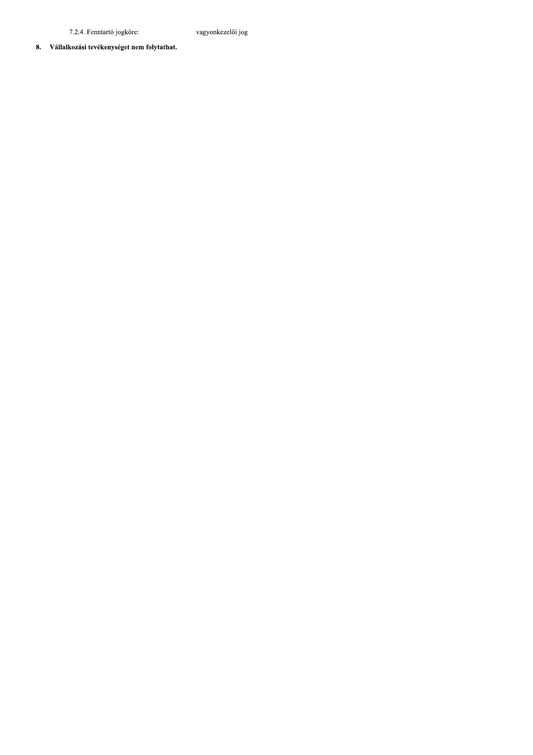7.2.4. Fenntartó jogköre:

vagyonkezelői jog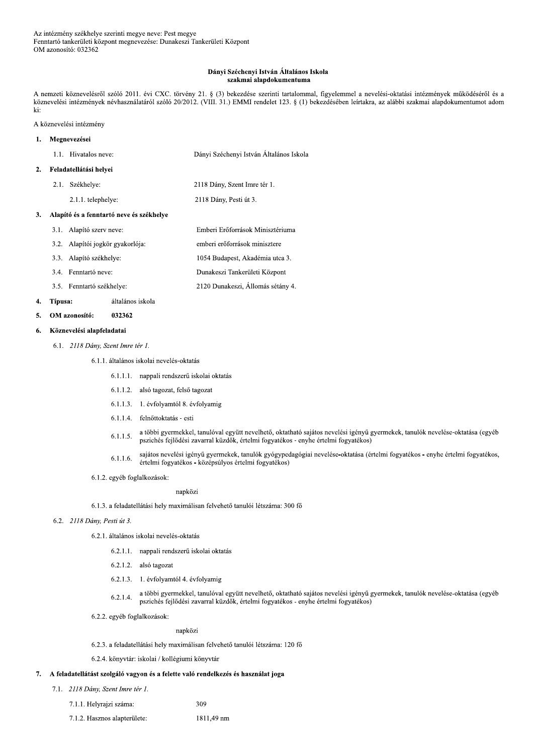### Dányi Széchenyi István Általános Iskola szakmai alapdokumentuma

A nemzeti köznevelésről szóló 2011. évi CXC. törvény 21. § (3) bekezdése szerinti tartalommal, figyelemmel a nevelési-oktatási intézmények működéséről és a köznevelési intézmények névhasználatáról szóló 20/2012. (VIII. 31.) EMMI rendelet 123. § (1) bekezdésében leírtakra, az alábbi szakmai alapdokumentumot adom ki:

1054 Budapest, Akadémia utca 3.

2120 Dunakeszi, Állomás sétány 4.

### A köznevelési intézmény

#### Megnevezései  $\mathbf{1}$ . 1.1. Hivatalos neve: Dányi Széchenyi István Általános Iskola

| 2.1. | Székhelye:            | 2118 Dány, Szent Imre tér 1.                                                                                                       |
|------|-----------------------|------------------------------------------------------------------------------------------------------------------------------------|
|      | $2.1.1$ . telephelye: | 2118 Dány, Pesti út 3.                                                                                                             |
|      |                       |                                                                                                                                    |
|      |                       | Emberi Erőforrások Minisztériuma                                                                                                   |
|      |                       | emberi erőforrások minisztere                                                                                                      |
|      |                       | Feladatellátási helyei<br>Alapító és a fenntartó neve és székhelve<br>3.1. Alapító szerv neve:<br>3.2. Alapítói jogkör gyakorlója: |

- 3.3. Alapító székhelye:
- 3.4. Fenntartó neve: Dunakeszi Tankerületi Központ
- 3.5. Fenntartó székhelye:

#### $\overline{4}$ . Típusa: általános iskola

#### 5. OM azonosító: 032362

#### Köznevelési alapfeladatai 6.

6.1. 2118 Dány, Szent Imre tér 1.

## 6.1.1. általános iskolai nevelés-oktatás

- 6.1.1.1. nappali rendszerű iskolai oktatás
- 6.1.1.2. alsó tagozat, felső tagozat
- 6.1.1.3. 1. évfolyamtól 8. évfolyamig
- 6.1.1.4. felnőttoktatás esti
- a többi gyermekkel, tanulóval együtt nevelhető, oktatható sajátos nevelési igényű gyermekek, tanulók nevelése-oktatása (egyéb  $6.1.1.5.$ pszichés fejlődési zavarral küzdők, értelmi fogyatékos - enyhe értelmi fogyatékos)
- sajátos nevelési igényű gyermekek, tanulók gyógypedagógiai nevelése-oktatása (értelmi fogyatékos enyhe értelmi fogyatékos,  $6.1.1.6.$ értelmi fogyatékos - középsúlyos értelmi fogyatékos)
- 6.1.2. egyéb foglalkozások:

## napközi

6.1.3. a feladatellátási hely maximálisan felvehető tanulói létszáma: 300 fő

- 6.2. 2118 Dány, Pesti út 3.
	- 6.2.1. általános iskolai nevelés-oktatás
		- 6.2.1.1. nappali rendszerű iskolai oktatás
		- 6.2.1.2. alsó tagozat
		- 6.2.1.3. 1. évfolyamtól 4. évfolyamig
		- a többi gyermekkel, tanulóval együtt nevelhető, oktatható sajátos nevelési igényű gyermekek, tanulók nevelése-oktatása (egyéb  $6.2.1.4.$ pszichés fejlődési zavarral küzdők, értelmi fogyatékos - enyhe értelmi fogyatékos)
	- 6.2.2. egyéb foglalkozások:

## napközi

6.2.3. a feladatellátási hely maximálisan felvehető tanulói létszáma: 120 fő

309

6.2.4. könyvtár: iskolai / kollégiumi könyvtár

#### 7. A feladatellátást szolgáló vagyon és a felette való rendelkezés és használat joga

- 7.1. 2118 Dány, Szent Imre tér 1.
	- 7.1.1. Helyrajzi száma:
	- 7.1.2. Hasznos alapterülete: 1811,49 nm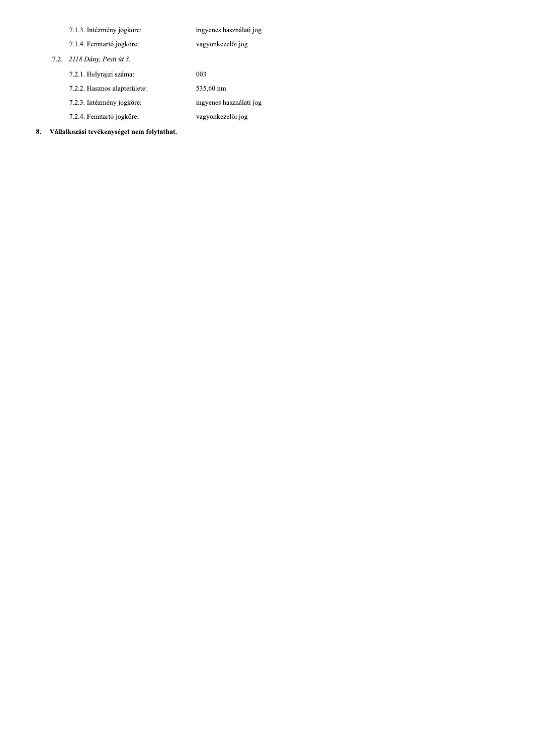| 7.1.3. Intézmény jogköre:    | ingyenes használati jog |
|------------------------------|-------------------------|
| 7.1.4. Fenntartó jogköre:    | vagyonkezelői jog       |
| 7.2. 2118 Dány, Pesti út 3.  |                         |
| 7.2.1. Helyrajzi száma.      | 003                     |
| 7.2.2. Hasznos alapterülete: | 535,60 nm               |
| 7.2.3. Intézmény jogköre:    | ingyenes használati jog |

vagyonkezelői jog

7.2.4. Fenntartó jogköre: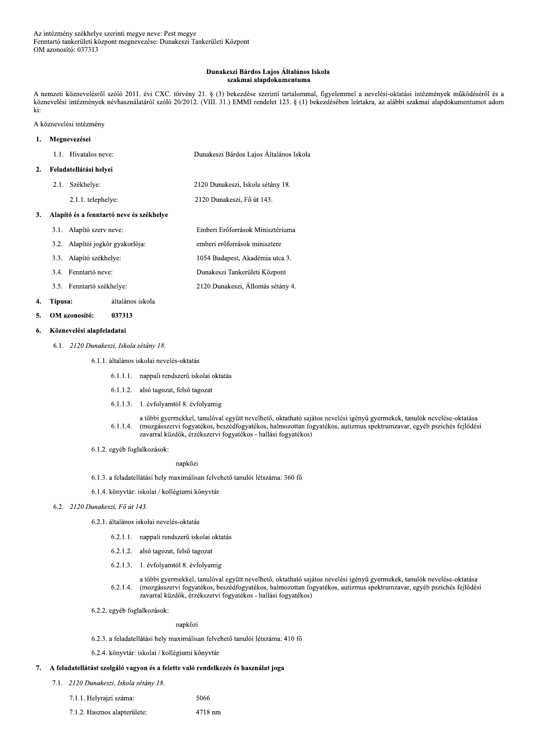### Dunakeszi Bárdos Lajos Általános Iskola szakmai alapdokumentuma

A nemzeti köznevelésről szóló 2011. évi CXC. törvény 21. § (3) bekezdése szerinti tartalommal, figyelemmel a nevelési-oktatási intézmények működéséről és a köznevelési intézmények névhasználatáról szóló 20/2012. (VIII. 31.) EMMI rendelet 123. § (1) bekezdésében leírtakra, az alábbi szakmai alapdokumentumot adom ki:

A köznevelési intézmény

### Megnevezései  $\mathbf{1}$ . 1.1. Hivatalos neve: Dunakeszi Bárdos Lajos Általános Iskola Feladatellátási helyei  $2.$

2.1. Székhelye:

2120 Dunakeszi, Fő út 143.

2120 Dunakeszi, Iskola sétány 18.

# 3. Alapító és a fenntartó neve és székhelye

2.1.1. telephelye:

- 3.1. Alapító szerv neve: Emberi Erőforrások Minisztériuma 3.2. Alapítói jogkör gyakorlója:
- emberi erőforrások minisztere 3.3. Alapító székhelye: 1054 Budapest, Akadémia utca 3.
- 3.4. Fenntartó neve: Dunakeszi Tankerületi Központ
- 3.5. Fenntartó székhelye: 2120 Dunakeszi, Állomás sétány 4.

#### $\overline{4}$ . Típusa: általános iskola

#### OM azonosító: 5. 037313

#### Köznevelési alapfeladatai 6.

6.1. 2120 Dunakeszi, Iskola sétány 18.

6.1.1. általános iskolai nevelés-oktatás

- 6.1.1.1. nappali rendszerű iskolai oktatás
- 6.1.1.2. alsó tagozat, felső tagozat
- 6.1.1.3. 1. évfolyamtól 8. évfolyamig
- a többi gyermekkel, tanulóval együtt nevelhető, oktatható sajátos nevelési igényű gyermekek, tanulók nevelése-oktatása  $6.1.1.4.$ (mozgásszervi fogyatékos, beszédfogyatékos, halmozottan fogyatékos, autizmus spektrumzavar, egyéb pszichés fejlődési zavarral küzdők, érzékszervi fogyatékos - hallási fogyatékos)
- 6.1.2. egyéb foglalkozások:

# napközi

- 6.1.3. a feladatellátási hely maximálisan felvehető tanulói létszáma: 360 fő
- 6.1.4. könyvtár: iskolai / kollégiumi könyvtár

# 6.2. 2120 Dunakeszi, Fő út 143.

- 6.2.1. általános iskolai nevelés-oktatás
	- 6.2.1.1. nappali rendszerű iskolai oktatás
	- 6.2.1.2. alsó tagozat, felső tagozat
	- 6.2.1.3. 1. évfolyamtól 8. évfolyamig
	- a többi gyermekkel, tanulóval együtt nevelhető, oktatható sajátos nevelési igényű gyermekek, tanulók nevelése-oktatása  $6.2.1.4.$ (mozgásszervi fogyatékos, beszédfogyatékos, halmozottan fogyatékos, autizmus spektrumzavar, egyéb pszichés fejlődési zavarral küzdők, érzékszervi fogyatékos - hallási fogyatékos)
- 6.2.2. egyéb foglalkozások:

napközi

6.2.3. a feladatellátási hely maximálisan felvehető tanulói létszáma: 410 fő

5066

6.2.4. könyvtár: iskolai / kollégiumi könyvtár

## 7. A feladatellátást szolgáló vagyon és a felette való rendelkezés és használat joga

7.1. 2120 Dunakeszi, Iskola sétány 18.

7.1.1. Helyrajzi száma:

7.1.2. Hasznos alapterülete: 4718 nm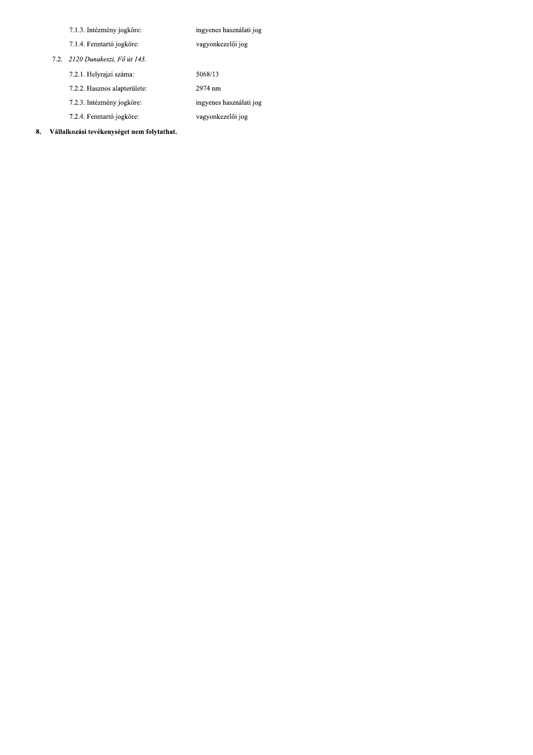| 7.1.3. Intézmény jogköre:       | ingyenes használati jog |
|---------------------------------|-------------------------|
| 7.1.4. Fenntartó jogköre:       | vagyonkezelői jog       |
| 7.2. 2120 Dunakeszi, Fő út 143. |                         |
| 7.2.1. Helyrajzi száma:         | 5068/13                 |
| 7.2.2. Hasznos alapterülete:    | 2974 nm                 |
| 7.2.3. Intézmény jogköre:       | ingyenes használati jog |
| 7.2.4. Fenntartó jogköre:       | vagyonkezelői jog       |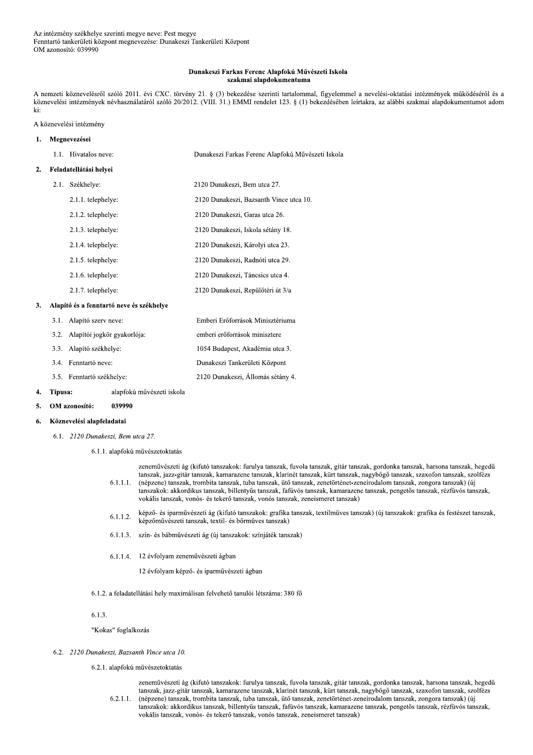### Dunakeszi Farkas Ferenc Alapfokú Művészeti Iskola szakmai alapdokumentuma

A nemzeti köznevelésről szóló 2011. évi CXC. törvény 21. § (3) bekezdése szerinti tartalommal, figyelemmel a nevelési-oktatási intézmények működéséről és a köznevelési intézmények névhasználatáról szóló 20/2012. (VIII. 31.) EMMI rendelet 123. § (1) bekezdésében leírtakra, az alábbi szakmai alapdokumentumot adom ki:

## A köznevelési intézmény

| ı. | Megnevezései |                                                             |                                                   |
|----|--------------|-------------------------------------------------------------|---------------------------------------------------|
|    |              | 1.1. Hivatalos neve:                                        | Dunakeszi Farkas Ferenc Alapfokú Művészeti Iskola |
| 2. |              | Feladatellátási helyei                                      |                                                   |
|    | 2.1.         | Székhelye:                                                  | 2120 Dunakeszi, Bem utca 27.                      |
|    |              | 2.1.1. telephelye:                                          | 2120 Dunakeszi, Bazsanth Vince utca 10.           |
|    |              | 2.1.2. telephelye:                                          | 2120 Dunakeszi, Garas utca 26.                    |
|    |              | 2.1.3. telephelye:                                          | 2120 Dunakeszi, Iskola sétány 18.                 |
|    |              | 2.1.4. telephelye:                                          | 2120 Dunakeszi, Károlyi utca 23.                  |
|    |              | 2.1.5. telephelye:                                          | 2120 Dunakeszi, Radnóti utca 29.                  |
|    |              | 2.1.6. telephelye:                                          | 2120 Dunakeszi, Táncsics utca 4.                  |
|    |              | 2.1.7. telephelye:                                          | 2120 Dunakeszi, Repülőtéri út 3/a                 |
| 3. |              | Alapító és a fenntartó neve és székhelye                    |                                                   |
|    |              | 3.1. Alapító szerv neve:                                    | Emberi Erőforrások Minisztériuma                  |
|    |              | $2.2.1$ $1.1.1$ $1.2.1.1$ $1.2.1.2.1$ $1.2.1.1.1$ $1.2.1.1$ | and and any Canada of a colorad and               |

| 3.2. Alapítoi jogkör gyakorlója: | emberi eröforrások minisztere  |
|----------------------------------|--------------------------------|
| 3.3. Alapító székhelye:          | 1054 Budapest, Akadémia utca 3 |

- 3.4. Fenntartó neve:
- 3.5. Fenntartó székhelye:

Típusa: alapfokú művészeti iskola

039990

OM azonosító:  $\overline{5}$ .

4.

#### Köznevelési alapfeladatai 6.

- 6.1. 2120 Dunakeszi, Bem utca 27.
	- 6.1.1. alapfokú művészetoktatás

| 6.1.1.1. | zeneművészeti ág (kifutó tanszakok: furulya tanszak, fuvola tanszak, gitár tanszak, gordonka tanszak, harsona tanszak, hegedű<br>tanszak, jazz-gitár tanszak, kamarazene tanszak, klarinét tanszak, kürt tanszak, nagybőgő tanszak, szaxofon tanszak, szolfézs<br>(népzene) tanszak, trombita tanszak, tuba tanszak, ütő tanszak, zenetörténet-zeneirodalom tanszak, zongora tanszak) (új<br>tanszakok: akkordikus tanszak, billentyűs tanszak, fafúvós tanszak, kamarazene tanszak, pengetős tanszak, rézfúvós tanszak,<br>vokális tanszak, vonós- és tekerő tanszak, vonós tanszak, zeneismeret tanszak) |
|----------|------------------------------------------------------------------------------------------------------------------------------------------------------------------------------------------------------------------------------------------------------------------------------------------------------------------------------------------------------------------------------------------------------------------------------------------------------------------------------------------------------------------------------------------------------------------------------------------------------------|
|          |                                                                                                                                                                                                                                                                                                                                                                                                                                                                                                                                                                                                            |
|          |                                                                                                                                                                                                                                                                                                                                                                                                                                                                                                                                                                                                            |

- képző- és iparművészeti ág (kifutó tanszakok: grafika tanszak, textilműves tanszak) (új tanszakok: grafika és festészet tanszak,  $6.1.1.2.$ képzőművészeti tanszak, textil- és bőrműves tanszak)
- 6.1.1.3. szín- és bábművészeti ág (új tanszakok: színjáték tanszak)

Dunakeszi Tankerületi Központ

2120 Dunakeszi, Állomás sétány 4.

- 6.1.1.4. 12 évfolyam zeneművészeti ágban
	- 12 évfolyam képző- és iparművészeti ágban
- 6.1.2. a feladatellátási hely maximálisan felvehető tanulói létszáma: 380 fő
- $6.1.3.$

"Kokas" foglalkozás

6.2. 2120 Dunakeszi, Bazsanth Vince utca 10.

6.2.1. alapfokú művészetoktatás

zeneművészeti ág (kifutó tanszakok: furulya tanszak, fuvola tanszak, gitár tanszak, gordonka tanszak, harsona tanszak, hegedű tanszak, jazz-gitár tanszak, kamarazene tanszak, klarinét tanszak, kürt tanszak, nagybőgő tanszak, szaxofon tanszak, szolfézs (népzene) tanszak, trombita tanszak, tuba tanszak, ütő tanszak, zenetörténet-zeneirodalom tanszak, zongora tanszak) (új  $6.2.1.1.$ tanszakok: akkordikus tanszak, billentyűs tanszak, fafúvós tanszak, kamarazene tanszak, pengetős tanszak, rézfúvós tanszak, vokális tanszak, vonós- és tekerő tanszak, vonós tanszak, zeneismeret tanszak)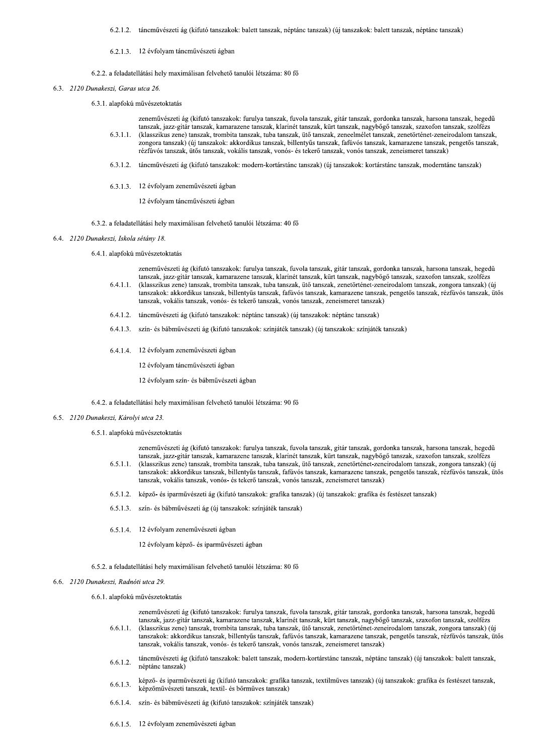6.2.1.2. táncművészeti ág (kifutó tanszakok: balett tanszak, néptánc tanszak) (új tanszakok: balett tanszak, néptánc tanszak)

### 6.2.1.3. 12 évfolyam táncművészeti ágban

6.2.2. a feladatellátási hely maximálisan felvehető tanulói létszáma: 80 fő

- 6.3. 2120 Dunakeszi, Garas utca 26.
	- 6.3.1. alapfokú művészetoktatás

zeneművészeti ág (kifutó tanszakok: furulya tanszak, fuvola tanszak, gitár tanszak, gordonka tanszak, harsona tanszak, hegedű tanszak, jazz-gitár tanszak, kamarazene tanszak, klarinét tanszak, kürt tanszak, nagybőgő tanszak, szaxofon tanszak, szolfézs  $6.3.1.1.$ (klasszikus zene) tanszak, trombita tanszak, tuba tanszak, ütő tanszak, zeneelmélet tanszak, zenetörténet-zeneirodalom tanszak, zongora tanszak) (új tanszakok: akkordikus tanszak, billentyűs tanszak, fafúvós tanszak, kamarazene tanszak, pengetős tanszak, rézfúvós tanszak, ütős tanszak, vokális tanszak, vonós- és tekerő tanszak, vonós tanszak, zeneismeret tanszak)

- 6.3.1.2. táncművészeti ág (kifutó tanszakok: modern-kortárstánc tanszak) (új tanszakok: kortárstánc tanszak, moderntánc tanszak)
- 6.3.1.3. 12 évfolyam zeneművészeti ágban

12 évfolyam táncművészeti ágban

- 6.3.2. a feladatellátási hely maximálisan felvehető tanulói létszáma: 40 fő
- 6.4. 2120 Dunakeszi, Iskola sétány 18.
	- 6.4.1. alapfokú művészetoktatás

zeneművészeti ág (kifutó tanszakok: furulya tanszak, fuvola tanszak, gitár tanszak, gordonka tanszak, harsona tanszak, hegedű tanszak, jazz-gitár tanszak, kamarazene tanszak, klarinét tanszak, kürt tanszak, nagybőgő tanszak, szaxofon tanszak, szolfézs  $6.4.1.1.$ (klasszikus zene) tanszak, trombita tanszak, tuba tanszak, ütő tanszak, zenetörténet-zeneirodalom tanszak, zongora tanszak) (új tanszakok: akkordikus tanszak, billentyűs tanszak, fafúvós tanszak, kamarazene tanszak, pengetős tanszak, rézfúvós tanszak, ütős tanszak, vokális tanszak, vonós- és tekerő tanszak, vonós tanszak, zeneismeret tanszak)

- 6.4.1.2. táncművészeti ág (kifutó tanszakok: néptánc tanszak) (új tanszakok: néptánc tanszak)
- 6.4.1.3. szín- és bábművészeti ág (kifutó tanszakok: színjáték tanszak) (új tanszakok: színjáték tanszak)
- 6.4.1.4. 12 évfolyam zeneművészeti ágban

12 évfolyam táncművészeti ágban

12 évfolyam szín- és bábművészeti ágban

6.4.2. a feladatellátási hely maximálisan felvehető tanulói létszáma: 90 fő

6.5. 2120 Dunakeszi, Károlyi utca 23.

### 6.5.1. alapfokú művészetoktatás

zeneművészeti ág (kifutó tanszakok: furulya tanszak, fuvola tanszak, gitár tanszak, gordonka tanszak, harsona tanszak, hegedű tanszak, jazz-gitár tanszak, kamarazene tanszak, klarinét tanszak, kürt tanszak, nagybőgő tanszak, szaxofon tanszak, szolfézs  $6.5.1.1$ (klasszikus zene) tanszak, trombita tanszak, tuba tanszak, ütő tanszak, zenetörténet-zeneirodalom tanszak, zongora tanszak) (új tanszakok: akkordikus tanszak, billentyűs tanszak, fafúvós tanszak, kamarazene tanszak, pengetős tanszak, rézfúvós tanszak, ütős tanszak, vokális tanszak, vonós- és tekerő tanszak, vonós tanszak, zeneismeret tanszak)

- 6.5.1.2. képző- és iparművészeti ág (kifutó tanszakok: grafika tanszak) (új tanszakok: grafika és festészet tanszak)
- 6.5.1.3. szín- és bábművészeti ág (új tanszakok: színjáték tanszak)
- 6.5.1.4. 12 évfolyam zeneművészeti ágban

12 évfolyam képző- és iparművészeti ágban

6.5.2. a feladatellátási hely maximálisan felvehető tanulói létszáma: 80 fő

- 6.6. 2120 Dunakeszi, Radnóti utca 29.
	- 6.6.1. alapfokú művészetoktatás

zeneművészeti ág (kifutó tanszakok: furulya tanszak, fuvola tanszak, gitár tanszak, gordonka tanszak, harsona tanszak, hegedű tanszak, jazz-gitár tanszak, kamarazene tanszak, klarinét tanszak, kürt tanszak, nagybőgő tanszak, szaxofon tanszak, szolfézs  $6.6.1.1.$ (klasszikus zene) tanszak, trombita tanszak, tuba tanszak, ütő tanszak, zenetörténet-zeneirodalom tanszak, zongora tanszak) (új tanszakok: akkordikus tanszak, billentyűs tanszak, fafúvós tanszak, kamarazene tanszak, pengetős tanszak, rézfúvós tanszak, ütős tanszak, vokális tanszak, vonós- és tekerő tanszak, vonós tanszak, zeneismeret tanszak)

- táncművészeti ág (kifutó tanszakok: balett tanszak, modern-kortárstánc tanszak, néptánc tanszak) (új tanszakok: balett tanszak,  $6.6.1.2.$ néptánc tanszak)
- képző- és iparművészeti ág (kifutó tanszakok: grafika tanszak, textilműves tanszak) (új tanszakok: grafika és festészet tanszak, 6.6.1.3. képzőművészeti tanszak, textil- és bőrműves tanszak)
- 6.6.1.4. szín- és bábművészeti ág (kifutó tanszakok: színjáték tanszak)
- 6.6.1.5. 12 évfolyam zeneművészeti ágban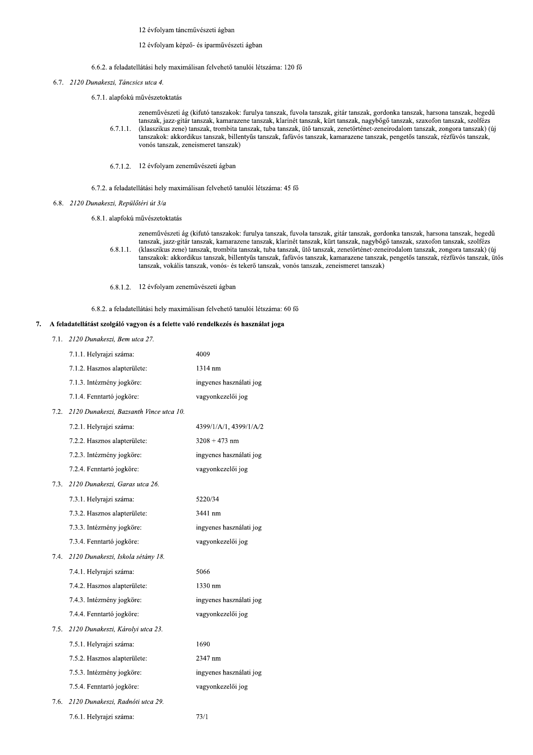12 évfolyam táncművészeti ágban

## 12 évfolyam képző- és iparművészeti ágban

6.6.2. a feladatellátási hely maximálisan felvehető tanulói létszáma: 120 fő

- 6.7. 2120 Dunakeszi, Táncsics utca 4.
	- 6.7.1. alapfokú művészetoktatás
		- zeneművészeti ág (kifutó tanszakok: furulya tanszak, fuvola tanszak, gitár tanszak, gordonka tanszak, harsona tanszak, hegedű tanszak, jazz-gitár tanszak, kamarazene tanszak, klarinét tanszak, kürt tanszak, nagybőgő tanszak, szaxofon tanszak, szolfézs (klasszikus zene) tanszak, trombita tanszak, tuba tanszak, ütő tanszak, zenetörténet-zeneirodalom tanszak, zongora tanszak) (új  $6.7.1.1.$ tanszakok: akkordikus tanszak, billentyűs tanszak, fafúvós tanszak, kamarazene tanszak, pengetős tanszak, rézfúvós tanszak, vonós tanszak, zeneismeret tanszak)
		- 6.7.1.2. 12 évfolyam zeneművészeti ágban
	- 6.7.2. a feladatellátási hely maximálisan felvehető tanulói létszáma: 45 fő
- 6.8. 2120 Dunakeszi, Repülőtéri út 3/a
	- 6.8.1. alapfokú művészetoktatás
		- zeneművészeti ág (kifutó tanszakok: furulya tanszak, fuvola tanszak, gitár tanszak, gordonka tanszak, harsona tanszak, hegedű tanszak, jazz-gitár tanszak, kamarazene tanszak, klarinét tanszak, kürt tanszak, nagybőgő tanszak, szaxofon tanszak, szolfézs (klasszikus zene) tanszak, trombita tanszak, tuba tanszak, ütő tanszak, zenetörténet-zeneirodalom tanszak, zongora tanszak) (új  $6.8.1.1.$ tanszakok: akkordikus tanszak, billentyűs tanszak, fafúvós tanszak, kamarazene tanszak, pengetős tanszak, rézfúvós tanszak, ütős tanszak, vokális tanszak, vonós- és tekerő tanszak, vonós tanszak, zeneismeret tanszak)
		- 6.8.1.2. 12 évfolyam zeneművészeti ágban

6.8.2. a feladatellátási hely maximálisan felvehető tanulói létszáma: 60 fő

## 7. A feladatellátást szolgáló vagyon és a felette való rendelkezés és használat joga

7.1. 2120 Dunakeszi, Bem utca 27.

|      | 7.1.1. Helyrajzi száma:                 | 4009                    |
|------|-----------------------------------------|-------------------------|
|      | 7.1.2. Hasznos alapterülete:            | 1314 nm                 |
|      | 7.1.3. Intézmény jogköre:               | ingyenes használati jog |
|      | 7.1.4. Fenntartó jogköre:               | vagyonkezelői jog       |
| 1.2. | 2120 Dunakeszi, Bazsanth Vince utca 10. |                         |
|      | 7.2.1. Helyrajzi száma:                 | 4399/1/A/1, 4399/1/A/2  |
|      | 7.2.2. Hasznos alapterülete:            | $3208 + 473$ nm         |
|      | 7.2.3. Intézmény jogköre:               | ingyenes használati jog |
|      | 7.2.4. Fenntartó jogköre:               | vagyonkezelői jog       |
| 7.3. | 2120 Dunakeszi, Garas utca 26.          |                         |
|      | 7.3.1. Helyrajzi száma:                 | 5220/34                 |
|      | 7.3.2. Hasznos alapterülete:            | 3441 nm                 |
|      | 7.3.3. Intézmény jogköre:               | ingyenes használati jog |
|      | 7.3.4. Fenntartó jogköre:               | vagyonkezelői jog       |
| 7.4. | 2120 Dunakeszi, Iskola sétány 18.       |                         |
|      | 7.4.1. Helyrajzi száma:                 | 5066                    |
|      | 7.4.2. Hasznos alapterülete:            | 1330 nm                 |
|      | 7.4.3. Intézmény jogköre:               | ingyenes használati jog |
|      | 7.4.4. Fenntartó jogköre:               | vagyonkezelői jog       |
| 1.5. | 2120 Dunakeszi, Károlyi utca 23.        |                         |
|      | 7.5.1. Helyrajzi száma:                 | 1690                    |
|      | 7.5.2. Hasznos alapterülete:            | 2347 nm                 |
|      | 7.5.3. Intézmény jogköre:               | ingyenes használati jog |
|      | 7.5.4. Fenntartó jogköre:               | vagyonkezelői jog       |
| 7.6. | 2120 Dunakeszi, Radnóti utca 29.        |                         |
|      | 7.6.1. Helyrajzi száma:                 | 73/1                    |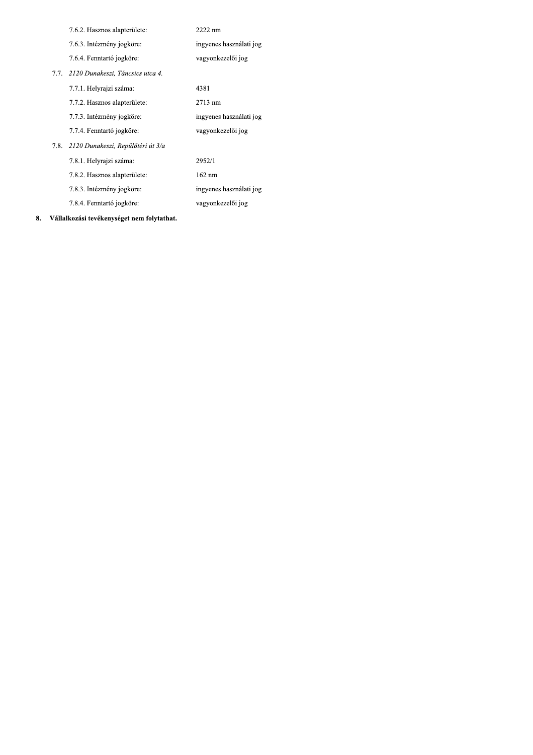| 7.6.2. Hasznos alapterülete:           | 2222 nm                 |
|----------------------------------------|-------------------------|
| 7.6.3. Intézmény jogköre:              | ingyenes használati jog |
| 7.6.4. Fenntartó jogköre:              | vagyonkezelői jog       |
| 7.7. 2120 Dunakeszi, Táncsics utca 4.  |                         |
| 7.7.1. Helyrajzi száma:                | 4381                    |
| 7.7.2. Hasznos alapterülete:           | 2713 nm                 |
| 7.7.3. Intézmény jogköre:              | ingyenes használati jog |
| 7.7.4. Fenntartó jogköre:              | vagyonkezelői jog       |
| 7.8. 2120 Dunakeszi, Repülőtéri út 3/a |                         |
| 7.8.1. Helyrajzi száma:                | 2952/1                  |
| 7.8.2. Hasznos alapterülete:           | $162 \text{ nm}$        |
| 7.8.3. Intézmény jogköre:              | ingyenes használati jog |
| 7.8.4. Fenntartó jogköre:              | vagyonkezelői jog       |
|                                        |                         |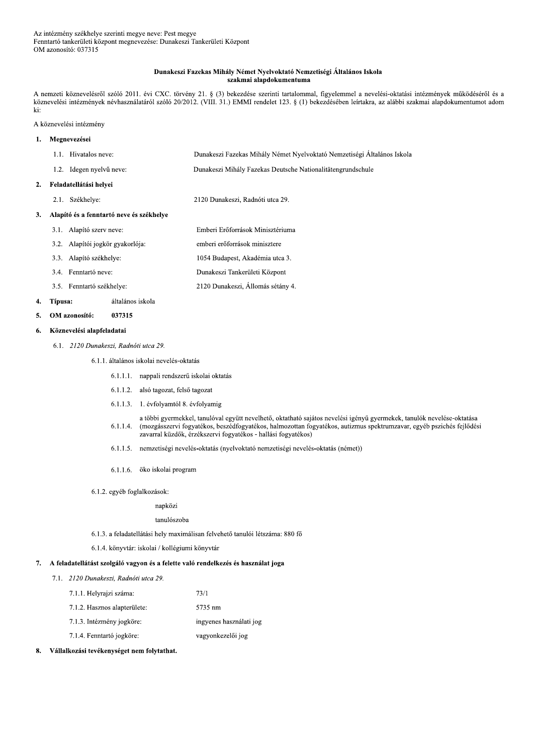## Dunakeszi Fazekas Mihály Német Nyelvoktató Nemzetiségi Általános Iskola szakmai alapdokumentuma

A nemzeti köznevelésről szóló 2011. évi CXC. törvény 21. § (3) bekezdése szerinti tartalommal, figyelemmel a nevelési-oktatási intézmények működéséről és a köznevelési intézmények névhasználatáról szóló 20/2012. (VIII. 31.) EMMI rendelet 123. § (1) bekezdésében leírtakra, az alábbi szakmai alapdokumentumot adom ki:

A köznevelési intézmény

#### $\mathbf{1}$ . Megnevezései

 $\overline{2}$ .

 $\overline{3}$ .

7.

| Hivatalos neve:<br>1.1.                  | Dunakeszi Fazekas Mihály Német Nyelvoktató Nemzetiségi Általános Iskola |  |
|------------------------------------------|-------------------------------------------------------------------------|--|
| 1.2. Idegen nyelvű neve:                 | Dunakeszi Mihály Fazekas Deutsche Nationalitätengrundschule             |  |
| Feladatellátási helyei                   |                                                                         |  |
| Székhelye:<br>2.1.                       | 2120 Dunakeszi, Radnóti utca 29.                                        |  |
| Alapító és a fenntartó neve és székhelve |                                                                         |  |
| Alapító szerv neve:<br>3.1.              | Emberi Erőforrások Minisztériuma                                        |  |
| Alapítói jogkör gyakorlója:<br>3.2.      | emberi erőforrások minisztere                                           |  |
| Alapító székhelye:<br>3.3.               | 1054 Budapest, Akadémia utca 3.                                         |  |

2120 Dunakeszi, Állomás sétány 4.

- 3.3. Alapító székhelye:
- 3.4. Fenntartó neve: Dunakeszi Tankerületi Központ
- 3.5. Fenntartó székhelye:

#### 4. Típusa: általános iskola

#### 5. OM azonosító: 037315

#### Köznevelési alapfeladatai 6.

6.1. 2120 Dunakeszi, Radnóti utca 29.

## 6.1.1. általános iskolai nevelés-oktatás

- 6.1.1.1. nappali rendszerű iskolai oktatás
- 6.1.1.2. alsó tagozat, felső tagozat
- 6.1.1.3. 1. évfolyamtól 8. évfolyamig
- a többi gyermekkel, tanulóval együtt nevelhető, oktatható sajátos nevelési igényű gyermekek, tanulók nevelése-oktatása 6.1.1.4. (mozgásszervi fogyatékos, beszédfogyatékos, halmozottan fogyatékos, autizmus spektrumzavar, egyéb pszichés fejlődési zavarral küzdők, érzékszervi fogyatékos - hallási fogyatékos)
- 6.1.1.5. nemzetiségi nevelés-oktatás (nyelvoktató nemzetiségi nevelés-oktatás (német))
- 6.1.1.6. öko iskolai program
- 6.1.2. egyéb foglalkozások:

# napközi

### tanulószoba

- 6.1.3. a feladatellátási hely maximálisan felvehető tanulói létszáma: 880 fő
- 6.1.4. könyvtár: iskolai / kollégiumi könyvtár

## A feladatellátást szolgáló vagyon és a felette való rendelkezés és használat joga

7.1. 2120 Dunakeszi, Radnóti utca 29.

| 7.1.1. Helyrajzi száma:      | 73/1                    |
|------------------------------|-------------------------|
| 7.1.2. Hasznos alapterülete: | 5735 nm                 |
| 7.1.3. Intézmény jogköre:    | ingyenes használati jog |
| 7.1.4. Fenntartó jogköre:    | vagyonkezelői jog       |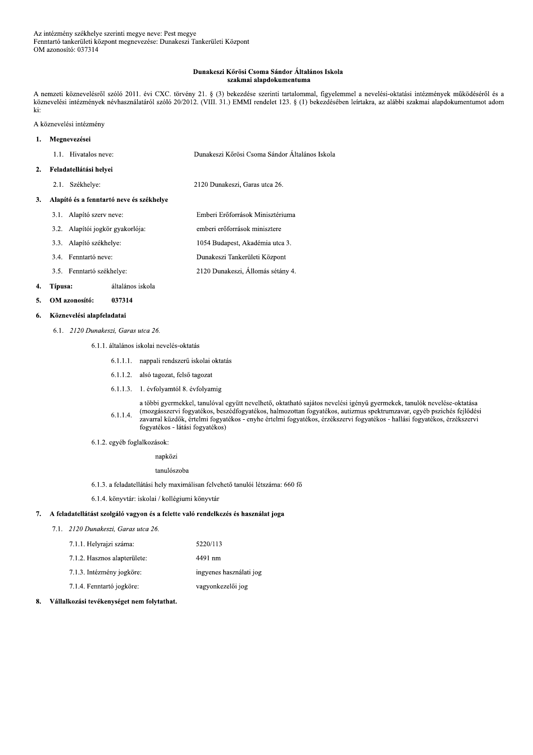### Dunakeszi Kőrösi Csoma Sándor Általános Iskola szakmai alapdokumentuma

A nemzeti köznevelésről szóló 2011. évi CXC. törvény 21. § (3) bekezdése szerinti tartalommal, figyelemmel a nevelési-oktatási intézmények működéséről és a köznevelési intézmények névhasználatáról szóló 20/2012. (VIII. 31.) EMMI rendelet 123. § (1) bekezdésében leírtakra, az alábbi szakmai alapdokumentumot adom ki:

A köznevelési intézmény

#### Megnevezései  $\mathbf{1}$ .

| 1.1. Hivatalos neve: | Dunakeszi Kőrösi Csoma Sándor Általános Iskola |
|----------------------|------------------------------------------------|
|                      |                                                |

#### Feladatellátási helyei  $2.$

2.1. Székhelye: 2120 Dunakeszi, Garas utca 26.

### 3. Alapító és a fenntartó neve és székhelye

- 3.1. Alapító szerv neve: Emberi Erőforrások Minisztériuma 3.2. Alapítói jogkör gyakorlója: emberi erőforrások minisztere 1054 Budapest, Akadémia utca 3. 3.3. Alapító székhelye: Dunakeszi Tankerületi Központ 3.4. Fenntartó neve:
- 2120 Dunakeszi, Állomás sétány 4. 3.5. Fenntartó székhelye:

#### 4. Típusa: általános iskola

OM azonosító: 037314  $5.$ 

#### Köznevelési alapfeladatai 6.

6.1. 2120 Dunakeszi, Garas utca 26.

6.1.1. általános iskolai nevelés-oktatás

- 6.1.1.1. nappali rendszerű iskolai oktatás
- 6.1.1.2. alsó tagozat, felső tagozat
- 6.1.1.3. 1. évfolyamtól 8. évfolyamig

a többi gyermekkel, tanulóval együtt nevelhető, oktatható sajátos nevelési igényű gyermekek, tanulók nevelése-oktatása (mozgásszervi fogyatékos, beszédfogyatékos, halmozottan fogyatékos, autizmus spektrumzavar, egyéb pszichés fejlődési  $6.1.1.4.$ zavarral küzdők, értelmi fogyatékos - enyhe értelmi fogyatékos, érzékszervi fogyatékos - hallási fogyatékos, érzékszervi fogyatékos - látási fogyatékos)

6.1.2. egyéb foglalkozások:

napközi

tanulószoba

- 6.1.3. a feladatellátási hely maximálisan felvehető tanulói létszáma: 660 fő
- 6.1.4. könyvtár: iskolai / kollégiumi könyvtár

#### 7. A feladatellátást szolgáló vagyon és a felette való rendelkezés és használat joga

7.1. 2120 Dunakeszi, Garas utca 26.

| 7.1.1. Helyrajzi száma:      | 5220/113                |
|------------------------------|-------------------------|
| 7.1.2. Hasznos alapterülete: | 4491 nm                 |
| 7.1.3. Intézmény jogköre:    | ingyenes használati jog |
| 7.1.4. Fenntartó jogköre:    | vagyonkezelői jog       |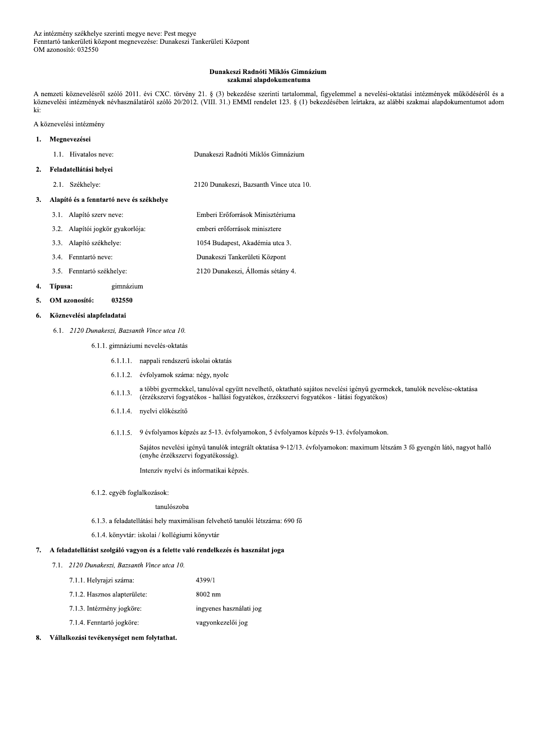### Dunakeszi Radnóti Miklós Gimnázium szakmai alapdokumentuma

A nemzeti köznevelésről szóló 2011. évi CXC. törvény 21. § (3) bekezdése szerinti tartalommal, figyelemmel a nevelési-oktatási intézmények működéséről és a köznevelési intézmények névhasználatáról szóló 20/2012. (VIII. 31.) EMMI rendelet 123. § (1) bekezdésében leírtakra, az alábbi szakmai alapdokumentumot adom ki:

A köznevelési intézmény

#### Megnevezései  $\mathbf{1}$ .

| 1.1. Hivatalos neve: | Dunakeszi Radnóti Miklós Gimnázium |
|----------------------|------------------------------------|
|                      |                                    |

#### Feladatellátási helyei  $2.$

2.1. Székhelye: 2120 Dunakeszi, Bazsanth Vince utca 10.

### 3. Alapító és a fenntartó neve és székhelye

- 3.1. Alapító szerv neve: Emberi Erőforrások Minisztériuma 3.2. Alapítói jogkör gyakorlója: emberi erőforrások minisztere
	- 1054 Budapest, Akadémia utca 3. 3.3. Alapító székhelye:
- 2120 Dunakeszi, Állomás sétány 4. 3.5. Fenntartó székhelye:

#### 4. Típusa: gimnázium

OM azonosító: 032550  $\mathbf{5}$ 

3.4. Fenntartó neve:

#### Köznevelési alapfeladatai 6.

# 6.1. 2120 Dunakeszi, Bazsanth Vince utca 10.

- 6.1.1. gimnáziumi nevelés-oktatás
	- 6.1.1.1. nappali rendszerű iskolai oktatás
	- 6.1.1.2. évfolyamok száma: négy, nyolc
	- a többi gyermekkel, tanulóval együtt nevelhető, oktatható sajátos nevelési igényű gyermekek, tanulók nevelése-oktatása  $6.1.1.3.$ (érzékszervi fogyatékos - hallási fogyatékos, érzékszervi fogyatékos - látási fogyatékos)
	- 6.1.1.4. nyelvi előkészítő
	- 6.1.1.5. 9 évfolyamos képzés az 5-13. évfolyamokon, 5 évfolyamos képzés 9-13. évfolyamokon.

Dunakeszi Tankerületi Központ

Sajátos nevelési igényű tanulók integrált oktatása 9-12/13. évfolyamokon: maximum létszám 3 fő gyengén látó, nagyot halló (enyhe érzékszervi fogyatékosság).

Intenzív nyelvi és informatikai képzés.

6.1.2. egyéb foglalkozások:

### tanulószoba

- 6.1.3. a feladatellátási hely maximálisan felvehető tanulói létszáma: 690 fő
- 6.1.4. könyvtár: iskolai / kollégiumi könyvtár

### 7. A feladatellátást szolgáló vagyon és a felette való rendelkezés és használat joga

- 7.1. 2120 Dunakeszi, Bazsanth Vince utca 10.
	- 4399/1 7.1.1. Helyrajzi száma:
	- 7.1.2. Hasznos alapterülete: 8002 nm
	- 7.1.3. Intézmény jogköre: ingyenes használati jog
	- 7.1.4. Fenntartó jogköre: vagyonkezelői jog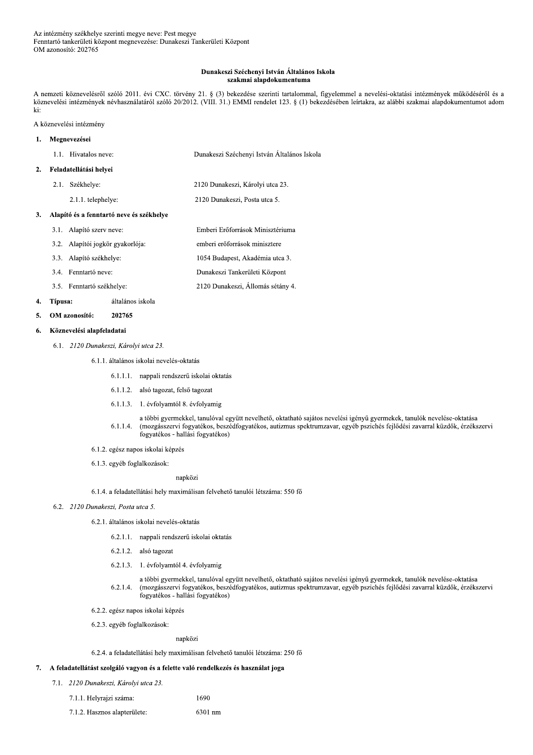### Dunakeszi Széchenyi István Általános Iskola szakmai alapdokumentuma

A nemzeti köznevelésről szóló 2011. évi CXC. törvény 21. § (3) bekezdése szerinti tartalommal, figyelemmel a nevelési-oktatási intézmények működéséről és a köznevelési intézmények névhasználatáról szóló 20/2012. (VIII. 31.) EMMI rendelet 123. § (1) bekezdésében leírtakra, az alábbi szakmai alapdokumentumot adom ki:

A köznevelési intézmény

### Megnevezései  $\mathbf{1}$ . 1.1. Hivatalos neve: Dunakeszi Széchenyi István Általános Iskola Feladatellátási helyei  $2.$

- - 2.1. Székhelye: 2120 Dunakeszi, Károlyi utca 23.
		- 2.1.1. telephelye:

2120 Dunakeszi, Posta utca 5.

Emberi Erőforrások Minisztériuma

2120 Dunakeszi, Állomás sétány 4.

# 3. Alapító és a fenntartó neve és székhelye

- 3.1. Alapító szerv neve:
- 3.2. Alapítói jogkör gyakorlója: emberi erőforrások minisztere
- 3.3. Alapító székhelye: 1054 Budapest, Akadémia utca 3.
- 3.4. Fenntartó neve: Dunakeszi Tankerületi Központ
- 3.5. Fenntartó székhelye:

#### $\overline{4}$ . Típusa: általános iskola

#### OM azonosító: 5. 202765

#### Köznevelési alapfeladatai 6.

6.1. 2120 Dunakeszi, Károlyi utca 23.

6.1.1. általános iskolai nevelés-oktatás

- 6.1.1.1. nappali rendszerű iskolai oktatás
- 6.1.1.2. alsó tagozat, felső tagozat
- 6.1.1.3. 1. évfolyamtól 8. évfolyamig
- a többi gyermekkel, tanulóval együtt nevelhető, oktatható sajátos nevelési igényű gyermekek, tanulók nevelése-oktatása (mozgásszervi fogyatékos, beszédfogyatékos, autizmus spektrumzavar, egyéb pszichés fejlődési zavarral küzdők, érzékszervi  $6.1.1.4.$ fogyatékos - hallási fogyatékos)
- 6.1.2. egész napos iskolai képzés
- 6.1.3. egyéb foglalkozások:

# napközi

- $6.1.4.$ a feladatellátási hely maximálisan felvehető tanulói létszáma: 550 fő
- 6.2. 2120 Dunakeszi, Posta utca 5.
	- 6.2.1. általános iskolai nevelés-oktatás
		- 6.2.1.1. nappali rendszerű iskolai oktatás
		- 6.2.1.2. alsó tagozat
		- 6.2.1.3. 1. évfolyamtól 4. évfolyamig
		- a többi gyermekkel, tanulóval együtt nevelhető, oktatható sajátos nevelési igényű gyermekek, tanulók nevelése-oktatása  $6.2.1.4.$ (mozgásszervi fogyatékos, beszédfogyatékos, autizmus spektrumzavar, egyéb pszichés fejlődési zavarral küzdők, érzékszervi fogyatékos - hallási fogyatékos)
	- 6.2.2. egész napos iskolai képzés
	- 6.2.3. egyéb foglalkozások:

# napközi

# 6.2.4. a feladatellátási hely maximálisan felvehető tanulói létszáma: 250 fő

1690

## 7. A feladatellátást szolgáló vagyon és a felette való rendelkezés és használat joga

- 7.1. 2120 Dunakeszi, Károlyi utca 23.
	- 7.1.1. Helyrajzi száma:
	- 7.1.2. Hasznos alapterülete: 6301 nm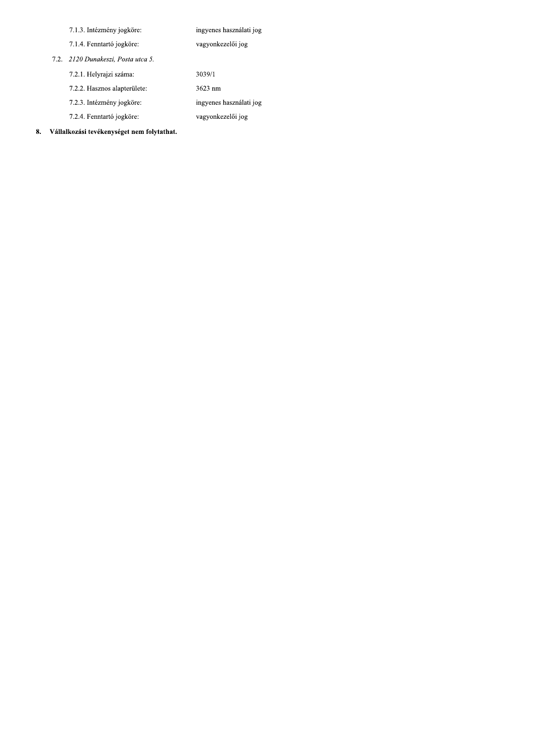| 7.1.3. Intézmény jogköre: |  |
|---------------------------|--|
|---------------------------|--|

ingyenes használati jog

ingyenes használati jog vagyonkezelői jog

vagyonkezelői jog

 $3039/1$ 

3623 nm

7.1.4. Fenntartó jogköre:

7.2. 2120 Dunakeszi, Posta utca 5.

7.2.1. Helyrajzi száma:

7.2.2. Hasznos alapterülete:

7.2.3. Intézmény jogköre:

7.2.4. Fenntartó jogköre: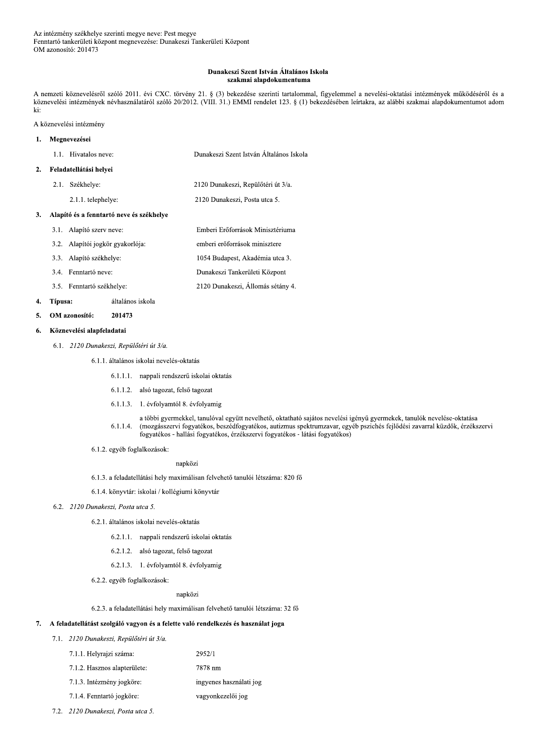### Dunakeszi Szent István Általános Iskola szakmai alapdokumentuma

A nemzeti köznevelésről szóló 2011. évi CXC. törvény 21. § (3) bekezdése szerinti tartalommal, figyelemmel a nevelési-oktatási intézmények működéséről és a köznevelési intézmények névhasználatáról szóló 20/2012. (VIII. 31.) EMMI rendelet 123. § (1) bekezdésében leírtakra, az alábbi szakmai alapdokumentumot adom ki:

A köznevelési intézmény

# 1. Megnevezései 1.1. Hivatalos neve: Dunakeszi Szent István Általános Iskola

# 2. Feladatellátási helyei

2.1. Székhelye: 2120 Dunakeszi, Repülőtéri út 3/a.

2.1.1. telephelye:

2120 Dunakeszi, Posta utca 5.

## 3. Alapító és a fenntartó neve és székhelye

3.1. Alapító szerv neve: Emberi Erőforrások Minisztériuma 3.2. Alapítói jogkör gyakorlója: emberi erőforrások minisztere 3.3. Alapító székhelye: 1054 Budapest, Akadémia utca 3. 3.4. Fenntartó neve: Dunakeszi Tankerületi Központ 2120 Dunakeszi, Állomás sétány 4. 3.5. Fenntartó székhelye:

#### $\overline{4}$ . Típusa: általános iskola

#### 5. OM azonosító: 201473

#### Köznevelési alapfeladatai 6.

6.1. 2120 Dunakeszi, Repülőtéri út 3/a.

6.1.1. általános iskolai nevelés-oktatás

- 6.1.1.1. nappali rendszerű iskolai oktatás
- 6.1.1.2. alsó tagozat, felső tagozat
- 6.1.1.3. 1. évfolyamtól 8. évfolyamig
- a többi gyermekkel, tanulóval együtt nevelhető, oktatható sajátos nevelési igényű gyermekek, tanulók nevelése-oktatása (mozgásszervi fogyatékos, beszédfogyatékos, autizmus spektrumzavar, egyéb pszichés fejlődési zavarral küzdők, érzékszervi  $6.1.1.4.$ fogyatékos - hallási fogyatékos, érzékszervi fogyatékos - látási fogyatékos)
- 6.1.2. egyéb foglalkozások:

# napközi

- 6.1.3. a feladatellátási hely maximálisan felvehető tanulói létszáma: 820 fő
- 6.1.4. könyvtár: iskolai / kollégiumi könyvtár

# 6.2. 2120 Dunakeszi, Posta utca 5.

- 6.2.1. általános iskolai nevelés-oktatás
	- 6.2.1.1. nappali rendszerű iskolai oktatás
	- 6.2.1.2. alsó tagozat, felső tagozat
	- 6.2.1.3. 1. évfolyamtól 8. évfolyamig
- 6.2.2. egyéb foglalkozások:

napközi

6.2.3. a feladatellátási hely maximálisan felvehető tanulói létszáma: 32 fő

# 7. A feladatellátást szolgáló vagyon és a felette való rendelkezés és használat joga

## 7.1. 2120 Dunakeszi, Repülőtéri út 3/a.

| 7.1.1. Helyrajzi száma:      | 2952/1                  |
|------------------------------|-------------------------|
| 7.1.2. Hasznos alapterülete: | 7878 nm                 |
| 7.1.3. Intézmény jogköre:    | ingyenes használati jog |
| 7.1.4. Fenntartó jogköre:    | vagyonkezelői jog       |
|                              |                         |

7.2. 2120 Dunakeszi, Posta utca 5.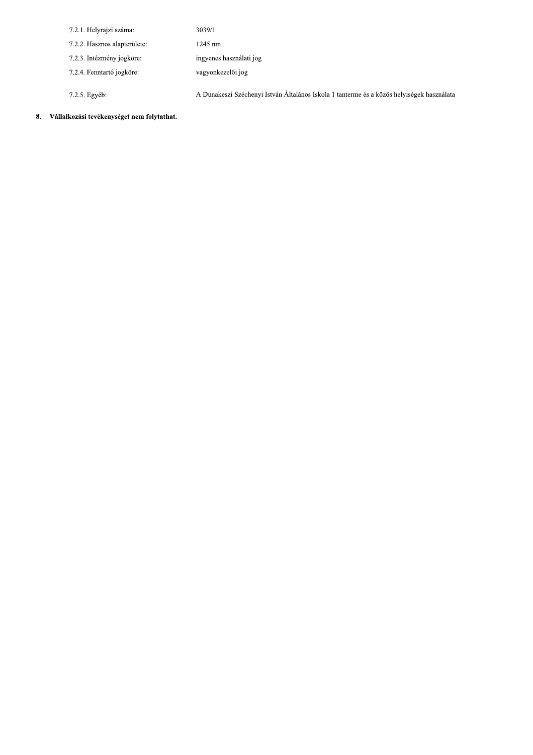| 7.2.1. Helyrajzi száma:      | 3039/1                                                                                    |
|------------------------------|-------------------------------------------------------------------------------------------|
| 7.2.2. Hasznos alapterülete: | $1245$ nm                                                                                 |
| 7.2.3. Intézmény jogköre.    | ingyenes használati jog                                                                   |
| 7.2.4. Fenntartó jogköre:    | vagyonkezelői jog                                                                         |
|                              |                                                                                           |
| 7.2.5. Egyéb:                | A Dunakeszi Széchenyi István Általános Iskola 1 tanterme és a közös helyiségek használata |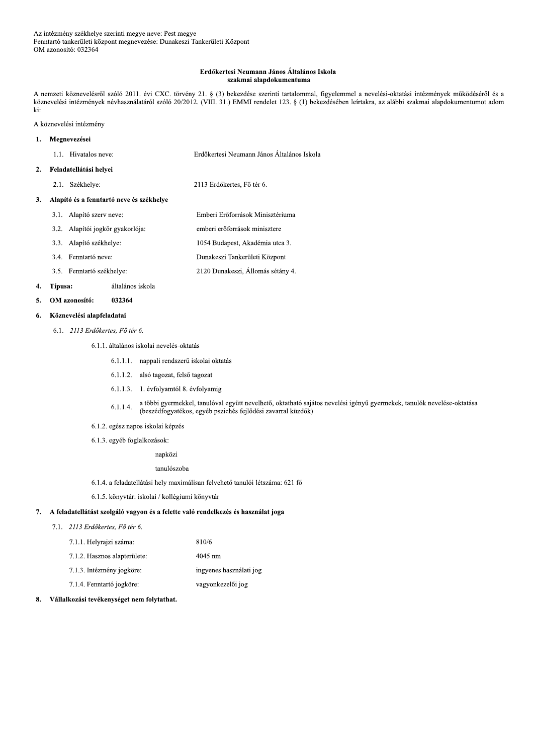## Erdőkertesi Neumann János Általános Iskola szakmai alapdokumentuma

A nemzeti köznevelésről szóló 2011. évi CXC. törvény 21. § (3) bekezdése szerinti tartalommal, figyelemmel a nevelési-oktatási intézmények működéséről és a köznevelési intézmények névhasználatáról szóló 20/2012. (VIII. 31.) EMMI rendelet 123. § (1) bekezdésében leírtakra, az alábbi szakmai alapdokumentumot adom ki:

Emberi Erőforrások Minisztériuma

1054 Budapest, Akadémia utca 3.

emberi erőforrások minisztere

A köznevelési intézmény

#### Megnevezései  $\mathbf{1}$ .

| 1.1. Hivatalos neve: | Erdőkertesi Neumann János Általános Iskola |  |
|----------------------|--------------------------------------------|--|
|                      |                                            |  |

- Feladatellátási helyei  $2.$ 
	- 2.1. Székhelye: 2113 Erdőkertes, Fő tér 6.

### 3. Alapító és a fenntartó neve és székhelye

- 3.1. Alapító szerv neve:
- 3.2. Alapítói jogkör gyakorlója:
- 3.3. Alapító székhelye:
- Dunakeszi Tankerületi Központ 3.4. Fenntartó neve:
- 2120 Dunakeszi, Állomás sétány 4. 3.5. Fenntartó székhelye:

#### 4. Típusa: általános iskola

032364 OM azonosító:  $\mathbf{5}$ 

#### Köznevelési alapfeladatai 6.

6.1. 2113 Erdőkertes. Fő tér 6.

# 6.1.1. általános iskolai nevelés-oktatás

- 6.1.1.1. nappali rendszerű iskolai oktatás
- 6.1.1.2. alsó tagozat, felső tagozat
- 6.1.1.3. 1. évfolyamtól 8. évfolyamig
- a többi gyermekkel, tanulóval együtt nevelhető, oktatható sajátos nevelési igényű gyermekek, tanulók nevelése-oktatása  $6.1.1.4.$ (beszédfogyatékos, egyéb pszichés fejlődési zavarral küzdők)
- 6.1.2. egész napos iskolai képzés
- 6.1.3. egyéb foglalkozások:
	- napközi

tanulószoba

- 6.1.4. a feladatellátási hely maximálisan felvehető tanulói létszáma: 621 fő
- 6.1.5. könyvtár: iskolai / kollégiumi könyvtár

# 7. A feladatellátást szolgáló vagyon és a felette való rendelkezés és használat joga

7.1. 2113 Erdőkertes, Fő tér 6.

| 7.1.1. Helyrajzi száma:      | 810/6                   |
|------------------------------|-------------------------|
| 7.1.2. Hasznos alapterülete: | 4045 nm                 |
| 7.1.3. Intézmény jogköre:    | ingyenes használati jog |
| 7.1.4. Fenntartó jogköre:    | vagyonkezelői jog       |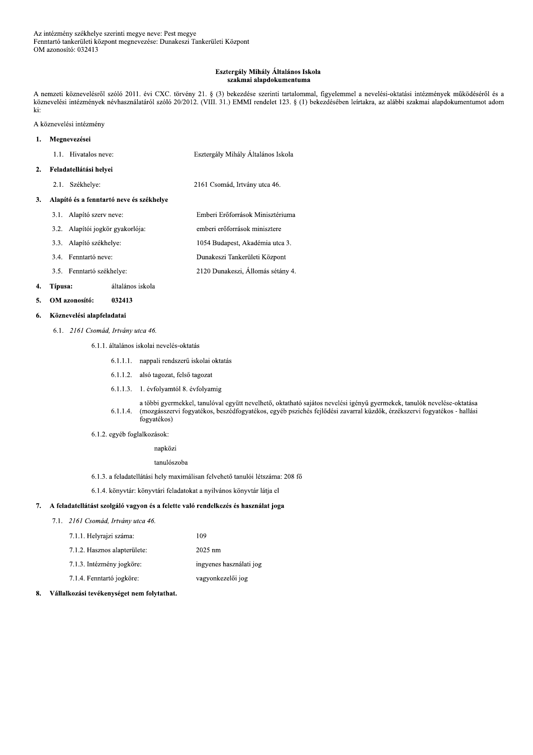### Esztergály Mihály Általános Iskola szakmai alapdokumentuma

A nemzeti köznevelésről szóló 2011. évi CXC. törvény 21. § (3) bekezdése szerinti tartalommal, figyelemmel a nevelési-oktatási intézmények működéséről és a köznevelési intézmények névhasználatáról szóló 20/2012. (VIII. 31.) EMMI rendelet 123. § (1) bekezdésében leírtakra, az alábbi szakmai alapdokumentumot adom ki:

A köznevelési intézmény

#### Megnevezései  $\mathbf{1}$ .

| 1.1. Hivatalos neve: | Esztergály Mihály Általános Iskola |  |  |
|----------------------|------------------------------------|--|--|
|                      |                                    |  |  |

#### Feladatellátási helyei  $2.$

2.1. Székhelye: 2161 Csomád, Irtvány utca 46.

### 3. Alapító és a fenntartó neve és székhelye

- 3.1. Alapító szerv neve: Emberi Erőforrások Minisztériuma 3.2. Alapítói jogkör gyakorlója: emberi erőforrások minisztere 3.3. Alapító székhelye: 1054 Budapest, Akadémia utca 3. Dunakeszi Tankerületi Központ 3.4. Fenntartó neve:
- 2120 Dunakeszi, Állomás sétány 4. 3.5. Fenntartó székhelye:

#### 4. Típusa: általános iskola

OM azonosító: 032413  $\mathbf{5}$ 

#### Köznevelési alapfeladatai 6.

6.1. 2161 Csomád, Irtvány utca 46.

6.1.1. általános iskolai nevelés-oktatás

- 6.1.1.1. nappali rendszerű iskolai oktatás
- 6.1.1.2. alsó tagozat, felső tagozat
- 6.1.1.3. 1. évfolyamtól 8. évfolyamig
- a többi gyermekkel, tanulóval együtt nevelhető, oktatható sajátos nevelési igényű gyermekek, tanulók nevelése-oktatása  $6.1.1.4.$ (mozgásszervi fogyatékos, beszédfogyatékos, egyéb pszichés fejlődési zavarral küzdők, érzékszervi fogyatékos - hallási fogyatékos)
- 6.1.2. egyéb foglalkozások:

napközi

tanulószoba

6.1.3. a feladatellátási hely maximálisan felvehető tanulói létszáma: 208 fő

6.1.4. könyvtár: könyvtári feladatokat a nyilvános könyvtár látja el

# 7. A feladatellátást szolgáló vagyon és a felette való rendelkezés és használat joga

7.1. 2161 Csomád, Irtvány utca 46.

| 7.1.1. Helyrajzi száma:      | 109                     |
|------------------------------|-------------------------|
| 7.1.2. Hasznos alapterülete: | $2025 \text{ nm}$       |
| 7.1.3. Intézmény jogköre:    | ingyenes használati jog |
| 7.1.4. Fenntartó jogköre:    | vagyonkezelői jog       |
|                              |                         |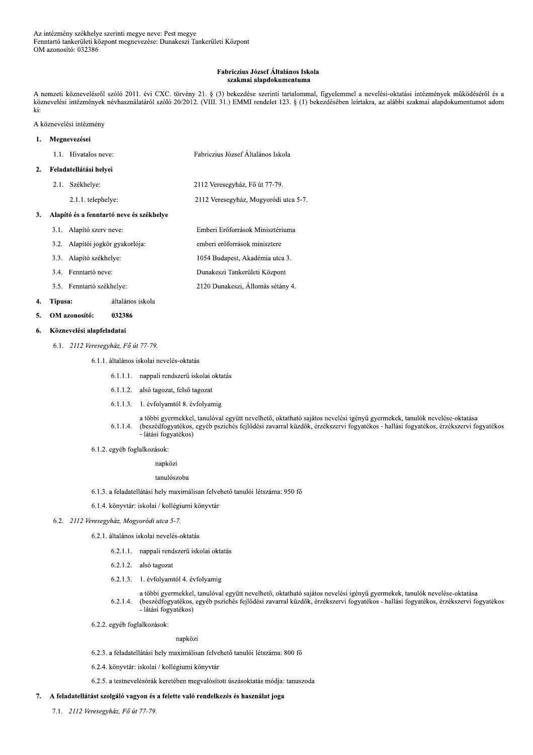### Fabriczius József Általános Iskola szakmai alapdokumentuma

A nemzeti köznevelésről szóló 2011. évi CXC. törvény 21. § (3) bekezdése szerinti tartalommal, figyelemmel a nevelési-oktatási intézmények működéséről és a köznevelési intézmények névhasználatáról szóló 20/2012. (VIII. 31.) EMMI rendelet 123. § (1) bekezdésében leírtakra, az alábbi szakmai alapdokumentumot adom ki:

2120 Dunakeszi, Állomás sétány 4.

A köznevelési intézmény

#### Megnevezései  $\mathbf{1}$ .

 $\overline{2}$ 

 $\mathbf{3}$ 

|                                          | 1.1. Hivatalos neve:        | Fabriczius József Általános Iskola    |
|------------------------------------------|-----------------------------|---------------------------------------|
|                                          | Feladatellátási helyei      |                                       |
| 2.1.                                     | Székhelye:                  | 2112 Veresegyház, Fő út 77-79.        |
|                                          | 2.1.1. telephelye:          | 2112 Veresegyház, Mogyoródi utca 5-7. |
| Alapító és a fenntartó neve és székhelye |                             |                                       |
| 3.1.                                     | Alapító szerv neve:         | Emberi Erőforrások Minisztériuma      |
| 3.2.                                     | Alapítói jogkör gyakorlója: | emberi erőforrások minisztere         |
| 3.3.                                     | Alapító székhelye:          | 1054 Budapest, Akadémia utca 3.       |
|                                          | 3.4. Fenntartó neve:        | Dunakeszi Tankerületi Központ         |
|                                          |                             |                                       |

3.5. Fenntartó székhelye: 4. Típusa: általános iskola

#### 5. OM azonosító: 032386

#### Köznevelési alapfeladatai 6.

6.1. 2112 Veresegyház, Fő út 77-79.

## 6.1.1. általános iskolai nevelés-oktatás

- 6.1.1.1. nappali rendszerű iskolai oktatás
- 6.1.1.2. alsó tagozat, felső tagozat
- 6.1.1.3. 1. évfolyamtól 8. évfolyamig
- a többi gyermekkel, tanulóval együtt nevelhető, oktatható sajátos nevelési igényű gyermekek, tanulók nevelése-oktatása (beszédfogyatékos, egyéb pszichés fejlődési zavarral küzdők, érzékszervi fogyatékos - hallási fogyatékos, érzékszervi fogyatékos  $6.1.1.4.$ - látási fogyatékos)
- 6.1.2. egyéb foglalkozások:

## napközi

### tanulószoba

- 6.1.3. a feladatellátási hely maximálisan felvehető tanulói létszáma: 950 fő
- 6.1.4. könyvtár: iskolai / kollégiumi könyvtár
- 6.2. 2112 Veresegyház, Mogyoródi utca 5-7.
	- 6.2.1. általános iskolai nevelés-oktatás
		- 6.2.1.1. nappali rendszerű iskolai oktatás
		- 6.2.1.2. alsó tagozat
		- 6.2.1.3. 1. évfolyamtól 4. évfolyamig
		- a többi gyermekkel, tanulóval együtt nevelhető, oktatható sajátos nevelési igényű gyermekek, tanulók nevelése-oktatása  $6.2.1.4.$ (beszédfogyatékos, egyéb pszichés fejlődési zavarral küzdők, érzékszervi fogyatékos - hallási fogyatékos, érzékszervi fogyatékos - látási fogyatékos)
	- 6.2.2. egyéb foglalkozások:

### napközi

- 6.2.3. a feladatellátási hely maximálisan felvehető tanulói létszáma: 800 fő
- 6.2.4. könyvtár: iskolai / kollégiumi könyvtár
- 6.2.5. a testnevelésórák keretében megvalósított úszásoktatás módja: tanuszoda

### 7. A feladatellátást szolgáló vagyon és a felette való rendelkezés és használat joga

7.1. 2112 Veresegyház, Fő út 77-79.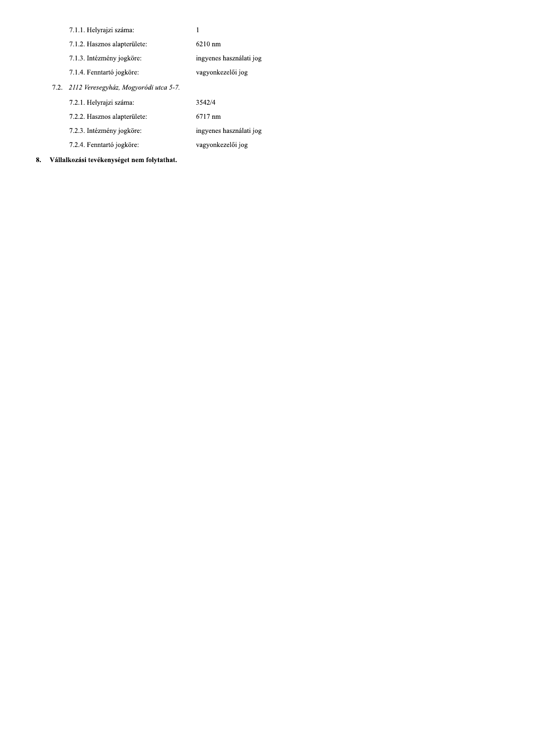|                                            | 7.1.1. Helyrajzi száma:      |                         |
|--------------------------------------------|------------------------------|-------------------------|
|                                            | 7.1.2. Hasznos alapterülete: | $6210 \text{ nm}$       |
|                                            | 7.1.3. Intézmény jogköre:    | ingyenes használati jog |
|                                            | 7.1.4. Fenntartó jogköre:    | vagyonkezelői jog       |
| 7.2. 2112 Veresegyház, Mogyoródi utca 5-7. |                              |                         |
|                                            | 7.2.1. Helyrajzi száma:      | 3542/4                  |
|                                            | 7.2.2. Hasznos alapterülete: | 6717 nm                 |
|                                            | 7.2.3. Intézmény jogköre:    | ingyenes használati jog |
|                                            | 7.2.4. Fenntartó jogköre:    | vagyonkezelői jog       |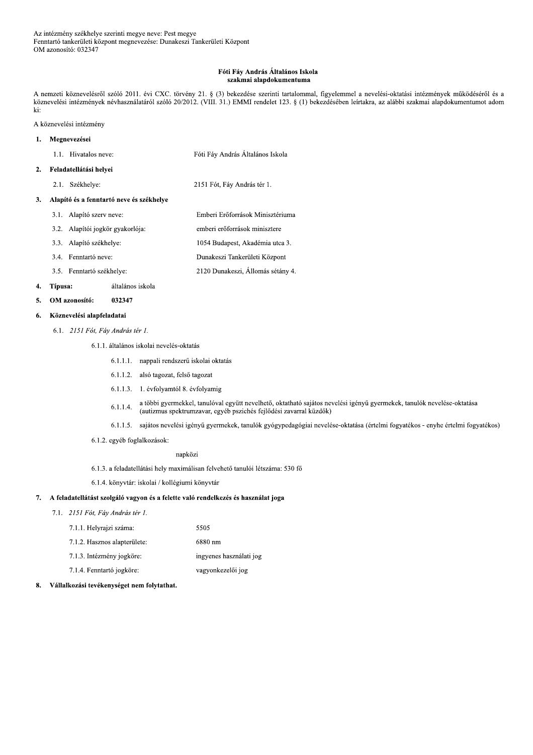### Fóti Fáy András Általános Iskola szakmai alapdokumentuma

A nemzeti köznevelésről szóló 2011. évi CXC. törvény 21. § (3) bekezdése szerinti tartalommal, figyelemmel a nevelési-oktatási intézmények működéséről és a köznevelési intézmények névhasználatáról szóló 20/2012. (VIII. 31.) EMMI rendelet 123. § (1) bekezdésében leírtakra, az alábbi szakmai alapdokumentumot adom ki:

A köznevelési intézmény

#### Megnevezései  $\mathbf{1}$ .

| 1.1. Hivatalos neve: | Fóti Fáv András Általános Iskola |
|----------------------|----------------------------------|
|----------------------|----------------------------------|

- Feladatellátási helyei  $2.$ 
	- 2.1. Székhelye: 2151 Fót, Fáy András tér 1.

### 3. Alapító és a fenntartó neve és székhelye

- 3.1. Alapító szerv neve: Emberi Erőforrások Minisztériuma 3.2. Alapítói jogkör gyakorlója: emberi erőforrások minisztere 3.3. Alapító székhelye: 1054 Budapest, Akadémia utca 3. Dunakeszi Tankerületi Központ 3.4. Fenntartó neve:
- 2120 Dunakeszi, Állomás sétány 4. 3.5. Fenntartó székhelye:

#### 4. Típusa: általános iskola

OM azonosító: 032347  $5.$ 

#### Köznevelési alapfeladatai 6.

6.1. 2151 Fót, Fáy András tér 1.

# 6.1.1. általános iskolai nevelés-oktatás

- 6.1.1.1. nappali rendszerű iskolai oktatás
- 6.1.1.2. alsó tagozat, felső tagozat
- 6.1.1.3. 1. évfolyamtól 8. évfolyamig
- a többi gyermekkel, tanulóval együtt nevelhető, oktatható sajátos nevelési igényű gyermekek, tanulók nevelése-oktatása  $6.1.1.4.$ (autizmus spektrumzavar, egyéb pszichés fejlődési zavarral küzdők)
- 6.1.1.5. sajátos nevelési igényű gyermekek, tanulók gyógypedagógiai nevelése-oktatása (értelmi fogyatékos enyhe értelmi fogyatékos)
- 6.1.2. egyéb foglalkozások:

## napközi

- 6.1.3. a feladatellátási hely maximálisan felvehető tanulói létszáma: 530 fő
- 6.1.4. könyvtár: iskolai / kollégiumi könyvtár

# 7. A feladatellátást szolgáló vagyon és a felette való rendelkezés és használat joga

### 7.1. 2151 Fót, Fáy András tér 1.

| 7.1.1. Helyrajzi száma:      | 5505                    |
|------------------------------|-------------------------|
| 7.1.2. Hasznos alapterülete: | 6880 nm                 |
| 7.1.3. Intézmény jogköre:    | ingyenes használati jog |
| 7.1.4. Fenntartó jogköre:    | vagyonkezelői jog       |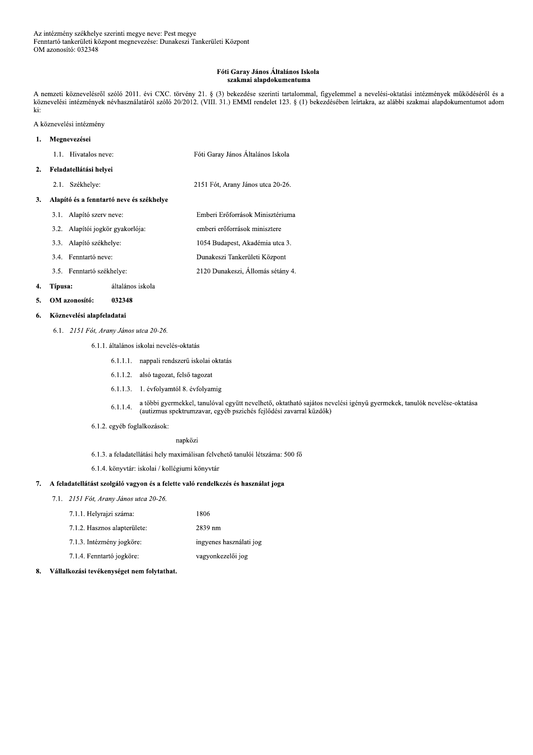### Fóti Garay János Általános Iskola szakmai alapdokumentuma

A nemzeti köznevelésről szóló 2011. évi CXC. törvény 21. § (3) bekezdése szerinti tartalommal, figyelemmel a nevelési-oktatási intézmények működéséről és a köznevelési intézmények névhasználatáról szóló 20/2012. (VIII. 31.) EMMI rendelet 123. § (1) bekezdésében leírtakra, az alábbi szakmai alapdokumentumot adom ki:

A köznevelési intézmény

#### $\mathbf{1}$ . Megnevezései

- 1.1. Hivatalos neve: Fóti Garay János Általános Iskola
- 2. Feladatellátási helyei
	- 2.1. Székhelye: 2151 Fót, Arany János utca 20-26.

### 3. Alapító és a fenntartó neve és székhelye

- 3.1. Alapító szerv neve: Emberi Erőforrások Minisztériuma 3.2. Alapítói jogkör gyakorlója: emberi erőforrások minisztere 3.3. Alapító székhelye: 1054 Budapest, Akadémia utca 3. Dunakeszi Tankerületi Központ 3.4. Fenntartó neve:
- 2120 Dunakeszi, Állomás sétány 4. 3.5. Fenntartó székhelye:

#### 4. Típusa: általános iskola

OM azonosító: 032348  $\mathbf{5}$ 

#### Köznevelési alapfeladatai 6.

- 6.1. 2151 Fót, Arany János utca 20-26.
	- 6.1.1. általános iskolai nevelés-oktatás
		- 6.1.1.1. nappali rendszerű iskolai oktatás
		- 6.1.1.2. alsó tagozat, felső tagozat
		- 6.1.1.3. 1. évfolyamtól 8. évfolyamig
		- a többi gyermekkel, tanulóval együtt nevelhető, oktatható sajátos nevelési igényű gyermekek, tanulók nevelése-oktatása  $6.1.1.4.$ (autizmus spektrumzavar, egyéb pszichés fejlődési zavarral küzdők)
	- 6.1.2. egyéb foglalkozások:

## napközi

6.1.3. a feladatellátási hely maximálisan felvehető tanulói létszáma: 500 fő

6.1.4. könyvtár: iskolai / kollégiumi könyvtár

#### 7. A feladatellátást szolgáló vagyon és a felette való rendelkezés és használat joga

- 7.1. 2151 Fót, Arany János utca 20-26.
	- 7.1.1. Helyrajzi száma: 1806 7.1.2. Hasznos alapterülete: 2839 nm 7.1.3. Intézmény jogköre: ingyenes használati jog
	- 7.1.4. Fenntartó jogköre: vagyonkezelői jog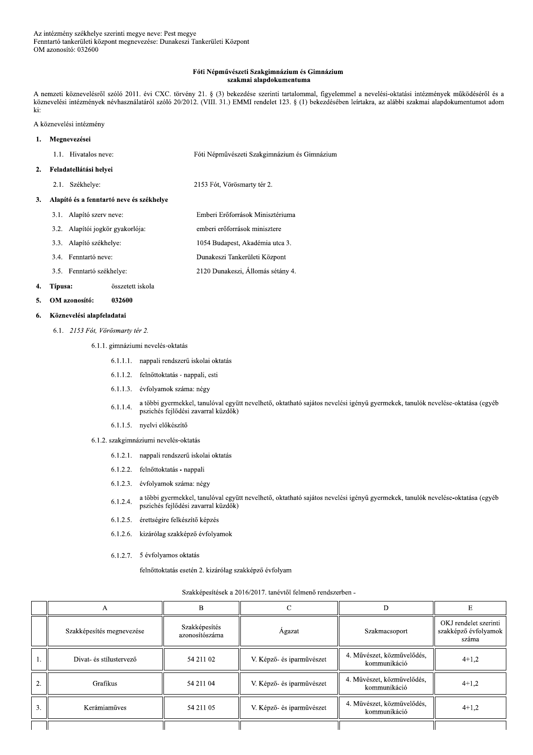### Fóti Népművészeti Szakgimnázium és Gimnázium szakmai alapdokumentuma

A nemzeti köznevelésről szóló 2011. évi CXC. törvény 21. § (3) bekezdése szerinti tartalommal, figyelemmel a nevelési-oktatási intézmények működéséről és a köznevelési intézmények névhasználatáról szóló 20/2012. (VIII. 31.) EMMI rendelet 123. § (1) bekezdésében leírtakra, az alábbi szakmai alapdokumentumot adom ki:

Emberi Erőforrások Minisztériuma

emberi erőforrások minisztere 1054 Budapest, Akadémia utca 3.

A köznevelési intézmény

#### Megnevezései  $\mathbf{1}$ .

| 1.1. Hivatalos neve: | Fóti Népművészeti Szakgimnázium és Gimnázium |  |
|----------------------|----------------------------------------------|--|
|                      |                                              |  |

#### Feladatellátási helyei  $2.$

2.1. Székhelye: 2153 Fót, Vörösmarty tér 2.

#### $\overline{3}$ . Alapító és a fenntartó neve és székhelye

- 3.1. Alapító szerv neve:
- 3.2. Alapítói jogkör gyakorlója:
- 3.3. Alapító székhelye:
- Dunakeszi Tankerületi Központ 3.4. Fenntartó neve:
- 2120 Dunakeszi, Állomás sétány 4. 3.5. Fenntartó székhelye:

#### 4. Típusa: összetett iskola

OM azonosító: 032600  $\mathbf{5}$ 

#### Köznevelési alapfeladatai 6.

6.1. 2153 Fót, Vörösmarty tér 2.

# 6.1.1. gimnáziumi nevelés-oktatás

- 6.1.1.1. nappali rendszerű iskolai oktatás
- 6.1.1.2. felnőttoktatás nappali, esti
- 6.1.1.3. évfolyamok száma: négy
- a többi gyermekkel, tanulóval együtt nevelhető, oktatható sajátos nevelési igényű gyermekek, tanulók nevelése-oktatása (egyéb  $6.1.1.4.$ pszichés fejlődési zavarral küzdők)
- 6.1.1.5. nyelvi előkészítő
- 6.1.2. szakgimnáziumi nevelés-oktatás
	- 6.1.2.1. nappali rendszerű iskolai oktatás
	- 6.1.2.2. felnőttoktatás nappali
	- 6.1.2.3. évfolyamok száma: négy
	- a többi gyermekkel, tanulóval együtt nevelhető, oktatható sajátos nevelési igényű gyermekek, tanulók nevelése-oktatása (egyéb  $6.1.2.4.$ pszichés fejlődési zavarral küzdők)
	- 6.1.2.5. érettségire felkészítő képzés
	- 6.1.2.6. kizárólag szakképző évfolyamok
	- 6.1.2.7. 5 évfolyamos oktatás

felnőttoktatás esetén 2. kizárólag szakképző évfolyam

|        | A                         | В                               |                           | D                                          |                                                        |
|--------|---------------------------|---------------------------------|---------------------------|--------------------------------------------|--------------------------------------------------------|
|        | Szakképesítés megnevezése | Szakképesítés<br>azonosítószáma | Agazat                    | Szakmacsoport                              | OKJ rendelet szerinti<br>szakképző évfolyamok<br>száma |
|        | Divat- és stílustervező   | 54 211 02                       | V. Képző- és iparművészet | 4. Művészet, közművelődés,<br>kommunikáció | $4+1.2$                                                |
| ◠<br>4 | Grafikus                  | 54 211 04                       | V. Képző- és iparművészet | 4. Művészet, közművelődés,<br>kommunikáció | $4+1,2$                                                |
| 3.     | Kerámiaműves              | 54 211 05                       | V. Képző- és iparművészet | 4. Művészet, közművelődés,<br>kommunikáció | $4+1,2$                                                |
|        |                           |                                 |                           |                                            |                                                        |

# Szakképesítések a 2016/2017. tanévtől felmenő rendszerben -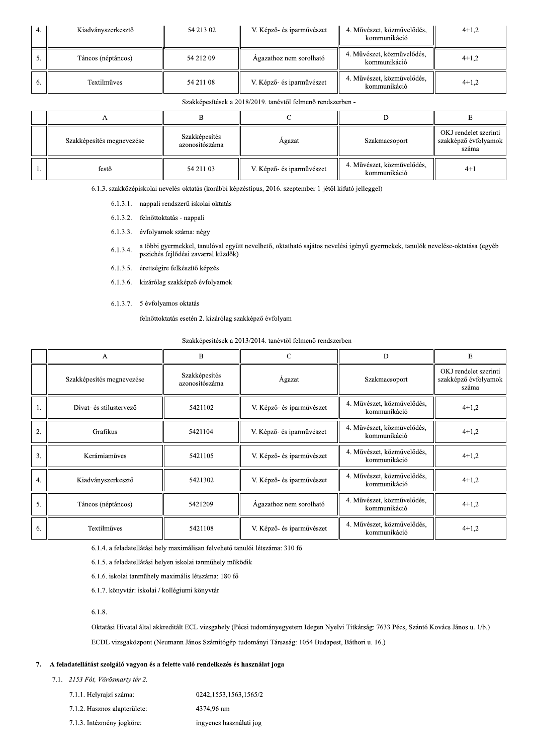| 4. | Kiadványszerkesztő | 54 213 02 | V. Képző- és iparművészet | 4. Művészet, közművelődés,<br>kommunikáció | $4+1,2$ |
|----|--------------------|-----------|---------------------------|--------------------------------------------|---------|
|    | Táncos (néptáncos) | 54 212 09 | Agazathoz nem sorolható   | 4. Művészet, közművelődés,<br>kommunikáció | $4+1.2$ |
| o. | Textilműves        | 54 211 08 | V. Képző- és iparművészet | 4. Művészet, közművelődés,<br>kommunikáció | $4+1.2$ |

Szakképesítések a 2018/2019. tanévtől felmenő rendszerben -

| Szakképesítés megnevezése | Szakképesítés<br>azonosítószáma | Agazat                    | Szakmacsoport                              | OKJ rendelet szerinti<br>szakképző évfolyamok<br>száma |
|---------------------------|---------------------------------|---------------------------|--------------------------------------------|--------------------------------------------------------|
| festő                     | 54 211 03                       | V. Képző- és iparművészet | 4. Művészet, közművelődés,<br>kommunikáció | $4+1$                                                  |

6.1.3. szakközépiskolai nevelés-oktatás (korábbi képzéstípus, 2016. szeptember 1-jétől kifutó jelleggel)

- 6.1.3.1. nappali rendszerű iskolai oktatás
- 6.1.3.2. felnőttoktatás nappali
- 6.1.3.3. évfolyamok száma: négy

a többi gyermekkel, tanulóval együtt nevelhető, oktatható sajátos nevelési igényű gyermekek, tanulók nevelése-oktatása (egyéb  $6.1.3.4.$ pszichés fejlődési zavarral küzdők)

- 6.1.3.5. érettségire felkészítő képzés
- 6.1.3.6. kizárólag szakképző évfolyamok
- 6.1.3.7. 5 évfolyamos oktatás

felnőttoktatás esetén 2. kizárólag szakképző évfolyam

Szakképesítések a 2013/2014. tanévtől felmenő rendszerben -

|                | А                         | $\overline{B}$                  | $\mathbf C$               | D                                          | E                                                      |
|----------------|---------------------------|---------------------------------|---------------------------|--------------------------------------------|--------------------------------------------------------|
|                | Szakképesítés megnevezése | Szakképesítés<br>azonosítószáma | Agazat                    | Szakmacsoport                              | OKJ rendelet szerinti<br>szakképző évfolyamok<br>száma |
|                | Divat- és stílustervező   | 5421102                         | V. Képző- és iparművészet | 4. Művészet, közművelődés,<br>kommunikáció | $4+1,2$                                                |
| $\overline{2}$ | Grafikus                  | 5421104                         | V. Képző- és iparművészet | 4. Művészet, közművelődés,<br>kommunikáció | $4+1.2$                                                |
| 3.             | Kerámiaműves              | 5421105                         | V. Képző- és iparművészet | 4. Művészet, közművelődés,<br>kommunikáció | $4+1.2$                                                |
| 4.             | Kiadványszerkesztő        | 5421302                         | V. Képző- és iparművészet | 4. Művészet, közművelődés,<br>kommunikáció | $4+1,2$                                                |
| 5.             | Táncos (néptáncos)        | 5421209                         | Ágazathoz nem sorolható   | 4. Művészet, közművelődés,<br>kommunikáció | $4+1,2$                                                |
| 6.             | Textilműves               | 5421108                         | V. Képző- és iparművészet | 4. Művészet, közművelődés,<br>kommunikáció | $4+1,2$                                                |

6.1.4. a feladatellátási hely maximálisan felvehető tanulói létszáma: 310 fő

6.1.5. a feladatellátási helyen iskolai tanműhely működik

6.1.6. iskolai tanműhely maximális létszáma: 180 fő

6.1.7. könyvtár: iskolai / kollégiumi könyvtár

 $6.1.8.$ 

Oktatási Hivatal által akkreditált ECL vizsgahely (Pécsi tudományegyetem Idegen Nyelvi Titkárság: 7633 Pécs, Szántó Kovács János u. 1/b.) ECDL vizsgaközpont (Neumann János Számítógép-tudományi Társaság: 1054 Budapest, Báthori u. 16.)

#### 7. A feladatellátást szolgáló vagyon és a felette való rendelkezés és használat joga

7.1. 2153 Fót, Vörösmarty tér 2.

| 7.1.1. Helyrajzi száma:      | 0242.1553.1563.1565/2   |
|------------------------------|-------------------------|
| 7.1.2. Hasznos alapterülete: | 4374.96 nm              |
| 7.1.3. Intézmény jogköre:    | ingyenes használati jog |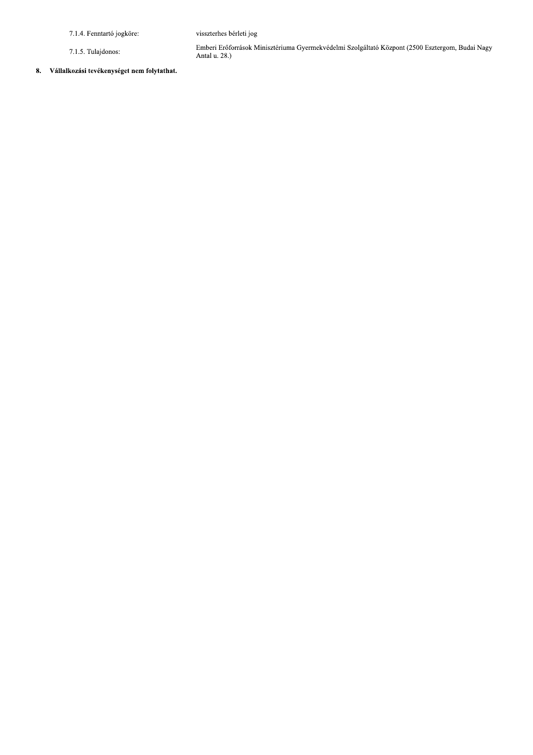7.1.4. Fenntartó jogköre:

7.1.5. Tulajdonos:

Emberi Erőforrások Minisztériuma Gyermekvédelmi Szolgáltató Központ (2500 Esztergom, Budai Nagy Antal u. 28.)

visszterhes bérleti jog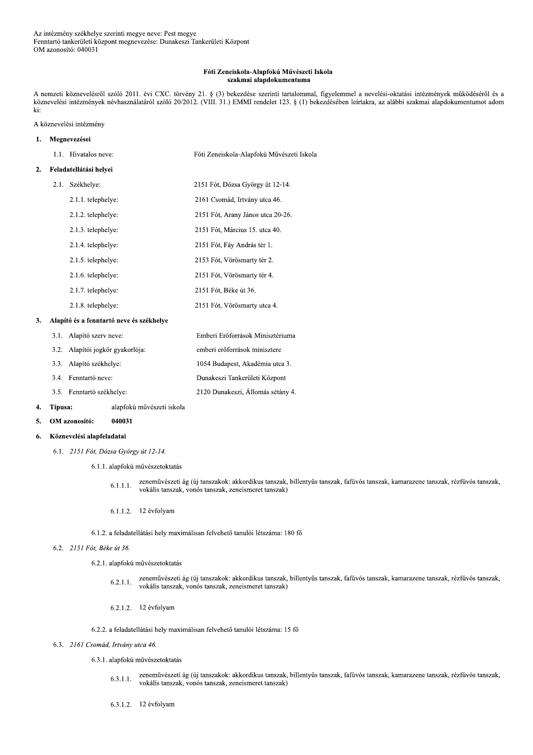### Fóti Zeneiskola-Alapfokú Művészeti Iskola szakmai alapdokumentuma

A nemzeti köznevelésről szóló 2011. évi CXC. törvény 21. § (3) bekezdése szerinti tartalommal, figyelemmel a nevelési-oktatási intézmények működéséről és a köznevelési intézmények névhasználatáról szóló 20/2012. (VIII. 31.) EMMI rendelet 123. § (1) bekezdésében leírtakra, az alábbi szakmai alapdokumentumot adom ki:

# A köznevelési intézmény

| ı. | Megnevezései           |                                          |                                           |
|----|------------------------|------------------------------------------|-------------------------------------------|
|    |                        | 1.1. Hivatalos neve:                     | Fóti Zeneiskola-Alapfokú Művészeti Iskola |
| 2. | Feladatellátási helyei |                                          |                                           |
|    | 2.1.                   | Székhelye:                               | 2151 Fót, Dózsa György út 12-14.          |
|    |                        | 2.1.1. telephelye:                       | 2161 Csomád, Irtvány utca 46.             |
|    |                        | 2.1.2. telephelye:                       | 2151 Fót, Arany János utca 20-26.         |
|    |                        | 2.1.3. telephelye:                       | 2151 Fót, Március 15. utca 40.            |
|    |                        | 2.1.4. telephelye:                       | 2151 Fót, Fáy András tér 1.               |
|    |                        | 2.1.5. telephelye:                       | 2153 Fót, Vörösmarty tér 2.               |
|    |                        | 2.1.6. telephelye:                       | 2151 Fót, Vörösmarty tér 4.               |
|    |                        | 2.1.7. telephelye:                       | 2151 Fót, Béke út 36.                     |
|    |                        | 2.1.8. telephelye:                       | 2151 Fót, Vörösmarty utca 4.              |
| 3. |                        | Alapító és a fenntartó neve és székhelye |                                           |
|    | 3.1.                   | Alapító szerv neve:                      | Emberi Erőforrások Minisztériuma          |

| 3.1. Alapító szerv neve:         | Emberi Erőforrások Minisztériuma  |
|----------------------------------|-----------------------------------|
| 3.2. Alapítói jogkör gyakorlója: | emberi erőforrások minisztere     |
| 3.3. Alapító székhelye:          | 1054 Budapest, Akadémia utca 3.   |
| 3.4. Fenntartó neve:             | Dunakeszi Tankerületi Központ     |
| 3.5. Fenntartó székhelye:        | 2120 Dunakeszi, Állomás sétány 4. |

#### alapfokú művészeti iskola 4. Típusa:

OM azonosító: 040031  $\mathbf{5}$ 

#### Köznevelési alapfeladatai 6.

- 6.1. 2151 Fót, Dózsa György út 12-14.
	- 6.1.1. alapfokú művészetoktatás
		- zeneművészeti ág (új tanszakok: akkordikus tanszak, billentyűs tanszak, fafúvós tanszak, kamarazene tanszak, rézfúvós tanszak,  $6.1.1.1.$ vokális tanszak, vonós tanszak, zeneismeret tanszak)
		- 6.1.1.2. 12 évfolyam

## 6.1.2. a feladatellátási hely maximálisan felvehető tanulói létszáma: 180 fő

## 6.2. 2151 Fót, Béke út 36.

6.2.1. alapfokú művészetoktatás

- zeneművészeti ág (új tanszakok: akkordikus tanszak, billentyűs tanszak, fafúvós tanszak, kamarazene tanszak, rézfúvós tanszak,  $6.2.1.1$ vokális tanszak, vonós tanszak, zeneismeret tanszak)
- 6.2.1.2. 12 évfolyam

6.2.2. a feladatellátási hely maximálisan felvehető tanulói létszáma: 15 fő

# 6.3. 2161 Csomád, Irtvány utca 46.

- 6.3.1. alapfokú művészetoktatás
	- zeneművészeti ág (új tanszakok: akkordikus tanszak, billentyűs tanszak, fafúvós tanszak, kamarazene tanszak, rézfúvós tanszak,  $6.3.1.1.$ vokális tanszak, vonós tanszak, zeneismeret tanszak)
	- 6.3.1.2. 12 évfolyam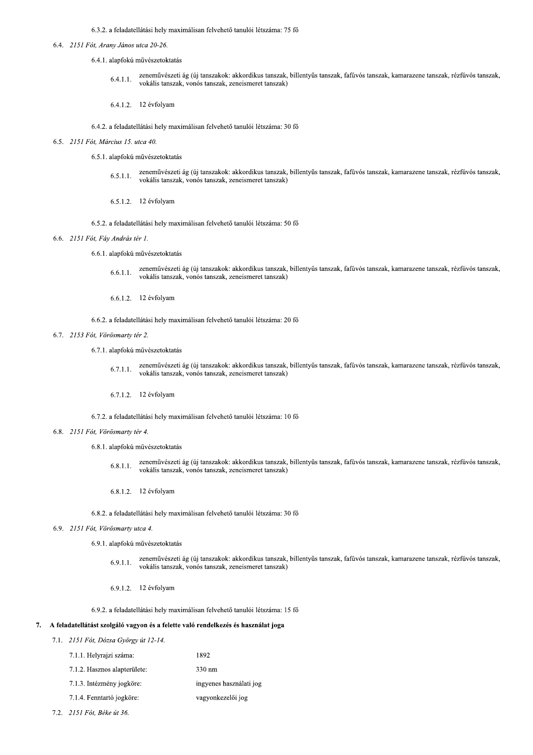6.3.2. a feladatellatası hely maximalisan felvehető tanulói létszáma: 75 fő

- $0.4.$ 
	- 4.1. alaptoku muveszetoktatas
- % 6.3.2. a feladatellátási hely maximálisan felmetes.<br>
6.4. 2151 Fót, Arany János utca 20-26.<br>
6.4.1. alapfokú művészetoktatás<br>
6.4.1.1. Zeneművészeti ág (új tansz<br>
6.4.1.1. 2. 12 évfolyam  $6.4.$ -4-4zenemuveszeti ag (uj tanszakok: akkordikus tanszak, billentyus tanszak, tatuvos tanszak, kamarazene tanszak, reztuvos tanszak, vokális tanszak, vonós tanszak, zeneismeret tanszak)
	- 6.4.1.2. 12 evrolyam

6.4.2. a feladatellatası hely maximalisan felvehető tanulói létszáma: 30 fő

- $6.5.$ 
	- 5.1. alaptoku muveszetoktatas
- 6.4.1.1. Zenemüvészeti ág (új tansz<br>
vokális tanszak, vonós tan<br>
6.4.1.2. 12 évfolyam<br>
6.4.2. a feladatellátási hely maximálisan fel<br>
2151 Fót, Március 15. utca 40.<br>
6.5.1. alapfokú művészetoktatás<br>
6.5.1.1. Zeneművészeti  $6.5.1.1.$ zenemuveszeti ag (uj tanszakok: akkordikus tanszak, billentyus tanszak, fatuvos tanszak, kamarazene tanszak, reztuvos tanszak, vokalis tanszak, vonos tanszak, zeneismeret tanszak)
	- 6.5.1.2. 12 evrolyam
- 6.5.2. a feladatellatası hely maximalisan felvehető tanulói létszáma: 50 fő
	- 6.6. 2131 Fot, Fay Andras ter 1.
		- 6.6.1. alaptoku muveszetoktatas
		- $6.6.$  $0.1.1.$ zenemuveszeti ag (uj tanszakok: akkordikus tanszak, billentyus tanszak, fafuvos tanszak, kamarazene tanszak, rezfuvos tanszak, vokalis tanszak, vonos tanszak, zeneismeret tanszak)
		- 6.6.1.2. 12 evrolyam

6.6.2. a feladatellatası hely maximalisan felvehető tanulói létszáma: 20 fő

- $6.7.$ 
	- 7.1. alaptoku muveszetoktatás
- 6.6.1.1. Zeneművészeti ág<br>
vokális tanszak, ve<br>
6.6.1.2. 12 évfolyam<br>
6.6.2. a feladatellátási hely maximá<br>
6.7. 2153 Fót, Vörösmarty tér 2.<br>
6.7.1. alapfokú művészetoktatás<br>
6.7.1.1. Zeneművészeti ág<br>
vokális tanszak, ve  $6.7.1.1.$ zenemuveszeti ag (uj tanszakok: akkordikus tanszak, billentyus tanszak, tatuvos tanszak, kamarazene tanszak, reztuvos tanszak, vokalis tanszak, vonos tanszak, zeneismeret tanszak)
	- 6.7.1.2. 12 evrolyam

6./.2. a feladatellatasi hely maximalisan felvehető tanulói létszáma: 10 fő

- $6.8.$ 
	- 8.1. alaptoku muveszetoktatas
- 1.1. zeneművészeti ág<br>
vokális tanszak, ve<br>
6.7.1.2. 12 évfolyam<br>
6.7.2. a feladatellátási hely maximá<br>
6.8. 2151 Fót, Vörösmarty tér 4.<br>
6.8.1. alapfokú művészetoktatás<br>
6.8.1.1. zeneművészeti ág<br>
vokális tanszak, ve<br>
6.  $6.8.1.1.$ zenemuveszeti ag (uj tanszakok: akkordikus tanszak, billentyus tanszak, fafuvos tanszak, kamarazene tanszak, rezfuvos tanszak, vokalis tanszak, vonos tanszak, zeneismeret tanszak)
	- $6.8.1.2$ . 12 evrolyam
- 6.8.2. a feladatellatası hely maximalisan felvehető tanulói létszama: 30 fő
	- 6.9.
		- 9.1. alaptoku müveszetoktatás
- 6.8.1.1. zeneművészeti ág (új tans:<br>vokális tanszak, vonós tan<br>6.8.1.2. 12 évfolyam<br>6.8.2. a feladatellátási hely maximálisan fel<br>6.9. 2151 Fót, Vörösmarty utca 4.<br>6.9.1. alapfokú művészetoktatás<br>6.9.1.1. zeneművészeti ág  $6.9.$ 9. L. L. zenemuveszeti ag (uj tanszakok: akkordikus tanszak, billentyus tanszak, tatuvos tanszak, kamarazene tanszak, reztuvos tanszak, vokális tanszak, vonós tanszak, zeneismeret tanszak)
	- 6.9.1.2. 12 evrolyam

6.9.2. a feladatellatasi hely maximalisan felvehető tanulói létszáma: 15 fő

# 7. A feladatellátást szolgáló vagyon és a felette való rendelkezés és használat joga

|                                                                             | 6.9.1.2. 12 évfolyam                                             |                         |  |  |
|-----------------------------------------------------------------------------|------------------------------------------------------------------|-------------------------|--|--|
|                                                                             | 6.9.2. a feladatellátási hely maximálisan felvehető tanulói léts |                         |  |  |
| A feladatellátást szolgáló vagyon és a felette való rendelkezés és használ: |                                                                  |                         |  |  |
|                                                                             | 7.1. 2151 Fót, Dózsa György út 12-14.                            |                         |  |  |
|                                                                             | 7.1.1. Helyrajzi száma:                                          | 1892                    |  |  |
|                                                                             | 7.1.2. Hasznos alapterülete:                                     | 330 nm                  |  |  |
|                                                                             | 7.1.3. Intézmény jogköre:                                        | ingyenes használati jog |  |  |
|                                                                             | 7.1.4. Fenntartó jogköre:                                        | vagyonkezelői jog       |  |  |
|                                                                             | $2151 E_{21}^2 B_{22}^2 B_{23}^2 B_{12}^2 B_{23}^2$              |                         |  |  |

 $1.2.$  2151 Fot, Beke ut 30.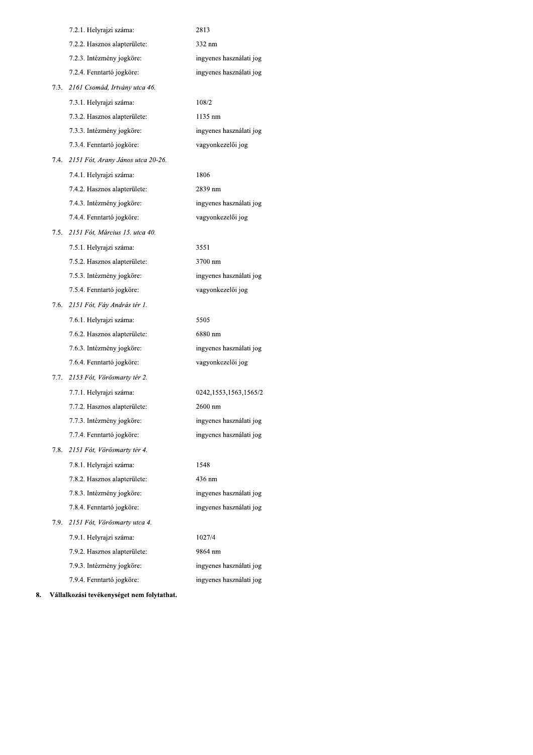|      | 7.2.1. Helyrajzi száma:           | 2813                    |
|------|-----------------------------------|-------------------------|
|      | 7.2.2. Hasznos alapterülete:      | 332 nm                  |
|      | 7.2.3. Intézmény jogköre:         | ingyenes használati jog |
|      | 7.2.4. Fenntartó jogköre:         | ingyenes használati jog |
| 7.3. | 2161 Csomád, Irtvány utca 46.     |                         |
|      | 7.3.1. Helyrajzi száma:           | 108/2                   |
|      | 7.3.2. Hasznos alapterülete:      | 1135 nm                 |
|      | 7.3.3. Intézmény jogköre:         | ingyenes használati jog |
|      | 7.3.4. Fenntartó jogköre:         | vagyonkezelői jog       |
| 7.4. | 2151 Fót, Arany János utca 20-26. |                         |
|      | 7.4.1. Helyrajzi száma:           | 1806                    |
|      | 7.4.2. Hasznos alapterülete:      | 2839 nm                 |
|      | 7.4.3. Intézmény jogköre:         | ingyenes használati jog |
|      | 7.4.4. Fenntartó jogköre:         | vagyonkezelői jog       |
| 7.5. | 2151 Fót, Március 15. utca 40.    |                         |
|      | 7.5.1. Helyrajzi száma:           | 3551                    |
|      | 7.5.2. Hasznos alapterülete:      | 3700 nm                 |
|      | 7.5.3. Intézmény jogköre:         | ingyenes használati jog |
|      | 7.5.4. Fenntartó jogköre:         | vagyonkezelői jog       |
| 7.6. | 2151 Fót, Fáy András tér 1.       |                         |
|      | 7.6.1. Helyrajzi száma:           | 5505                    |
|      | 7.6.2. Hasznos alapterülete:      | 6880 nm                 |
|      | 7.6.3. Intézmény jogköre:         | ingyenes használati jog |
|      | 7.6.4. Fenntartó jogköre:         | vagyonkezelői jog       |
| 7.7. | 2153 Fót, Vörösmarty tér 2.       |                         |
|      | 7.7.1. Helyrajzi száma:           | 0242,1553,1563,1565/2   |
|      | 7.7.2. Hasznos alapterülete:      | 2600 nm                 |
|      | 7.7.3. Intézmény jogköre:         | ingyenes használati jog |
|      | 7.7.4. Fenntartó jogköre:         | ingyenes használati jog |
| 7.8. | 2151 Fót, Vörösmarty tér 4.       |                         |
|      | 7.8.1. Helyrajzi száma:           | 1548                    |
|      | 7.8.2. Hasznos alapterülete:      | 436 nm                  |
|      | 7.8.3. Intézmény jogköre:         | ingyenes használati jog |
|      | 7.8.4. Fenntartó jogköre:         | ingyenes használati jog |
| 7.9. | 2151 Fót, Vörösmarty utca 4.      |                         |
|      | 7.9.1. Helyrajzi száma:           | 1027/4                  |
|      | 7.9.2. Hasznos alapterülete:      | 9864 nm                 |
|      | 7.9.3. Intézmény jogköre:         | ingyenes használati jog |
|      | 7.9.4. Fenntartó jogköre:         | ingyenes használati jog |
|      |                                   |                         |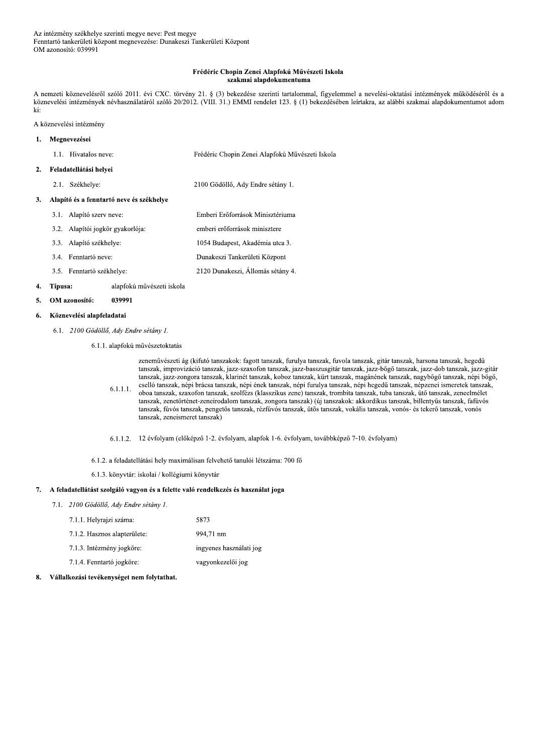### Frédéric Chopin Zenei Alapfokú Művészeti Iskola szakmai alapdokumentuma

A nemzeti köznevelésről szóló 2011. évi CXC. törvény 21. § (3) bekezdése szerinti tartalommal, figyelemmel a nevelési-oktatási intézmények működéséről és a köznevelési intézmények névhasználatáról szóló 20/2012. (VIII. 31.) EMMI rendelet 123. § (1) bekezdésében leírtakra, az alábbi szakmai alapdokumentumot adom ki:

A köznevelési intézmény

### 1. Megnevezései 1.1. Hivatalos neve: Frédéric Chopin Zenei Alapfokú Művészeti Iskola 2. Feladatellátási helyei 2.1. Székhelye: 2100 Gödöllő, Ady Endre sétány 1. 3. Alapító és a fenntartó neve és székhelye 3.1. Alapító szerv neve: Emberi Erőforrások Minisztériuma 3.2. Alapítói jogkör gyakorlója: emberi erőforrások minisztere 3.3. Alapító székhelye: 1054 Budapest, Akadémia utca 3. 3.4. Fenntartó neve: Dunakeszi Tankerületi Központ 2120 Dunakeszi, Állomás sétány 4. 3.5. Fenntartó székhelye:

#### Típusa: alapfokú művészeti iskola 4.

#### OM azonosító: 039991  $5.$

#### Köznevelési alapfeladatai 6.

6.1. 2100 Gödöllő, Ady Endre sétány 1.

6.1.1. alapfokú művészetoktatás

 $6.1.1.1.$ 

tanszak, improvizáció tanszak, jazz-szaxofon tanszak, jazz-basszusgitár tanszak, jazz-bőgő tanszak, jazz-dob tanszak, jazz-gitár tanszak, jazz-zongora tanszak, klarinét tanszak, koboz tanszak, kürt tanszak, magánének tanszak, nagybőgő tanszak, népi bőgő, cselló tanszak, népi brácsa tanszak, népi ének tanszak, népi furulya tanszak, népi hegedű tanszak, népzenei ismeretek tanszak, oboa tanszak, szaxofon tanszak, szolfézs (klasszikus zene) tanszak, trombita tanszak, tuba tanszak, ütő tanszak, zeneelmélet tanszak, zenetörténet-zeneirodalom tanszak, zongora tanszak) (új tanszakok: akkordikus tanszak, billentyűs tanszak, fafúvós tanszak, fúvós tanszak, pengetős tanszak, rézfúvós tanszak, ütős tanszak, vokális tanszak, vonós- és tekerő tanszak, vonós tanszak, zeneismeret tanszak)

zeneművészeti ág (kifutó tanszakok: fagott tanszak, furulya tanszak, fuvola tanszak, gitár tanszak, harsona tanszak, hegedű

6.1.1.2. 12 évfolyam (előképző 1-2. évfolyam, alapfok 1-6. évfolyam, továbbképző 7-10. évfolyam)

6.1.2. a feladatellátási hely maximálisan felvehető tanulói létszáma: 700 fő

6.1.3. könyvtár: iskolai / kollégiumi könyvtár

### 7. A feladatellátást szolgáló vagyon és a felette való rendelkezés és használat joga

7.1. 2100 Gödöllő, Ady Endre sétány 1.

| 7.1.1. Helyrajzi száma:      | 5873                    |
|------------------------------|-------------------------|
| 7.1.2. Hasznos alapterülete: | 994,71 nm               |
| 7.1.3. Intézmény jogköre:    | ingyenes használati jog |
| 7.1.4. Fenntartó jogköre:    | vagyonkezelői jog       |

#### $\mathbf{R}$ . Vállalkozási tevékenységet nem folytathat.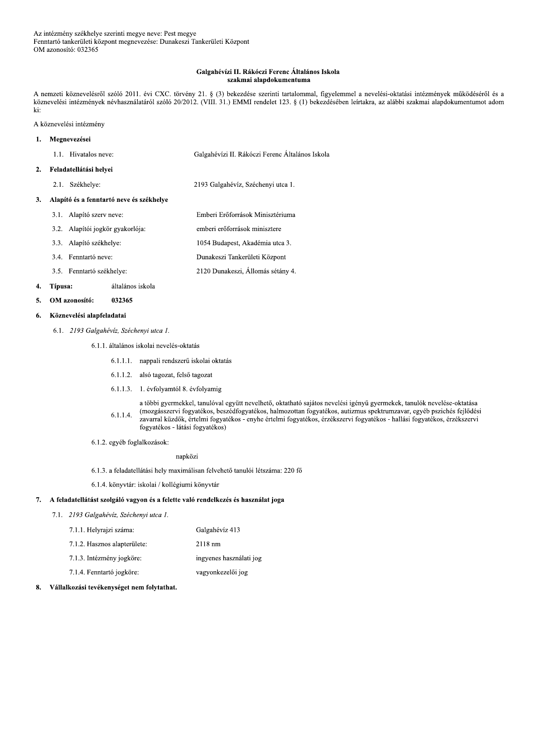### Galgahévízi II. Rákóczi Ferenc Általános Iskola szakmai alapdokumentuma

A nemzeti köznevelésről szóló 2011. évi CXC. törvény 21. § (3) bekezdése szerinti tartalommal, figyelemmel a nevelési-oktatási intézmények működéséről és a köznevelési intézmények névhasználatáról szóló 20/2012. (VIII. 31.) EMMI rendelet 123. § (1) bekezdésében leírtakra, az alábbi szakmai alapdokumentumot adom ki:

### A köznevelési intézmény

#### Megnevezései  $\mathbf{1}$ .

#### Feladatellátási helyei  $2.$

2.1. Székhelye: 2193 Galgahévíz, Széchenyi utca 1.

### 3. Alapító és a fenntartó neve és székhelye

- 3.1. Alapító szerv neve: Emberi Erőforrások Minisztériuma 3.2. Alapítói jogkör gyakorlója: emberi erőforrások minisztere 3.3. Alapító székhelye: 1054 Budapest, Akadémia utca 3. Dunakeszi Tankerületi Központ 3.4. Fenntartó neve:
- 2120 Dunakeszi, Állomás sétány 4. 3.5. Fenntartó székhelye:

#### 4. Típusa: általános iskola

OM azonosító: 032365  $\mathbf{5}$ 

#### Köznevelési alapfeladatai 6.

6.1. 2193 Galgahévíz, Széchenyi utca 1.

6.1.1. általános iskolai nevelés-oktatás

- 6.1.1.1. nappali rendszerű iskolai oktatás
- 6.1.1.2. alsó tagozat, felső tagozat
- 6.1.1.3. 1. évfolyamtól 8. évfolyamig

a többi gyermekkel, tanulóval együtt nevelhető, oktatható sajátos nevelési igényű gyermekek, tanulók nevelése-oktatása (mozgásszervi fogyatékos, beszédfogyatékos, halmozottan fogyatékos, autizmus spektrumzavar, egyéb pszichés fejlődési  $6.1.1.4.$ zavarral küzdők, értelmi fogyatékos - enyhe értelmi fogyatékos, érzékszervi fogyatékos - hallási fogyatékos, érzékszervi fogyatékos - látási fogyatékos)

6.1.2. egyéb foglalkozások:

napközi

6.1.3. a feladatellátási hely maximálisan felvehető tanulói létszáma: 220 fő

6.1.4. könyvtár: iskolai / kollégiumi könyvtár

### 7. A feladatellátást szolgáló vagyon és a felette való rendelkezés és használat joga

7.1. 2193 Galgahévíz, Széchenyi utca 1.

| 7.1.1. Helyrajzi száma:      | Galgahévíz 413          |
|------------------------------|-------------------------|
| 7.1.2. Hasznos alapterülete: | $2118 \text{ nm}$       |
| 7.1.3. Intézmény jogköre:    | ingyenes használati jog |
| 7.1.4. Fenntartó jogköre:    | vagyonkezelői jog       |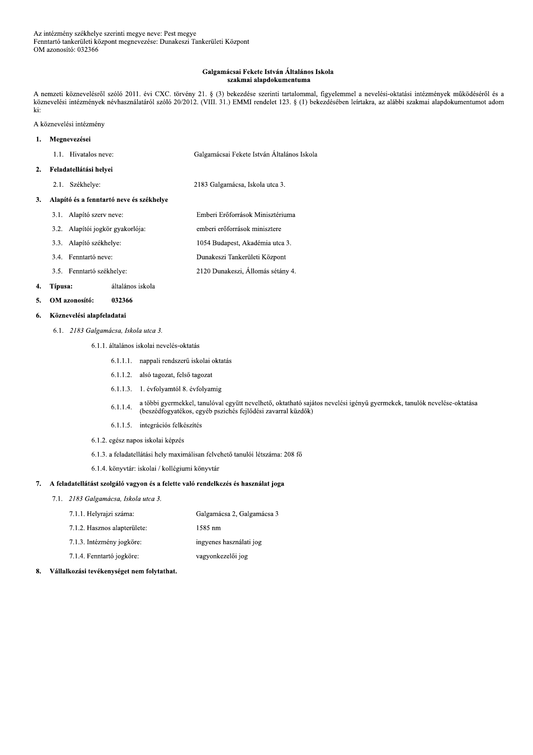### Galgamácsai Fekete István Általános Iskola szakmai alapdokumentuma

A nemzeti köznevelésről szóló 2011. évi CXC. törvény 21. § (3) bekezdése szerinti tartalommal, figyelemmel a nevelési-oktatási intézmények működéséről és a köznevelési intézmények névhasználatáról szóló 20/2012. (VIII. 31.) EMMI rendelet 123. § (1) bekezdésében leírtakra, az alábbi szakmai alapdokumentumot adom ki:

A köznevelési intézmény

#### $\mathbf{1}$ . Megnevezései

| 1.1. Hivatalos neve: | Galgamácsai Fekete István Általános Iskola |
|----------------------|--------------------------------------------|
|                      |                                            |

#### Feladatellátási helyei  $2.$

2.1. Székhelye: 2183 Galgamácsa, Iskola utca 3.

### 3. Alapító és a fenntartó neve és székhelye

- 3.1. Alapító szerv neve: Emberi Erőforrások Minisztériuma 3.2. Alapítói jogkör gyakorlója: emberi erőforrások minisztere 3.3. Alapító székhelye: 1054 Budapest, Akadémia utca 3. Dunakeszi Tankerületi Központ 3.4. Fenntartó neve:
	- 2120 Dunakeszi, Állomás sétány 4. 3.5. Fenntartó székhelye:

#### 4. Típusa: általános iskola

OM azonosító: 032366  $\mathbf{5}$ 

#### Köznevelési alapfeladatai 6.

6.1. 2183 Galgamácsa, Iskola utca 3.

### 6.1.1. általános iskolai nevelés-oktatás

- 6.1.1.1. nappali rendszerű iskolai oktatás
- 6.1.1.2. alsó tagozat, felső tagozat
- 6.1.1.3. 1. évfolyamtól 8. évfolyamig
- a többi gyermekkel, tanulóval együtt nevelhető, oktatható sajátos nevelési igényű gyermekek, tanulók nevelése-oktatása  $6.1.1.4.$ (beszédfogyatékos, egyéb pszichés fejlődési zavarral küzdők)
- 6.1.1.5. integrációs felkészítés
- 6.1.2. egész napos iskolai képzés
- 6.1.3. a feladatellátási hely maximálisan felvehető tanulói létszáma: 208 fő
- 6.1.4. könyvtár: iskolai / kollégiumi könyvtár

#### 7. A feladatellátást szolgáló vagyon és a felette való rendelkezés és használat joga

- 7.1. 2183 Galgamácsa, Iskola utca 3.
	- 7.1.1. Helyrajzi száma: Galgamácsa 2, Galgamácsa 3 1585 nm 7.1.2. Hasznos alapterülete:
	- ingyenes használati jog 7.1.3. Intézmény jogköre:
	- 7.1.4. Fenntartó jogköre: vagyonkezelői jog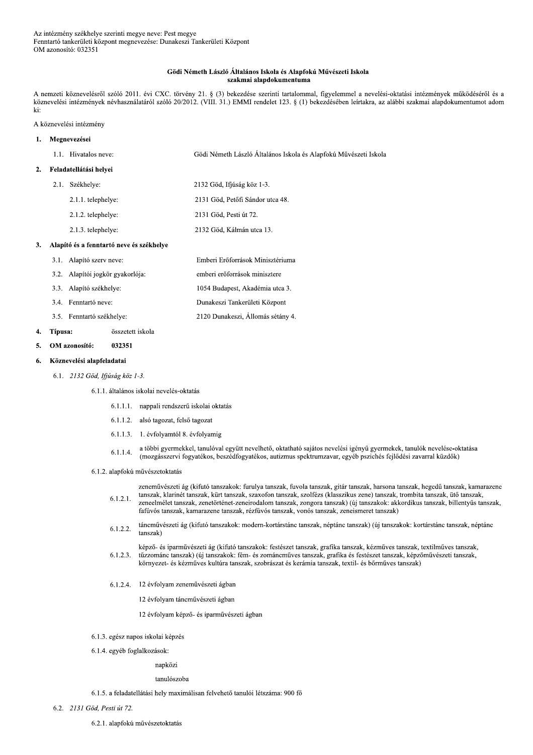### Gödi Németh László Általános Iskola és Alapfokú Művészeti Iskola szakmai alapdokumentuma

A nemzeti köznevelésről szóló 2011. évi CXC. törvény 21. § (3) bekezdése szerinti tartalommal, figyelemmel a nevelési-oktatási intézmények működéséről és a köznevelési intézmények névhasználatáról szóló 20/2012. (VIII. 31.) EMMI rendelet 123. § (1) bekezdésében leírtakra, az alábbi szakmai alapdokumentumot adom ki:

### A köznevelési intézmény

| 1. |      | Megnevezései                             |                                                                  |
|----|------|------------------------------------------|------------------------------------------------------------------|
|    |      | 1.1. Hivatalos neve:                     | Gödi Németh László Általános Iskola és Alapfokú Művészeti Iskola |
| 2. |      | Feladatellátási helyei                   |                                                                  |
|    | 2.1. | Székhelye:                               | 2132 Göd, Ifjúság köz 1-3.                                       |
|    |      | 2.1.1. telephelye:                       | 2131 Göd, Petőfi Sándor utca 48.                                 |
|    |      | 2.1.2. telephelye:                       | 2131 Göd, Pesti út 72.                                           |
|    |      | 2.1.3. telephelye:                       | 2132 Göd, Kálmán utca 13.                                        |
| 3. |      | Alapító és a fenntartó neve és székhelye |                                                                  |
|    | 3.1. | Alapító szerv neve:                      | Emberi Erőforrások Minisztériuma                                 |
|    |      | 3.2. Alapítói jogkör gyakorlója:         | emberi erőforrások minisztere                                    |
|    | 3.3. | Alapító székhelye:                       | 1054 Budapest, Akadémia utca 3.                                  |
|    | 3.4. | Fenntartó neve:                          | Dunakeszi Tankerületi Központ                                    |
|    |      | 3.5. Fenntartó székhelye:                | 2120 Dunakeszi, Állomás sétány 4.                                |

#### 4. Típusa: összetett iskola

OM azonosító: 032351 5.

#### Köznevelési alapfeladatai 6.

6.1. 2132 Göd, Ifjúság köz 1-3.

6.1.1. általános iskolai nevelés-oktatás

- 6.1.1.1. nappali rendszerű iskolai oktatás
- 6.1.1.2. alsó tagozat, felső tagozat
- 6.1.1.3. 1. évfolyamtól 8. évfolyamig

a többi gyermekkel, tanulóval együtt nevelhető, oktatható sajátos nevelési igényű gyermekek, tanulók nevelése-oktatása  $6.1.1.4.$ (mozgásszervi fogyatékos, beszédfogyatékos, autizmus spektrumzavar, egyéb pszichés fejlődési zavarral küzdők)

6.1.2. alapfokú művészetoktatás

zeneművészeti ág (kifutó tanszakok: furulya tanszak, fuvola tanszak, gitár tanszak, harsona tanszak, hegedű tanszak, kamarazene tanszak, klarinét tanszak, kürt tanszak, szaxofon tanszak, szolfézs (klasszikus zene) tanszak, trombita tanszak, ütő tanszak,  $6.1.2.1.$ zeneelmélet tanszak, zenetörténet-zeneirodalom tanszak, zongora tanszak) (új tanszakok: akkordikus tanszak, billentyűs tanszak, fafúvós tanszak, kamarazene tanszak, rézfúvós tanszak, vonós tanszak, zeneismeret tanszak)

táncművészeti ág (kifutó tanszakok: modern-kortárstánc tanszak, néptánc tanszak) (új tanszakok: kortárstánc tanszak, néptánc  $6.1.2.2.$ tanszak<sup>3</sup>

képző- és iparművészeti ág (kifutó tanszakok: festészet tanszak, grafika tanszak, kézműves tanszak, textilműves tanszak,  $6.1.2.3.$ tűzzománc tanszak) (új tanszakok: fém- és zománcműves tanszak, grafika és festészet tanszak, képzőművészeti tanszak, környezet- és kézműves kultúra tanszak, szobrászat és kerámia tanszak, textil- és bőrműves tanszak)

6.1.2.4. 12 évfolyam zeneművészeti ágban

12 évfolyam táncművészeti ágban

12 évfolyam képző- és iparművészeti ágban

- 6.1.3. egész napos iskolai képzés
- 6.1.4. egyéb foglalkozások:

napközi

#### tanulószoba

6.1.5. a feladatellátási hely maximálisan felvehető tanulói létszáma: 900 fő

6.2. 2131 Göd, Pesti út 72.

6.2.1. alapfokú művészetoktatás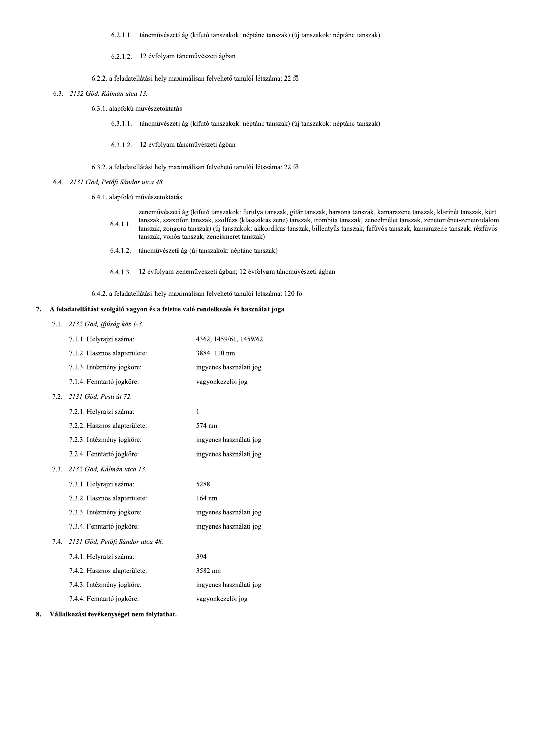6.2.1.1. táncművészeti ág (kifutó tanszakok: néptánc tanszak) (új tanszakok: néptánc tanszak)

### 6.2.1.2. 12 évfolyam táncművészeti ágban

6.2.2. a feladatellátási hely maximálisan felvehető tanulói létszáma: 22 fő

6.3. 2132 Göd, Kálmán utca 13.

6.3.1. alapfokú művészetoktatás

6.3.1.1. táncművészeti ág (kifutó tanszakok: néptánc tanszak) (új tanszakok: néptánc tanszak)

6.3.1.2. 12 évfolyam táncművészeti ágban

### 6.3.2. a feladatellátási hely maximálisan felvehető tanulói létszáma: 22 fő

6.4. 2131 Göd, Petőfi Sándor utca 48.

6.4.1. alapfokú művészetoktatás

|          | zeneművészeti ág (kifutó tanszakok: furulya tanszak, gitár tanszak, harsona tanszak, kamarazene tanszak, klarinét tanszak, kürt |
|----------|---------------------------------------------------------------------------------------------------------------------------------|
| 6.4.1.1. | tanszak, szaxofon tanszak, szolfézs (klasszikus zene) tanszak, trombita tanszak, zeneelmélet tanszak, zenetörténet-zeneirodalom |
|          | tanszak, zongora tanszak) (új tanszakok: akkordikus tanszak, billentvűs tanszak, fafúvós tanszak, kamarazene tanszak, rézfúvós  |
|          | tanszak, vonós tanszak, zeneismeret tanszak)                                                                                    |
|          |                                                                                                                                 |

6.4.1.2. táncművészeti ág (új tanszakok: néptánc tanszak)

6.4.1.3. 12 évfolyam zeneművészeti ágban; 12 évfolyam táncművészeti ágban

6.4.2. a feladatellátási hely maximálisan felvehető tanulói létszáma: 120 fő

### 7. A feladatellátást szolgáló vagyon és a felette való rendelkezés és használat joga

7.1. 2132 Göd, Ifjúság köz 1-3.

|      | 7.1.1. Helyrajzi száma:          | 4362, 1459/61, 1459/62  |
|------|----------------------------------|-------------------------|
|      | 7.1.2. Hasznos alapterülete:     | 3884+110 nm             |
|      | 7.1.3. Intézmény jogköre:        | ingyenes használati jog |
|      | 7.1.4. Fenntartó jogköre:        | vagyonkezelői jog       |
| 7.2. | 2131 Göd, Pesti út 72.           |                         |
|      | 7.2.1. Helyrajzi száma:          | $\mathbf{1}$            |
|      | 7.2.2. Hasznos alapterülete:     | 574 nm                  |
|      | 7.2.3. Intézmény jogköre:        | ingyenes használati jog |
|      | 7.2.4. Fenntartó jogköre:        | ingyenes használati jog |
| 7.3. | 2132 Göd. Kálmán utca 13.        |                         |
|      | 7.3.1. Helyrajzi száma:          | 5288                    |
|      | 7.3.2. Hasznos alapterülete:     | 164 nm                  |
|      | 7.3.3. Intézmény jogköre:        | ingyenes használati jog |
|      | 7.3.4. Fenntartó jogköre:        | ingyenes használati jog |
| 7.4. | 2131 Göd, Petőfi Sándor utca 48. |                         |
|      | 7.4.1. Helyrajzi száma:          | 394                     |
|      | 7.4.2. Hasznos alapterülete:     | 3582 nm                 |
|      | 7.4.3. Intézmény jogköre:        | ingyenes használati jog |
|      | 7.4.4. Fenntartó jogköre:        | vagyonkezelői jog       |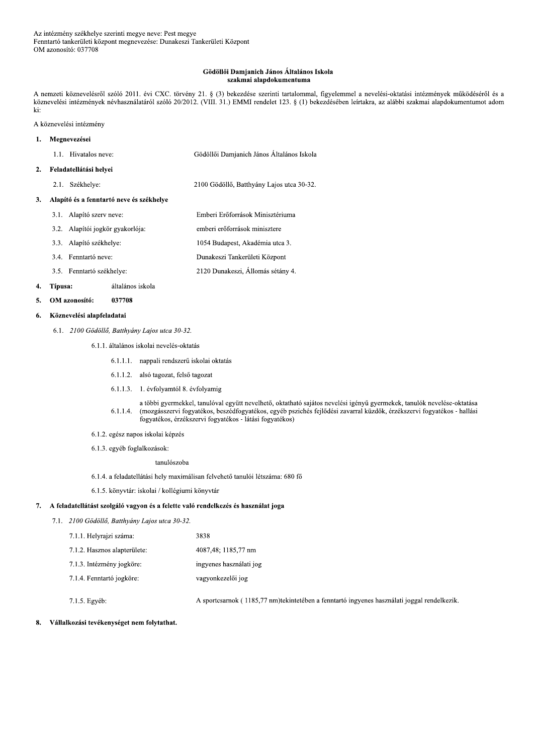### Gödöllői Damjanich János Általános Iskola szakmai alapdokumentuma

A nemzeti köznevelésről szóló 2011. évi CXC. törvény 21. § (3) bekezdése szerinti tartalommal, figyelemmel a nevelési-oktatási intézmények működéséről és a köznevelési intézmények névhasználatáról szóló 20/2012. (VIII. 31.) EMMI rendelet 123. § (1) bekezdésében leírtakra, az alábbi szakmai alapdokumentumot adom ki:

A köznevelési intézmény

#### Megnevezései  $\mathbf{1}$ .

| 1.1. Hivatalos neve: | Gödöllői Damianich János Általános Iskola |
|----------------------|-------------------------------------------|
|                      |                                           |

#### Feladatellátási helyei  $2.$

2.1. Székhelye: 2100 Gödöllő, Batthyány Lajos utca 30-32.

### 3. Alapító és a fenntartó neve és székhelye

- 3.1. Alapító szerv neve: Emberi Erőforrások Minisztériuma 3.2. Alapítói jogkör gyakorlója: emberi erőforrások minisztere 3.3. Alapító székhelye: 1054 Budapest, Akadémia utca 3. Dunakeszi Tankerületi Központ 3.4. Fenntartó neve:
- 2120 Dunakeszi, Állomás sétány 4. 3.5. Fenntartó székhelye:

#### 4. Típusa: általános iskola

OM azonosító: 037708  $\mathbf{5}$ 

#### Köznevelési alapfeladatai 6.

- 6.1. 2100 Gödöllő, Batthyány Lajos utca 30-32.
	- 6.1.1. általános iskolai nevelés-oktatás
		- 6.1.1.1. nappali rendszerű iskolai oktatás
		- 6.1.1.2. alsó tagozat, felső tagozat
		- 6.1.1.3. 1. évfolyamtól 8. évfolyamig
		- a többi gyermekkel, tanulóval együtt nevelhető, oktatható sajátos nevelési igényű gyermekek, tanulók nevelése-oktatása 6.1.1.4. (mozgásszervi fogyatékos, beszédfogyatékos, egyéb pszichés fejlődési zavarral küzdők, érzékszervi fogyatékos - hallási fogyatékos, érzékszervi fogyatékos - látási fogyatékos)
	- 6.1.2. egész napos iskolai képzés
	- 6.1.3. egyéb foglalkozások:

### tanulószoba

- 6.1.4. a feladatellátási hely maximálisan felvehető tanulói létszáma: 680 fő
- 6.1.5. könyvtár: iskolai / kollégiumi könyvtár

### 7. A feladatellátást szolgáló vagyon és a felette való rendelkezés és használat joga

7.1. 2100 Gödöllő, Batthyány Lajos utca 30-32.

| 7.1.1. Helyrajzi száma:      | 3838                    |
|------------------------------|-------------------------|
| 7.1.2. Hasznos alapterülete: | 4087, 48; 1185, 77 nm   |
| 7.1.3. Intézmény jogköre:    | ingyenes használati jog |
| 7.1.4. Fenntartó jogköre:    | vagyonkezelői jog       |
|                              |                         |

7.1.5. Egyéb:

A sportcsarnok (1185,77 nm)tekintetében a fenntartó ingyenes használati joggal rendelkezik.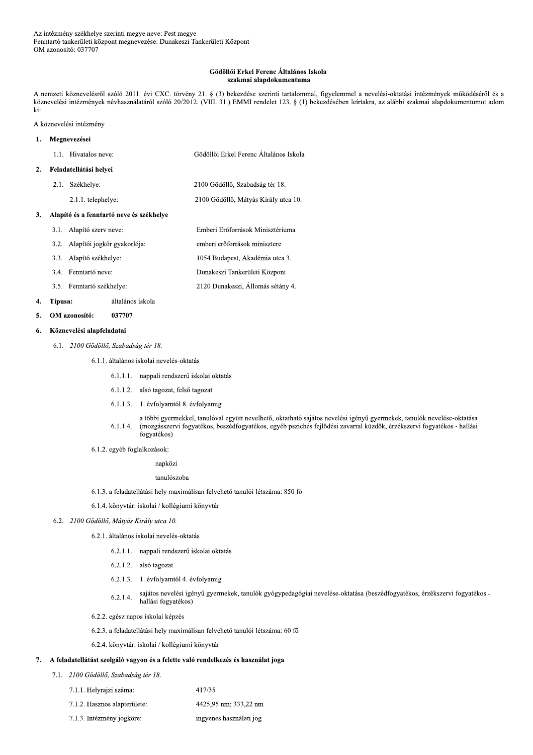#### Gödöllői Erkel Ferenc Általános Iskola szakmai alapdokumentuma

A nemzeti köznevelésről szóló 2011. évi CXC. törvény 21. § (3) bekezdése szerinti tartalommal, figyelemmel a nevelési-oktatási intézmények működéséről és a köznevelési intézmények névhasználatáról szóló 20/2012. (VIII. 31.) EMMI rendelet 123. § (1) bekezdésében leírtakra, az alábbi szakmai alapdokumentumot adom ki:

### A köznevelési intézmény

### Megnevezései  $\mathbf{1}$ . 1.1. Hivatalos neve: Gödöllői Erkel Ferenc Általános Iskola Feladatellátási helyei  $2.$ 2.1. Székhelye: 2100 Gödöllő, Szabadság tér 18. 2.1.1. telephelye: 2100 Gödöllő, Mátyás Király utca 10. 3. Alapító és a fenntartó neve és székhelye

3.1. Alapító szerv neve: Emberi Erőforrások Minisztériuma 3.2. Alapítói jogkör gyakorlója: emberi erőforrások minisztere 3.3. Alapító székhelye: 1054 Budapest, Akadémia utca 3. 3.4. Fenntartó neve: Dunakeszi Tankerületi Központ 3.5. Fenntartó székhelye: 2120 Dunakeszi, Állomás sétány 4.

#### $\overline{4}$ . Típusa: általános iskola

#### OM azonosító: 5. 037707

#### Köznevelési alapfeladatai 6.

6.1. 2100 Gödöllő, Szabadság tér 18.

6.1.1. általános iskolai nevelés-oktatás

- 6.1.1.1. nappali rendszerű iskolai oktatás
- 6.1.1.2. alsó tagozat, felső tagozat
- 6.1.1.3. 1. évfolyamtól 8. évfolyamig
- a többi gyermekkel, tanulóval együtt nevelhető, oktatható sajátos nevelési igényű gyermekek, tanulók nevelése-oktatása (mozgásszervi fogyatékos, beszédfogyatékos, egyéb pszichés fejlődési zavarral küzdők, érzékszervi fogyatékos - hallási  $6.1.1.4.$ fogyatékos)
- 6.1.2. egyéb foglalkozások:

### napközi

### tanulószoba

- 6.1.3. a feladatellátási hely maximálisan felvehető tanulói létszáma: 850 fő
- 6.1.4. könyvtár: iskolai / kollégiumi könyvtár

### 6.2. 2100 Gödöllő, Mátyás Király utca 10.

- 6.2.1. általános iskolai nevelés-oktatás
	- 6.2.1.1. nappali rendszerű iskolai oktatás
	- 6.2.1.2. alsó tagozat
	- 6.2.1.3. 1. évfolyamtól 4. évfolyamig
	- sajátos nevelési igényű gyermekek, tanulók gyógypedagógiai nevelése-oktatása (beszédfogyatékos, érzékszervi fogyatékos - $6.2.1.4.$ hallási fogyatékos)
- 6.2.2. egész napos iskolai képzés
- 6.2.3. a feladatellátási hely maximálisan felvehető tanulói létszáma: 60 fő
- 6.2.4. könyvtár. iskolai / kollégiumi könyvtár

### 7. A feladatellátást szolgáló vagyon és a felette való rendelkezés és használat joga

- 7.1. 2100 Gödöllő, Szabadság tér 18.
	- 7.1.1. Helyrajzi száma: 417/35
	- 7.1.2. Hasznos alapterülete: 4425,95 nm; 333,22 nm
	- 7.1.3. Intézmény jogköre: ingyenes használati jog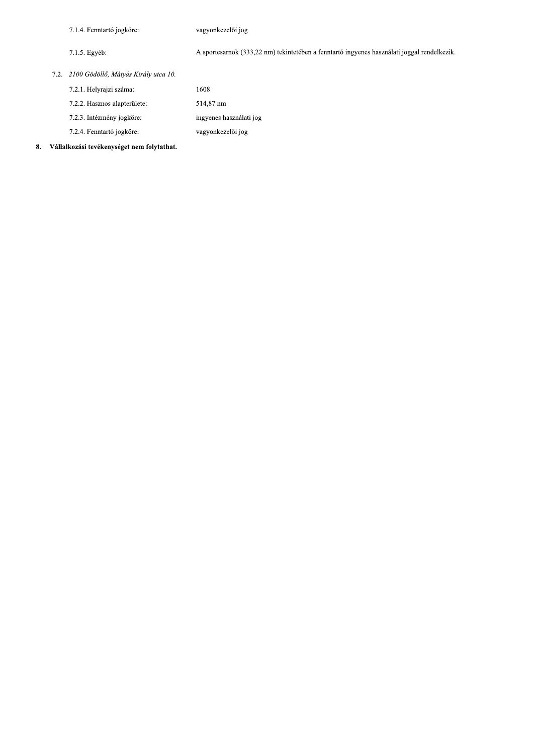7.1.4. Fenntartó jogköre:

vagyonkezelői jog

 $7.1.5.$  Egyéb:

A sportcsarnok (333,22 nm) tekintetében a fenntartó ingyenes használati joggal rendelkezik.

7.2. 2100 Gödöllő, Mátyás Király utca 10.

| 7.2.1. Helyrajzi száma:      | 1608                    |
|------------------------------|-------------------------|
| 7.2.2. Hasznos alapterülete: | 514,87 nm               |
| 7.2.3. Intézmény jogköre:    | ingyenes használati jog |
| 7.2.4. Fenntartó jogköre:    | vagyonkezelői jog       |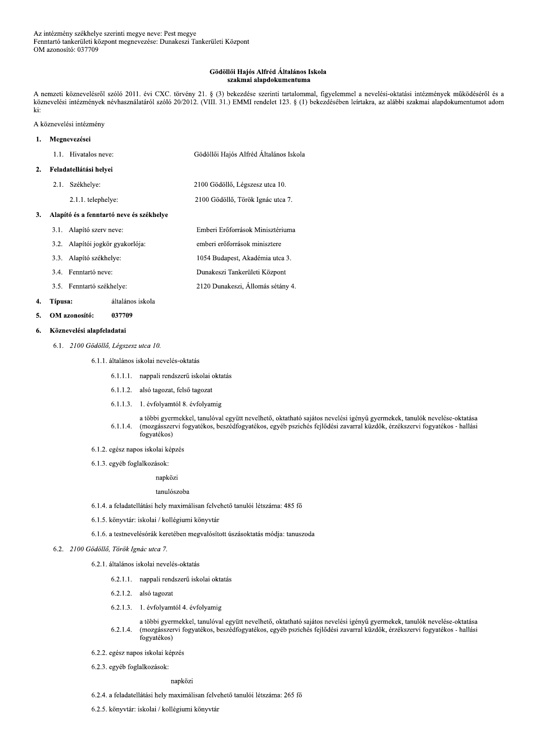zékhelye szerinti megye neve: Pest megye<br>
rületi központ megnevezése: Dunakeszi Tankerületi Központ<br>
037709<br> **Gödöllői Hajós Alfréd Általános Iskola<br>
szakmai alapdokumentuma**<br>
szakmai alapdokumentuma<br>
szakmai alapdokumentu Az intézmény székhelye szerinti megye neve: Pest megye<br>
Fenntartó tankerületi központ megnevezése: Dunakeszi Tankerületi Központ<br>
OM azonosító: 037709<br> **Gödöllői Hajós Alfréd Általános Iskola<br>
szakmai alapdokumentuma**<br>
A n nemzeti koznevelesrol szolo 2011. évi CXC. torveny 21. § (3) bekezdese szerinti tartalommal, figyelemmel a nevelesi-oktátási intezmenyek mukodeseről és a koznevelesi intezmenyek nevhasznalatarol szolo 20/2012. (VIII. 31.) EMMI rendelet 123. § (1) bekezdeseben leirtakra, az alabbi szakmai alapdokumentumot adom ki:

<sub>k1:</sub><br>A köznevelési intézmény

# 1. Megnevezései 1.1. Hivatalos neve: neve: Godolloi Hajos Alfred Altalanos Isko Soznevelesi intézmény<br>
ki:<br>
A köznevelési intézmény<br>
1. Megnevezései<br>
1.1. Hivatalos neve:<br> **Configure 1.4.3.5 EMMI** rendelet 12.5. § (1)<br>
1. Megnevezései<br>
1.1. Hivatalos neve:<br>
Gödöllői Hajós Alfréd Általános Iskola<br>
2.1.

 $2.1.1.$  telephelye:  $2100 \text{ G}$ 

helye: 2100 Godollo, Legszesz utca 10. Godollo, Torok Ignac utca 7.

### 3. Alapító és a fenntartó neve és székhelye

3.1. Alapito szerv ne neve: Emberi Eröforrások Minisztériuma 3.2. Alapitoi jogkor gyako orloja: emberi eröforrások minisztere 3.3. Alapito szekh helye: 1054 Budapest, Akademia utca 3. 3.4. Fenntartó neve: neve: Dunakeszi Tankerületi Központ 3.5. Fenntarto szekh helye: 2120 Dunakeszi, Allomas setany 4. 3.4. Fenntartó neve:<br>
3.5. Fenntartó székhelye:<br>
4. **Típusa:** altalános iskola<br>
5. **OM azonosító:** 037709<br>
6. **Köznevelési alapfeladatai**<br>
6.1. 2100 Gödöllő, Légszesz utca 10.<br>
6.1.1. általános iskolai nevelés-<br>
6.1.1.1.

# 4. Tipusa: altalanos iskola

6.1.1. altalanos iskolai neveles-oktatas

- 6.1.1.1. nappali rendszeru iskolai oktatas
- 6.1.1.2. also tagozat, felso tagozat
- 6.1.1.3. L. evfolyamtol 8. evfolyamig
- $6.1.1.4.$ tobbi gyermekkel, tanulóval egyutt nevelhető, oktatható sajatos nevelesi igényü gyermekek, tanulók nevelése-oktatása (mozgasszervi fogyatekos, beszedfogyatekos, egyeb psziches fejlődesi zavarral kuzdók, érzékszervi fogyatekos - hallasi togyatekos)
- 6.1.2. egėsz napos iskolai kėpzės
- 6.1.3. egyeb foglalkozások:

### napkozi

### tanulószoba

- 6.1.4. a feladatellatasi hely maximalisan felveheto tanuloi letszama: 485 fo
- 6.1.5. konyvtar: iskolai / kollegiumi konyvtar
- 6.1.6. a testnevelesorak kereteben megvalosított uszasoktatas modja: tanuszoda
- 6.2. 2100 Gödöllő, Török Ignác utca 7.
	- 6.2.1. altalanos iskolai neveles-oktatas
		- 6.2.1.1. nappali rendszeru iskolai oktatas
		- 6.2.1.2. also tagozat
		- 6.2.1.3. I. evfolyamtol 4. evfolyamig
		- $6.2.1.4.$ tobbi gyermekkel, tanuloval együtt nevelhető, oktatható sajatos nevelesi igenyű gyermekek, tanulók nevelese-oktatasa (mozgasszervi fogyatekos, beszedfogyatekos, egyeb psziches fejlodesi zavarral kuzdok, erzekszervi fogyatekos - hallasi togyatekos)
	- 6.2.2. egėsz napos iskolai kėpzės
	- 6.2.3. egyéb foglalkozások:

### napkozi

- 6.2.4. a feladatellatási hely maximálisan felvehető tanulói létszáma: 265 fő
- 6.2.5. konyvtar: iskolai / kollegiumi konyvtar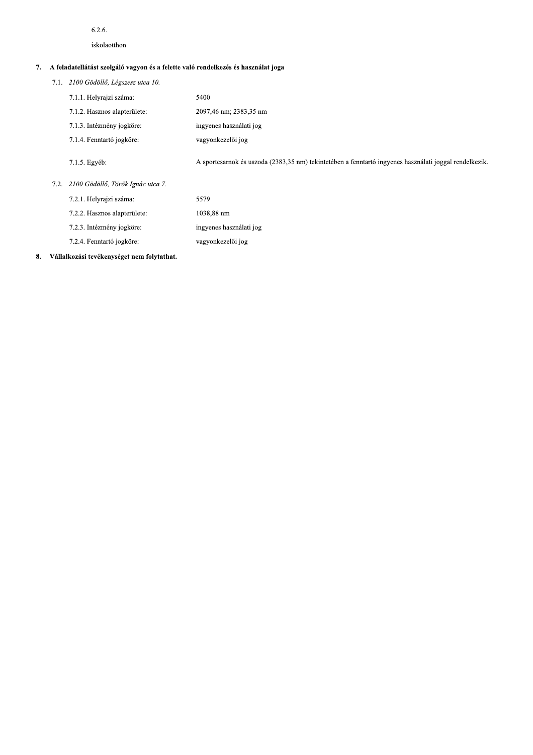### $6.2.6$

iskolaotthon

# 7. A feladatellátást szolgáló vagyon és a felette való rendelkezés és használat joga

| 7.1. 2100 Gödöllő, Légszesz utca 10. |  |
|--------------------------------------|--|
|--------------------------------------|--|

| 7.1.1. Helyrajzi száma:      | 5400                                  |
|------------------------------|---------------------------------------|
| 7.1.2. Hasznos alapterülete: | 2097,46 nm; 2383,35 nm                |
| 7.1.3. Intézmény jogköre:    | ingyenes használati jog               |
| 7.1.4. Fenntartó jogköre:    | vagyonkezelői jog                     |
| 7.1.5. Egyéb:                | A sportcsarnok és uszoda (2383,35 nm) |

) tekintetében a fenntartó ingyenes használati joggal rendelkezik.

### 7.2. 2100 Gödöllő, Török Ignác utca 7.

| 7.2.1. Helyrajzi száma:      | 5579                    |
|------------------------------|-------------------------|
| 7.2.2. Hasznos alapterülete: | 1038,88 nm              |
| 7.2.3. Intézmény jogköre:    | ingyenes használati jog |
| 7.2.4. Fenntartó jogköre:    | vagyonkezelői jog       |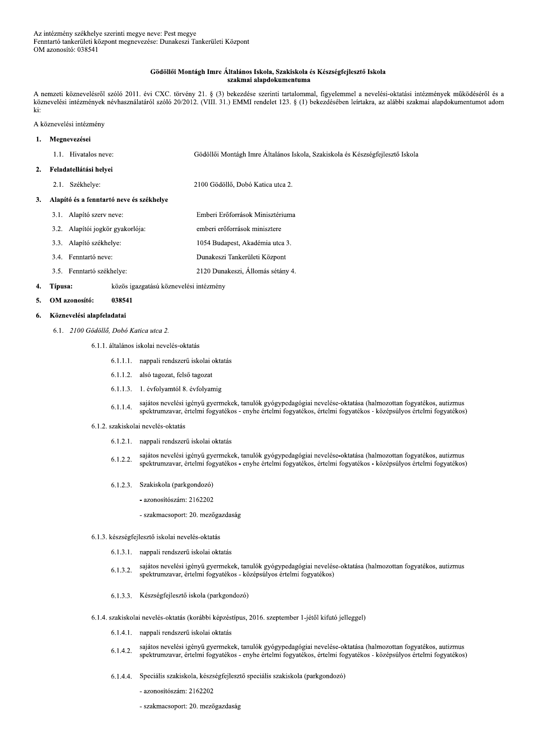### Gödöllői Montágh Imre Általános Iskola, Szakiskola és Készségfejlesztő Iskola szakmai alapdokumentuma

A nemzeti köznevelésről szóló 2011. évi CXC. törvény 21. § (3) bekezdése szerinti tartalommal, figyelemmel a nevelési-oktatási intézmények működéséről és a köznevelési intézmények névhasználatáról szóló 20/2012. (VIII. 31.) EMMI rendelet 123. § (1) bekezdésében leírtakra, az alábbi szakmai alapdokumentumot adom ki:

A köznevelési intézmény

#### Megnevezései  $\mathbf{1}$ .

| 1.1. Hivatalos neve: | Gödöllői Montágh Imre Általános Iskola, Szakiskola és Készségfejlesztő Iskola |
|----------------------|-------------------------------------------------------------------------------|
|                      |                                                                               |

#### Feladatellátási helyei  $2.$

2.1. Székhelye: 2100 Gödöllő. Dobó Katica utca 2.

#### Alapító és a fenntartó neve és székhelye  $\overline{3}$ .

- 3.1. Alapító szerv neve: Emberi Erőforrások Minisztériuma 3.2. Alapítói jogkör gyakorlója: emberi erőforrások minisztere 3.3. Alapító székhelye: 1054 Budapest, Akadémia utca 3. 3.4. Fenntartó neve: Dunakeszi Tankerületi Központ 3.5. Fenntartó székhelye: 2120 Dunakeszi, Állomás sétány 4.
- Típusa: közös igazgatású köznevelési intézmény 4.

#### OM azonosító: 038541  $\mathbf{5}$

#### Köznevelési alapfeladatai 6.

- 6.1. 2100 Gödöllő. Dobó Katica utca 2.
	- 6.1.1. általános iskolai nevelés-oktatás
		- 6.1.1.1. nappali rendszerű iskolai oktatás
		- 6.1.1.2. alsó tagozat, felső tagozat
		- 6.1.1.3. 1. évfolyamtól 8. évfolyamig
		- sajátos nevelési igényű gyermekek, tanulók gyógypedagógiai nevelése-oktatása (halmozottan fogyatékos, autizmus  $6.1.1.4.$ spektrumzavar, értelmi fogyatékos - enyhe értelmi fogyatékos, értelmi fogyatékos - középsúlyos értelmi fogyatékos)
	- 6.1.2. szakiskolai nevelés-oktatás
		- 6.1.2.1. nappali rendszerű iskolai oktatás
		- sajátos nevelési igényű gyermekek, tanulók gyógypedagógiai nevelése-oktatása (halmozottan fogyatékos, autizmus 6122 spektrumzavar, értelmi fogyatékos - enyhe értelmi fogyatékos, értelmi fogyatékos - középsúlyos értelmi fogyatékos)
		- 6.1.2.3. Szakiskola (parkgondozó)
			- azonosítószám: 2162202
			- szakmacsoport: 20. mezőgazdaság
	- 6.1.3. készségfejlesztő iskolai nevelés-oktatás
		- 6.1.3.1. nappali rendszerű iskolai oktatás
		- sajátos nevelési igényű gyermekek, tanulók gyógypedagógiai nevelése-oktatása (halmozottan fogyatékos, autizmus 6.1.3.2. spektrumzavar, értelmi fogyatékos - középsúlyos értelmi fogyatékos)
		- 6.1.3.3. Készségfejlesztő iskola (parkgondozó)
	- 6.1.4. szakiskolai nevelés-oktatás (korábbi képzéstípus, 2016. szeptember 1-jétől kifutó jelleggel)
		- 6.1.4.1. nappali rendszerű iskolai oktatás
		- sajátos nevelési igényű gyermekek, tanulók gyógypedagógiai nevelése-oktatása (halmozottan fogyatékos, autizmus 6.1.4.2. spektrumzavar, értelmi fogyatékos - enyhe értelmi fogyatékos, értelmi fogyatékos - középsúlyos értelmi fogyatékos)
		- 6.1.4.4. Speciális szakiskola, készségfejlesztő speciális szakiskola (parkgondozó)
			- azonosítószám: 2162202
			- szakmacsoport: 20. mezőgazdaság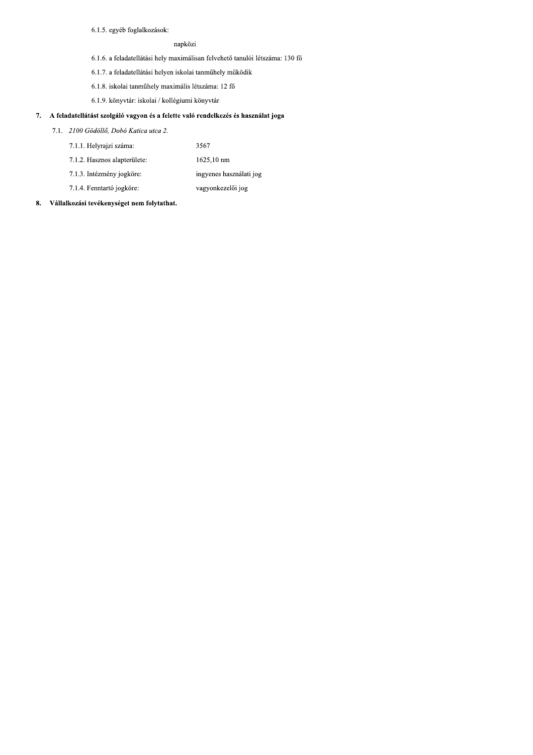6.1.5. egyéb foglalkozások:

### napközi

- 6.1.6. a feladatellátási hely maximálisan felvehető tanulói létszáma: 130 fő
- 6.1.7. a feladatellátási helyen iskolai tanműhely működik
- 6.1.8. iskolai tanműhely maximális létszáma: 12 fő
- 6.1.9. könyvtár: iskolai / kollégiumi könyvtár

### 7. A feladatellátást szolgáló vagyon és a felette való rendelkezés és használat joga

- 7.1. 2100 Gödöllő, Dobó Katica utca 2.
	- 7.1.1. Helyrajzi száma: 3567
	- 7.1.2. Hasznos alapterülete:  $1625,10 \text{ nm}$
	- 7.1.3. Intézmény jogköre: ingyenes használati jog
	- 7.1.4. Fenntartó jogköre: vagyonkezelői jog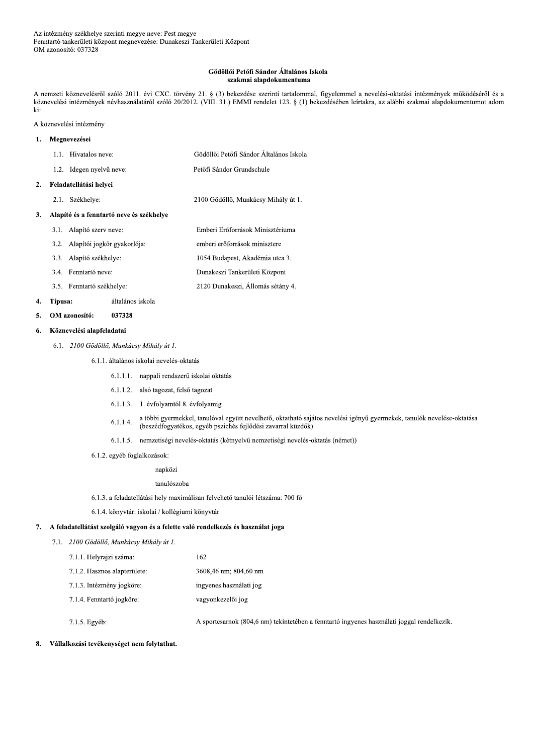#### Gödöllői Petőfi Sándor Általános Iskola szakmai alapdokumentuma

A nemzeti köznevelésről szóló 2011. évi CXC. törvény 21. § (3) bekezdése szerinti tartalommal, figyelemmel a nevelési-oktatási intézmények működéséről és a köznevelési intézmények névhasználatáról szóló 20/2012. (VIII. 31.) EMMI rendelet 123. § (1) bekezdésében leírtakra, az alábbi szakmai alapdokumentumot adom ki:

A köznevelési intézmény

#### $\mathbf{1}$ . Megnevezései

 $\overline{2}$ .

 $\overline{3}$ .

|                                          | 1.1. Hivatalos neve:             | Gödöllői Petőfi Sándor Általános Iskola |  |
|------------------------------------------|----------------------------------|-----------------------------------------|--|
| 1.2.                                     | Idegen nyelvű neve:              | Petőfi Sándor Grundschule               |  |
| Feladatellátási helyei                   |                                  |                                         |  |
| 2.1.                                     | Székhelye:                       | 2100 Gödöllő, Munkácsy Mihály út 1.     |  |
| Alapító és a fenntartó neve és székhelye |                                  |                                         |  |
|                                          | 3.1. Alapító szerv neve:         | Emberi Erőforrások Minisztériuma        |  |
|                                          | 3.2. Alapítói jogkör gyakorlója: | emberi erőforrások minisztere           |  |
|                                          | 3.3. Alapító székhelye:          | 1054 Budapest, Akadémia utca 3.         |  |
|                                          | 3.4. Fenntartó neve:             | Dunakeszi Tankerületi Központ           |  |

3.5. Fenntartó székhelye:

#### 4. Típusa: általános iskola

#### 5. OM azonosító: 037328

#### Köznevelési alapfeladatai 6.

6.1. 2100 Gödöllő, Munkácsy Mihály út 1.

6.1.1. általános iskolai nevelés-oktatás

- 6.1.1.1. nappali rendszerű iskolai oktatás
- 6.1.1.2. alsó tagozat, felső tagozat
- 6.1.1.3. 1. évfolyamtól 8. évfolyamig
- a többi gyermekkel, tanulóval együtt nevelhető, oktatható sajátos nevelési igényű gyermekek, tanulók nevelése-oktatása  $6.1.1.4.$ (beszédfogyatékos, egyéb pszichés fejlődési zavarral küzdők)
- 6.1.1.5. nemzetiségi nevelés-oktatás (kétnyelvű nemzetiségi nevelés-oktatás (német))

2120 Dunakeszi, Állomás sétány 4.

- 6.1.2. egyéb foglalkozások:
	- napközi

#### tanulószoba

- 6.1.3. a feladatellátási hely maximálisan felvehető tanulói létszáma: 700 fő
- 6.1.4. könyvtár: iskolai / kollégiumi könyvtár

### 7. A feladatellátást szolgáló vagyon és a felette való rendelkezés és használat joga

7.1. 2100 Gödöllő, Munkácsy Mihály út 1.

| 7.1.1. Helyrajzi száma:      | 162.                    |
|------------------------------|-------------------------|
| 7.1.2. Hasznos alapterülete: | 3608,46 nm; 804,60 nm   |
| 7.1.3. Intézmény jogköre:    | ingyenes használati jog |
| 7.1.4. Fenntartó jogköre:    | vagyonkezelői jog       |

7.1.5. Egyéb:

A sportcsarnok (804,6 nm) tekintetében a fenntartó ingyenes használati joggal rendelkezik.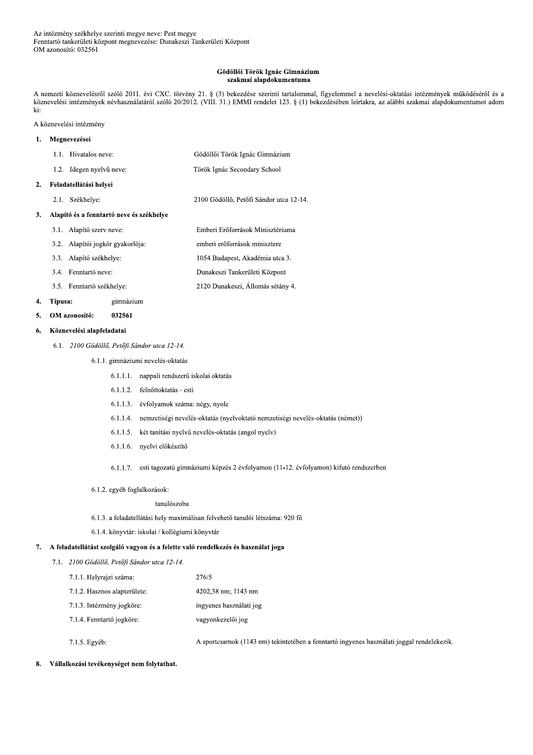### Gödöllői Török Ignác Gimnázium szakmai alapdokumentuma

A nemzeti köznevelésről szóló 2011. évi CXC. törvény 21. § (3) bekezdése szerinti tartalommal, figyelemmel a nevelési-oktatási intézmények működéséről és a köznevelési intézmények névhasználatáról szóló 20/2012. (VIII. 31.) EMMI rendelet 123. § (1) bekezdésében leírtakra, az alábbi szakmai alapdokumentumot adom ki:

A köznevelési intézmény

#### $\mathbf{1}$ . Megnevezései

 $\overline{2}$ .

 $\overline{3}$ .

|                                          | 1.1. Hivatalos neve:             | Gödöllői Török Ignác Gimnázium          |  |
|------------------------------------------|----------------------------------|-----------------------------------------|--|
|                                          | 1.2. Idegen nyelvű neve:         | Török Ignác Secondary School            |  |
| Feladatellátási helyei                   |                                  |                                         |  |
| 2.1.                                     | Székhelye:                       | 2100 Gödöllő, Petőfi Sándor utca 12-14. |  |
| Alapító és a fenntartó neve és székhelye |                                  |                                         |  |
|                                          | 3.1. Alapító szerv neve:         | Emberi Erőforrások Minisztériuma        |  |
|                                          | 3.2. Alapítói jogkör gyakorlója: | emberi erőforrások minisztere           |  |
| 3.3.                                     | Alapító székhelye:               | 1054 Budapest, Akadémia utca 3.         |  |
|                                          | 3.4. Fenntartó neve:             | Dunakeszi Tankerületi Központ           |  |
|                                          |                                  |                                         |  |

3.5. Fenntartó székhelye:

#### 4. Típusa: gimnázium

5. OM azonosító: 032561

#### Köznevelési alapfeladatai 6.

### 6.1. 2100 Gödöllő, Petőfi Sándor utca 12-14.

6.1.1. gimnáziumi nevelés-oktatás

- 6.1.1.1. nappali rendszerű iskolai oktatás
- 6.1.1.2. felnőttoktatás esti
- 6.1.1.3. évfolyamok száma: négy, nyolc
- 6.1.1.4. nemzetiségi nevelés-oktatás (nyelvoktató nemzetiségi nevelés-oktatás (német))

2120 Dunakeszi, Állomás sétány 4.

- 6.1.1.5. két tanítási nyelvű nevelés-oktatás (angol nyelv)
- 6.1.1.6. nyelvi előkészítő
- 6.1.1.7. esti tagozatú gimnáziumi képzés 2 évfolyamon (11-12. évfolyamon) kifutó rendszerben
- 6.1.2. egyéb foglalkozások:

#### tanulószoba

- 6.1.3. a feladatellátási hely maximálisan felvehető tanulói létszáma: 920 fő
- 6.1.4. könyvtár: iskolai / kollégiumi könyvtár

### 7. A feladatellátást szolgáló vagyon és a felette való rendelkezés és használat joga

7.1. 2100 Gödöllő, Petőfi Sándor utca 12-14.

| 7.1.1. Helyrajzi száma:      | 276/5                   |
|------------------------------|-------------------------|
| 7.1.2. Hasznos alapterülete: | 4202,38 nm; 1143 nm     |
| 7.1.3. Intézmény jogköre:    | ingyenes használati jog |
| 7.1.4. Fenntartó jogköre.    | vagyonkezelői jog       |
|                              |                         |

7.1.5. Egyéb:

A sportcsarnok (1143 nm) tekintetében a fenntartó ingyenes használati joggal rendelekezik.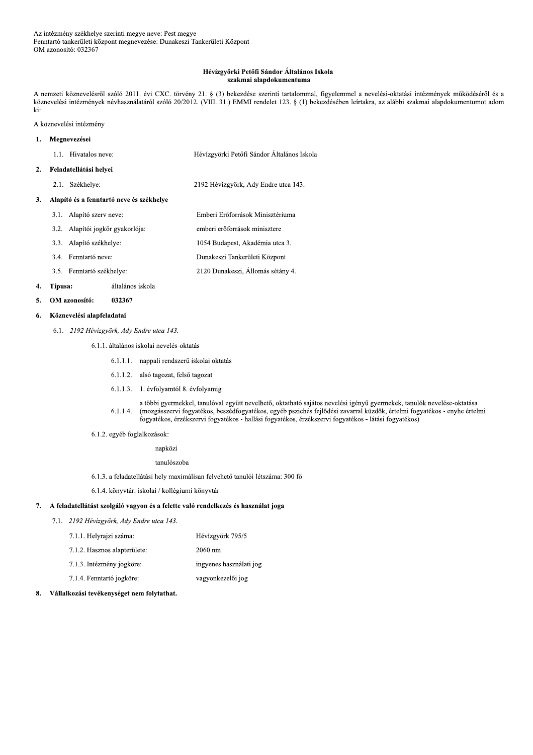### Hévízgyörki Petőfi Sándor Általános Iskola szakmai alapdokumentuma

A nemzeti köznevelésről szóló 2011. évi CXC. törvény 21. § (3) bekezdése szerinti tartalommal, figyelemmel a nevelési-oktatási intézmények működéséről és a köznevelési intézmények névhasználatáról szóló 20/2012. (VIII. 31.) EMMI rendelet 123. § (1) bekezdésében leírtakra, az alábbi szakmai alapdokumentumot adom ki:

### A köznevelési intézmény

#### Megnevezései  $\mathbf{1}$ .

#### Feladatellátási helyei  $2.$

2.1. Székhelye: 2192 Hévízgyörk, Ady Endre utca 143.

#### 3. Alapító és a fenntartó neve és székhelye

- 3.1. Alapító szerv neve: Emberi Erőforrások Minisztériuma 3.2. Alapítói jogkör gyakorlója: emberi erőforrások minisztere 3.3. Alapító székhelye: 1054 Budapest, Akadémia utca 3. Dunakeszi Tankerületi Központ 3.4. Fenntartó neve:
- 2120 Dunakeszi, Állomás sétány 4. 3.5. Fenntartó székhelye:

#### 4. Típusa: általános iskola

OM azonosító: 032367  $\mathbf{5}$ 

#### Köznevelési alapfeladatai 6.

6.1. 2192 Hévízgyörk, Ady Endre utca 143.

6.1.1. általános iskolai nevelés-oktatás

- 6.1.1.1. nappali rendszerű iskolai oktatás
- 6.1.1.2. alsó tagozat, felső tagozat
- 6.1.1.3. 1. évfolyamtól 8. évfolyamig
- a többi gyermekkel, tanulóval együtt nevelhető, oktatható sajátos nevelési igényű gyermekek, tanulók nevelése-oktatása (mozgásszervi fogyatékos, beszédfogyatékos, egyéb pszichés fejlődési zavarral küzdők, értelmi fogyatékos - enyhe értelmi  $6.1.1.4.$ fogyatékos, érzékszervi fogyatékos - hallási fogyatékos, érzékszervi fogyatékos - látási fogyatékos)
- 6.1.2. egyéb foglalkozások:

### napközi

tanulószoba

- 6.1.3. a feladatellátási hely maximálisan felvehető tanulói létszáma: 300 fő
- 6.1.4. könyvtár: iskolai / kollégiumi könyvtár

### 7. A feladatellátást szolgáló vagyon és a felette való rendelkezés és használat joga

7.1. 2192 Hévízgyörk, Ady Endre utca 143.

| 7.1.1. Helyrajzi száma:      | Hévízgyörk 795/5  |
|------------------------------|-------------------|
| 7.1.2. Hasznos alapterülete: | $2060 \text{ nm}$ |

- 7.1.3. Intézmény jogköre: ingyenes használati jog
- 7.1.4. Fenntartó jogköre: vagyonkezelői jog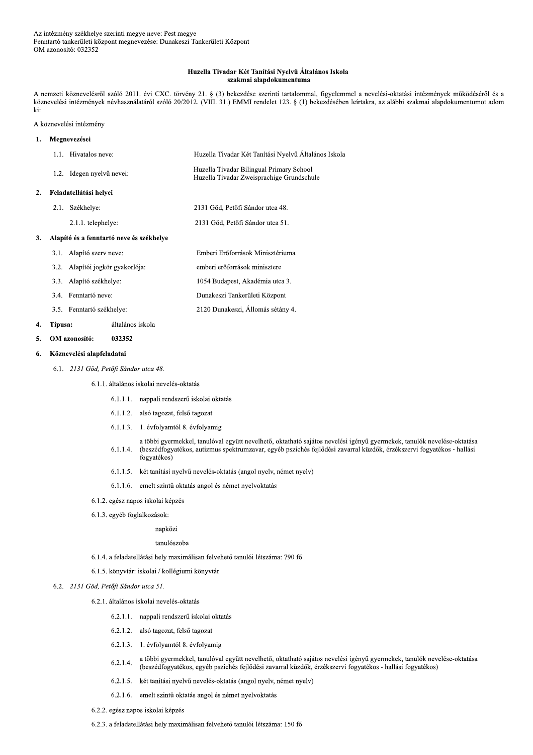#### Huzella Tivadar Két Tanítási Nyelvű Általános Iskola szakmai alapdokumentuma

A nemzeti köznevelésről szóló 2011. évi CXC. törvény 21. § (3) bekezdése szerinti tartalommal, figyelemmel a nevelési-oktatási intézmények működéséről és a köznevelési intézmények névhasználatáról szóló 20/2012. (VIII. 31.) EMMI rendelet 123. § (1) bekezdésében leírtakra, az alábbi szakmai alapdokumentumot adom ki:

### A köznevelési intézmény

 $\overline{a}$ 

| 1. |      | Megnevezései                             |                                                                                       |
|----|------|------------------------------------------|---------------------------------------------------------------------------------------|
|    |      | 1.1. Hivatalos neve:                     | Huzella Tivadar Két Tanítási Nyelvű Általános Iskola                                  |
|    |      | 1.2. Idegen nyelvű nevei:                | Huzella Tivadar Bilingual Primary School<br>Huzella Tivadar Zweisprachige Grundschule |
| 2. |      | Feladatellátási helyei                   |                                                                                       |
|    | 2.1. | Székhelye:                               | 2131 Göd, Petőfi Sándor utca 48.                                                      |
|    |      | 2.1.1. telephelye:                       | 2131 Göd, Petőfi Sándor utca 51.                                                      |
| 3. |      | Alapító és a fenntartó neve és székhelye |                                                                                       |
|    | 3.1. | Alapító szerv neve:                      | Emberi Erőforrások Minisztériuma                                                      |
|    | 3.2. | Alapítói jogkör gyakorlója:              | emberi erőforrások minisztere                                                         |
|    |      | 3.3. Alapító székhelye:                  | 1054 Budapest, Akadémia utca 3.                                                       |
|    |      | 3.4. Fenntartó neve:                     | Dunakeszi Tankerületi Központ                                                         |
|    |      | 3.5. Fenntartó székhelye:                | 2120 Dunakeszi, Állomás sétány 4.                                                     |

#### Típusa: általános iskola  $\overline{4}$ .

#### 032352 5. OM azonosító:

#### Köznevelési alapfeladatai 6.

- 6.1. 2131 Göd, Petőfi Sándor utca 48.
	- 6.1.1. általános iskolai nevelés-oktatás
		- 6.1.1.1. nappali rendszerű iskolai oktatás
		- 6.1.1.2. alsó tagozat, felső tagozat
		- 6.1.1.3. 1. évfolyamtól 8. évfolyamig
		- a többi gyermekkel, tanulóval együtt nevelhető, oktatható sajátos nevelési igényű gyermekek, tanulók nevelése-oktatása  $6.1.1.4.$ (beszédfogyatékos, autizmus spektrumzavar, egyéb pszichés fejlődési zavarral küzdők, érzékszervi fogyatékos - hallási fogyatékos)
		- 6.1.1.5. két tanítási nyelvű nevelés-oktatás (angol nyelv, német nyelv)
		- 6.1.1.6. emelt szintű oktatás angol és német nyelvoktatás
	- 6.1.2. egész napos iskolai képzés
	- 6.1.3. egyéb foglalkozások:

### napközi

### tanulószoba

- 6.1.4. a feladatellátási hely maximálisan felvehető tanulói létszáma: 790 fő
- 6.1.5. könyvtár: iskolai / kollégiumi könyvtár

### 6.2. 2131 Göd, Petőfi Sándor utca 51.

- 6.2.1. általános iskolai nevelés-oktatás
	- 6.2.1.1. nappali rendszerű iskolai oktatás
	- 6.2.1.2. alsó tagozat, felső tagozat
	- 6.2.1.3. 1. évfolyamtól 8. évfolyamig
	- a többi gyermekkel, tanulóval együtt nevelhető, oktatható sajátos nevelési igényű gyermekek, tanulók nevelése-oktatása  $6.2.1.4.$ (beszédfogyatékos, egyéb pszichés fejlődési zavarral küzdők, érzékszervi fogyatékos - hallási fogyatékos)
	- 6.2.1.5. két tanítási nyelvű nevelés-oktatás (angol nyelv, német nyelv)
	- 6.2.1.6. emelt szintű oktatás angol és német nyelvoktatás
- 6.2.2. egész napos iskolai képzés
- 6.2.3. a feladatellátási hely maximálisan felvehető tanulói létszáma: 150 fő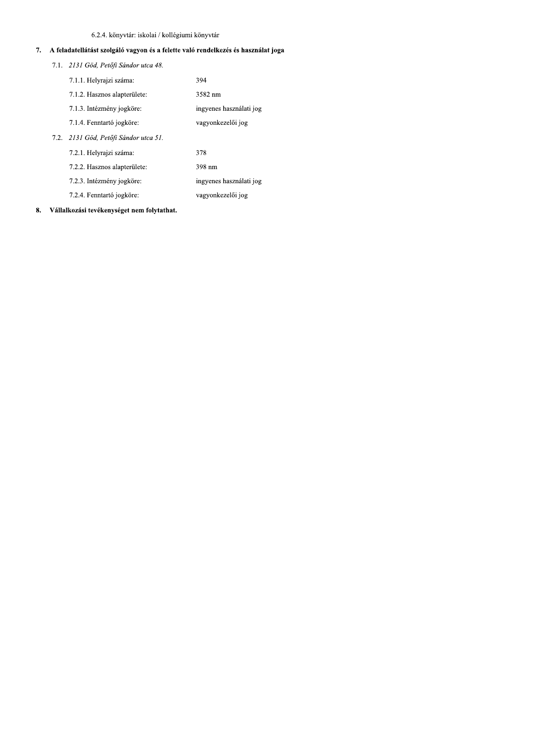### 6.2.4. könyvtár: iskolai / kollégiumi könyvtár

- 6.2.4. könyvtár: iskolai / kollégiumi könyvtár<br> **7.** A feladatellátást szolgáló vagyon és a felette való rendelkezés és használat joga<br>
7.1. 2131 Göd, Petőfi Sándor utca 48.<br>
7.1.1. Helyrajzi száma: 394<br>
7.1.2. Hasznos ala 1. 2131 Göd. Petőfi Sándor utca 48. 7.1.1. Helvraizi száma: 394 7.1.2. Hasznos alapterülete: 3582 nm 7.1.3. Intéz ézmény jogköre:<br>
ingyenes használati jog 7.1.4. Fenntartó vagyonkezelői jog 7.2. 2131 Göd. Petőfi Sándor utca 51. 7.2.1. Helvraizi száma: 378 7.2.2. Hasznos alapterülete: 398 nm 7.2.3. Intéz ézmény jogköre:<br>
ingyenes használati jog 7.2.4. Fenntartó vagyonkezelői jog
- 8. Vállalkozási tevékenységet nem folytathat.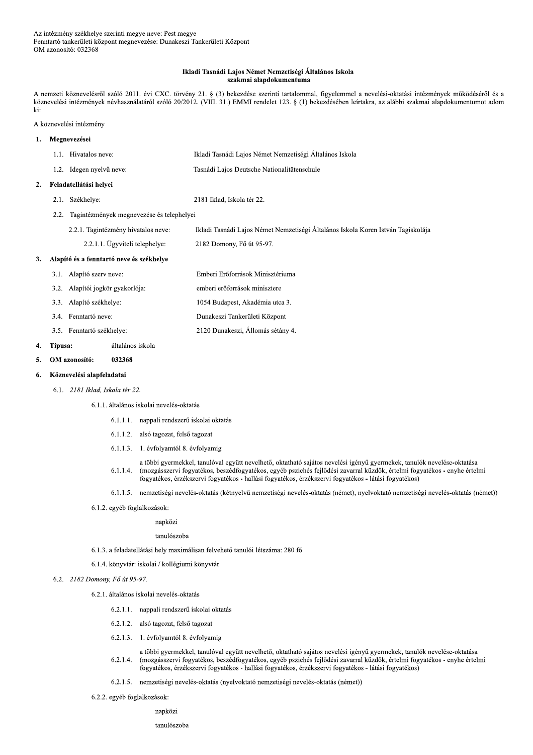### Ikladi Tasnádi Lajos Német Nemzetiségi Általános Iskola szakmai alapdokumentuma

A nemzeti köznevelésről szóló 2011. évi CXC. törvény 21. § (3) bekezdése szerinti tartalommal, figyelemmel a nevelési-oktatási intézmények működéséről és a köznevelési intézmények névhasználatáról szóló 20/2012. (VIII. 31.) EMMI rendelet 123. § (1) bekezdésében leírtakra, az alábbi szakmai alapdokumentumot adom ki:

A köznevelési intézmény

#### Megnevezései  $\mathbf{1}$ . 1.1. Hivatalos neve: Ikladi Tasnádi Lajos Német Nemzetiségi Általános Iskola 1.2. Idegen nyelvű neve: Tasnádi Lajos Deutsche Nationalitätenschule 2. Feladatellátási helyei 2.1. Székhelye: 2181 Iklad, Iskola tér 22. 2.2. Tagintézmények megnevezése és telephelyei 2.2.1. Tagintézmény hivatalos neve: Ikladi Tasnádi Lajos Német Nemzetiségi Általános Iskola Koren István Tagiskolája 2.2.1.1. Ügyviteli telephelye: 2182 Domony, Fő út 95-97. Alapító és a fenntartó neve és székhelye  $3.$ 3.1. Alapító szerv neve: Emberi Erőforrások Minisztériuma 3.2. Alapítói jogkör gyakorlója: emberi erőforrások minisztere 3.3. Alapító székhelye: 1054 Budapest, Akadémia utca 3. 3.4. Fenntartó neve: Dunakeszi Tankerületi Központ 2120 Dunakeszi, Állomás sétány 4. 3.5. Fenntartó székhelye: Típusa: általános iskola  $\overline{4}$ . OM azonosító: 032368 5. Köznevelési alapfeladatai 6.

6.1. 2181 Iklad, Iskola tér 22.

6.1.1. általános iskolai nevelés-oktatás

- 6.1.1.1. nappali rendszerű iskolai oktatás
- 6.1.1.2. alsó tagozat, felső tagozat
- 6.1.1.3. 1. évfolvamtól 8. évfolvamig
- a többi gyermekkel, tanulóval együtt nevelhető, oktatható sajátos nevelési igényű gyermekek, tanulók nevelése-oktatása (mozgásszervi fogyatékos, beszédfogyatékos, egyéb pszichés fejlődési zavarral küzdők, értelmi fogyatékos - enyhe értelmi  $6.1.1.4.$ fogyatékos, érzékszervi fogyatékos - hallási fogyatékos, érzékszervi fogyatékos - látási fogyatékos)
- 6.1.1.5. nemzetiségi nevelés-oktatás (kétnyelvű nemzetiségi nevelés-oktatás (német), nyelvoktató nemzetiségi nevelés-oktatás (német))
- 6.1.2. egyéb foglalkozások:

napközi

### tanulószoba

- 6.1.3. a feladatellátási hely maximálisan felvehető tanulói létszáma: 280 fő
- 6.1.4. könyvtár: iskolai / kollégiumi könyvtár

### 6.2. 2182 Domony, Fő út 95-97.

6.2.1. általános iskolai nevelés-oktatás

- 6.2.1.1. nappali rendszerű iskolai oktatás
- 6.2.1.2. alsó tagozat, felső tagozat
- 6.2.1.3. 1. évfolyamtól 8. évfolyamig
- a többi gyermekkel, tanulóval együtt nevelhető, oktatható sajátos nevelési igényű gyermekek, tanulók nevelése-oktatása  $6.2.1.4.$ (mozgásszervi fogyatékos, beszédfogyatékos, egyéb pszichés fejlődési zavarral küzdők, értelmi fogyatékos - enyhe értelmi fogyatékos, érzékszervi fogyatékos - hallási fogyatékos, érzékszervi fogyatékos - látási fogyatékos)
- 6.2.1.5. nemzetiségi nevelés-oktatás (nyelvoktató nemzetiségi nevelés-oktatás (német))
- 6.2.2. egyéb foglalkozások:
	- napközi

tanulószoba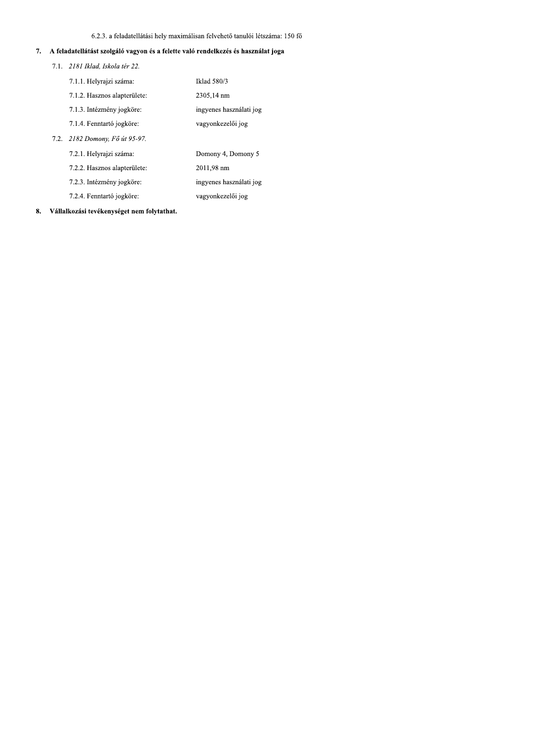### 6.2.3. a feladatellátási hely maximálisan felvehető tanulói létszáma: 150 fő

# 7. A feladatellátást szolgáló vagyon és a felette való rendelkezés és használat joga

7.1. 2181 Iklad, Iskola tér 22.

 $7.2.$ 

| 7.1.1. Helyrajzi száma:      | Iklad 580/3             |
|------------------------------|-------------------------|
| 7.1.2. Hasznos alapterülete: | 2305,14 nm              |
| 7.1.3. Intézmény jogköre:    | ingyenes használati jog |
| 7.1.4. Fenntartó jogköre:    | vagyonkezelői jog       |
| 2182 Domony, Fő út 95-97.    |                         |
| 7.2.1. Helyrajzi száma:      | Domony 4, Domony 5      |
| 7.2.2. Hasznos alapterülete: | 2011.98 nm              |
| 7.2.3. Intézmény jogköre:    | ingyenes használati jog |
| 7.2.4. Fenntartó jogköre:    | vagyonkezelői jog       |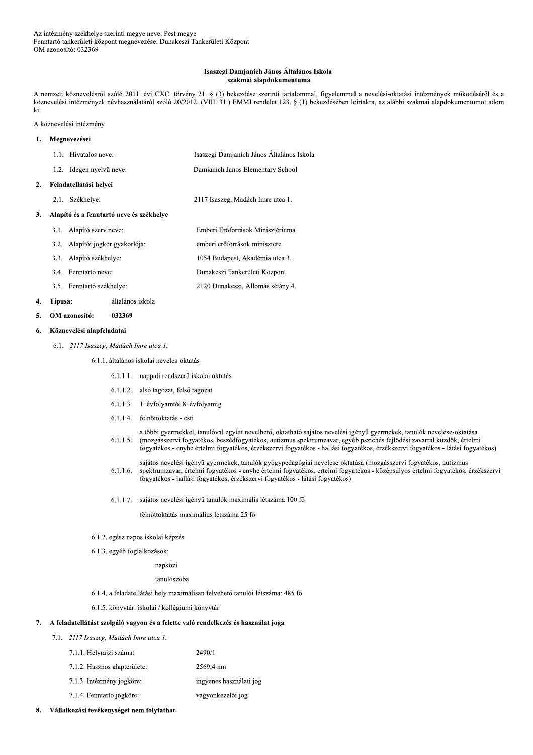#### Isaszegi Damjanich János Általános Iskola szakmai alapdokumentuma

A nemzeti köznevelésről szóló 2011. évi CXC. törvény 21. § (3) bekezdése szerinti tartalommal, figyelemmel a nevelési-oktatási intézmények működéséről és a köznevelési intézmények névhasználatáról szóló 20/2012. (VIII. 31.) EMMI rendelet 123. § (1) bekezdésében leírtakra, az alábbi szakmai alapdokumentumot adom ki:

2120 Dunakeszi, Állomás sétány 4.

A köznevelési intézmény

#### Megnevezései  $\mathbf{1}$ .

 $\overline{2}$ .

 $\mathbf{3}$ 

|                                          | 1.1. Hivatalos neve:             | Isaszegi Damjanich János Általános Iskola |  |
|------------------------------------------|----------------------------------|-------------------------------------------|--|
|                                          | 1.2. Idegen nyelvű neve:         | Damjanich Janos Elementary School         |  |
| Feladatellátási helyei                   |                                  |                                           |  |
| 2.1.                                     | Székhelye:                       | 2117 Isaszeg, Madách Imre utca 1.         |  |
| Alapító és a fenntartó neve és székhelye |                                  |                                           |  |
|                                          | 3.1. Alapító szerv neve:         | Emberi Erőforrások Minisztériuma          |  |
|                                          | 3.2. Alapítói jogkör gyakorlója: | emberi erőforrások minisztere             |  |
| 3.3.                                     | Alapító székhelye:               | 1054 Budapest, Akadémia utca 3.           |  |
|                                          | 3.4. Fenntartó neve:             | Dunakeszi Tankerületi Központ             |  |
|                                          |                                  |                                           |  |

3.5. Fenntartó székhelye:

#### 4. Típusa: általános iskola

#### 5. OM azonosító: 032369

#### Köznevelési alapfeladatai 6.

6.1. 2117 Isaszeg, Madách Imre utca 1.

### 6.1.1. általános iskolai nevelés-oktatás

- 6.1.1.1. nappali rendszerű iskolai oktatás
- 6.1.1.2. alsó tagozat, felső tagozat
- 6.1.1.3. 1. évfolyamtól 8. évfolyamig
- 6.1.1.4. felnőttoktatás esti
- a többi gyermekkel, tanulóval együtt nevelhető, oktatható sajátos nevelési igényű gyermekek, tanulók nevelése-oktatása  $6.1.1.5.$ (mozgásszervi fogyatékos, beszédfogyatékos, autizmus spektrumzavar, egyéb pszichés fejlődési zavarral küzdők, értelmi fogyatékos - enyhe értelmi fogyatékos, érzékszervi fogyatékos - hallási fogyatékos, érzékszervi fogyatékos - látási fogyatékos)
- sajátos nevelési igényű gyermekek, tanulók gyógypedagógiai nevelése-oktatása (mozgásszervi fogyatékos, autizmus spektrumzavar, értelmi fogyatékos - enyhe értelmi fogyatékos, értelmi fogyatékos - középsúlyos értelmi fogyatékos, érzékszervi  $6.1.1.6.$ fogyatékos - hallási fogyatékos, érzékszervi fogyatékos - látási fogyatékos)
- 6.1.1.7. sajátos nevelési igényű tanulók maximális létszáma 100 fő

felnőttoktatás maximálius létszáma 25 fő

- 6.1.2. egész napos iskolai képzés
- 6.1.3. egyéb foglalkozások:

### napközi

### tanulószoba

- 6.1.4. a feladatellátási hely maximálisan felvehető tanulói létszáma: 485 fő
- 6.1.5. könyvtár: iskolai / kollégiumi könyvtár

#### A feladatellátást szolgáló vagyon és a felette való rendelkezés és használat joga 7.

### 7.1. 2117 Isaszeg, Madách Imre utca 1.

| 7.1.1. Helyrajzi száma:      | 2490/1                  |
|------------------------------|-------------------------|
| 7.1.2. Hasznos alapterülete: | 2569.4 nm               |
| 7.1.3. Intézmény jogköre:    | ingyenes használati jog |
| 7.1.4. Fenntartó jogköre:    | vagyonkezelői jog       |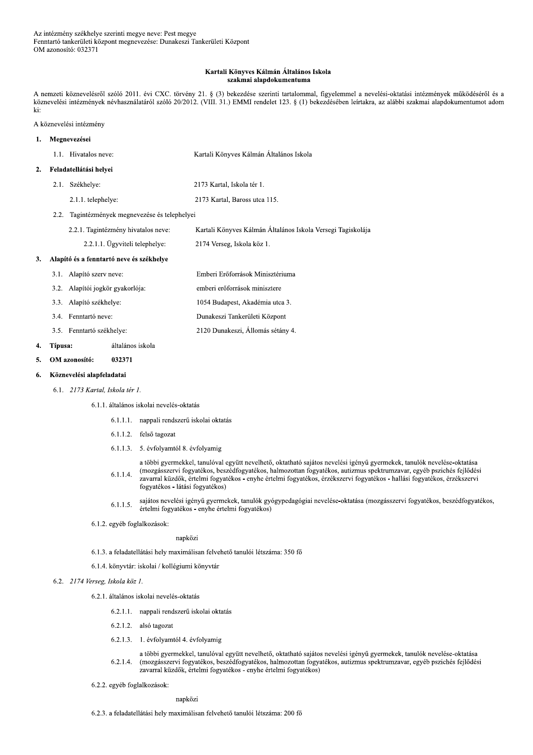#### Kartali Könyves Kálmán Általános Iskola szakmai alapdokumentuma

A nemzeti köznevelésről szóló 2011. évi CXC. törvény 21. § (3) bekezdése szerinti tartalommal, figyelemmel a nevelési-oktatási intézmények működéséről és a köznevelési intézmények névhasználatáról szóló 20/2012. (VIII. 31.) EMMI rendelet 123. § (1) bekezdésében leírtakra, az alábbi szakmai alapdokumentumot adom ki:

### A köznevelési intézmény

#### Megnevezései  $\mathbf{1}$ . 1.1. Hivatalos neve: Kartali Könyves Kálmán Általános Iskola Feladatellátási helyei  $2.$ 2.1. Székhelye: 2173 Kartal, Iskola tér 1. 2.1.1. telephelye: 2173 Kartal, Baross utca 115. 2.2. Tagintézmények megnevezése és telephelyei 2.2.1. Tagintézmény hivatalos neve: Kartali Könyves Kálmán Általános Iskola Versegi Tagiskolája 2.2.1.1. Ügyviteli telephelye: 2174 Verseg, Iskola köz 1. Alapító és a fenntartó neve és székhelye  $3.$ 3.1. Alapító szerv neve: Emberi Erőforrások Minisztériuma 3.2. Alapítói jogkör gyakorlója: emberi erőforrások minisztere 3.3. Alapító székhelye: 1054 Budapest, Akadémia utca 3. 3.4. Fenntartó neve: Dunakeszi Tankerületi Központ 2120 Dunakeszi, Állomás sétány 4. 3.5. Fenntartó székhelye:

#### Típusa: általános iskola

#### OM azonosító: 032371 5.

 $\overline{4}$ .

#### Köznevelési alapfeladatai 6.

6.1. 2173 Kartal, Iskola tér 1.

6.1.1. általános iskolai nevelés-oktatás

- 6.1.1.1. nappali rendszerű iskolai oktatás
- 6.1.1.2. felső tagozat
- 6.1.1.3. 5. évfolvamtól 8. évfolvamig

a többi gyermekkel, tanulóval együtt nevelhető, oktatható sajátos nevelési igényű gyermekek, tanulók nevelése-oktatása (mozgásszervi fogyatékos, beszédfogyatékos, halmozottan fogyatékos, autizmus spektrumzavar, egyéb pszichés fejlődési  $6.1.1.4.$ zavarral küzdők, értelmi fogyatékos - enyhe értelmi fogyatékos, érzékszervi fogyatékos - hallási fogyatékos, érzékszervi fogyatékos - látási fogyatékos)

- sajátos nevelési igényű gyermekek, tanulók gyógypedagógiai nevelése-oktatása (mozgásszervi fogyatékos, beszédfogyatékos,  $6.1.1.5.$ értelmi fogyatékos - enyhe értelmi fogyatékos)
- 6.1.2. egyéb foglalkozások:

napközi

- 6.1.3. a feladatellátási hely maximálisan felvehető tanulói létszáma: 350 fő
- 6.1.4. könyvtár: iskolai / kollégiumi könyvtár
- 6.2. 2174 Verseg, Iskola köz 1.
	- 6.2.1. általános iskolai nevelés-oktatás
		- 6.2.1.1. nappali rendszerű iskolai oktatás
		- 6.2.1.2. alsó tagozat
		- 6.2.1.3. 1. évfolyamtól 4. évfolyamig

a többi gyermekkel, tanulóval együtt nevelhető, oktatható sajátos nevelési igényű gyermekek, tanulók nevelése-oktatása  $6.2.1.4.$ (mozgásszervi fogyatékos, beszédfogyatékos, halmozottan fogyatékos, autizmus spektrumzavar, egyéb pszichés fejlődési zavarral küzdők, értelmi fogyatékos - enyhe értelmi fogyatékos)

6.2.2. egyéb foglalkozások:

napközi

6.2.3. a feladatellátási hely maximálisan felvehető tanulói létszáma: 200 fő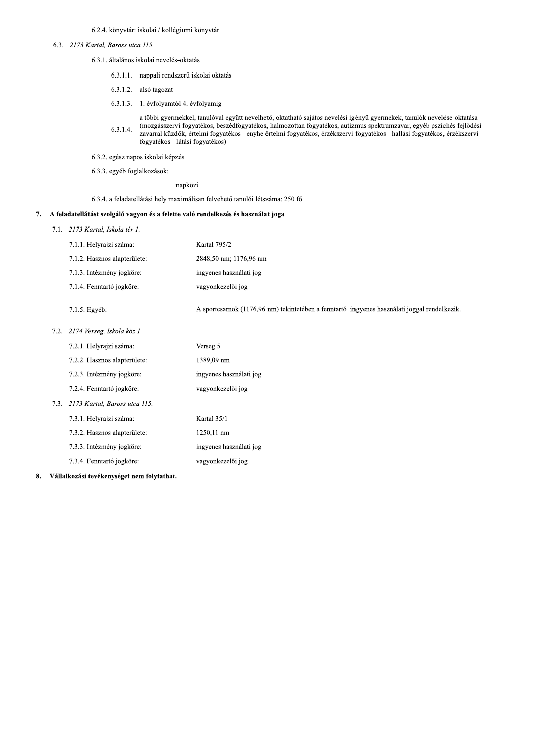### 6.2.4. könyvtár: iskolai / kollégiumi könyvtár

### 6.3. 2173 Kartal, Baross utca 115.

- 6.3.1. általános iskolai nevelés-oktatás
	- 6.3.1.1. nappali rendszerű iskolai oktatás
	- 6.3.1.2. alsó tagozat
	- 6.3.1.3. 1. évfolyamtól 4. évfolyamig
	- a többi gyermekkel, tanulóval együtt nevelhető, oktatható sajátos nevelési igényű gyermekek, tanulók nevelése-oktatása (mozgásszervi fogyatékos, beszédfogyatékos, halmozottan fogyatékos, autizmus spektrumzavar, egyéb pszichés fejlődési  $6.3.1.4.$ zavarral küzdők, értelmi fogyatékos - enyhe értelmi fogyatékos, érzékszervi fogyatékos - hallási fogyatékos, érzékszervi fogyatékos - látási fogyatékos)
	- 6.3.2. egész napos iskolai képzés
	- 6.3.3. egyéb foglalkozások:

napközi

6.3.4. a feladatellátási hely maximálisan felvehető tanulói létszáma: 250 fő

### 7. A feladatellátást szolgáló vagyon és a felette való rendelkezés és használat joga

7.1. 2173 Kartal, Iskola tér 1.

|      | 7.1.1. Helyrajzi száma:       | Kartal 795/2                                                                                 |
|------|-------------------------------|----------------------------------------------------------------------------------------------|
|      | 7.1.2. Hasznos alapterülete:  | 2848,50 nm; 1176,96 nm                                                                       |
|      | 7.1.3. Intézmény jogköre:     | ingyenes használati jog                                                                      |
|      | 7.1.4. Fenntartó jogköre:     | vagyonkezelői jog                                                                            |
|      | 7.1.5. Egyéb:                 | A sportcsarnok (1176,96 nm) tekintetében a fenntartó ingyenes használati joggal rendelkezik. |
| 7.2. | 2174 Verseg, Iskola köz 1.    |                                                                                              |
|      | 7.2.1. Helyrajzi száma:       | Verseg 5                                                                                     |
|      | 7.2.2. Hasznos alapterülete:  | 1389,09 nm                                                                                   |
|      | 7.2.3. Intézmény jogköre:     | ingyenes használati jog                                                                      |
|      | 7.2.4. Fenntartó jogköre:     | vagyonkezelői jog                                                                            |
| 7.3. | 2173 Kartal, Baross utca 115. |                                                                                              |
|      | 7.3.1. Helyrajzi száma:       | Kartal 35/1                                                                                  |
|      | 7.3.2. Hasznos alapterülete:  | 1250,11 nm                                                                                   |
|      | 7.3.3. Intézmény jogköre:     | ingyenes használati jog                                                                      |
|      | 7.3.4. Fenntartó jogköre:     | vagyonkezelői jog                                                                            |
|      |                               |                                                                                              |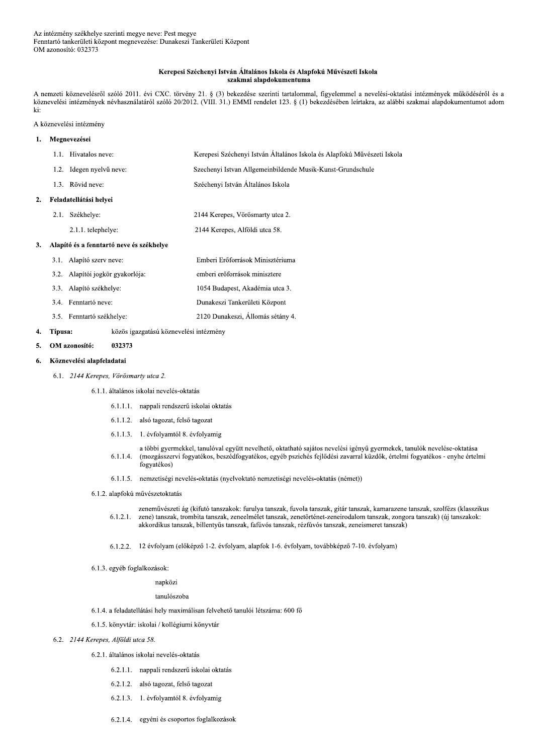### Kerepesi Széchenyi István Általános Iskola és Alapfokú Művészeti Iskola szakmai alapdokumentuma

A nemzeti köznevelésről szóló 2011. évi CXC. törvény 21. § (3) bekezdése szerinti tartalommal, figyelemmel a nevelési-oktatási intézmények működéséről és a köznevelési intézmények névhasználatáról szóló 20/2012. (VIII. 31.) EMMI rendelet 123. § (1) bekezdésében leírtakra, az alábbi szakmai alapdokumentumot adom ki:

#### A köznevelési intézmény

| 1. |      | Megnevezései                             |                                                                         |
|----|------|------------------------------------------|-------------------------------------------------------------------------|
|    | 1.1. | Hivatalos neve:                          | Kerepesi Széchenyi István Általános Iskola és Alapfokú Művészeti Iskola |
|    | 1.2. | Idegen nyelvű neve:                      | Szechenyi Istvan Allgemeinbildende Musik-Kunst-Grundschule              |
|    | 1.3. | Rövid neve:                              | Széchenyi István Általános Iskola                                       |
| 2. |      | Feladatellátási helyei                   |                                                                         |
|    | 2.1. | Székhelye:                               | 2144 Kerepes, Vörösmarty utca 2.                                        |
|    |      | 2.1.1. telephelye:                       | 2144 Kerepes, Alföldi utca 58.                                          |
| 3. |      | Alapító és a fenntartó neve és székhelye |                                                                         |
|    | 3.1. | Alapító szerv neve:                      | Emberi Erőforrások Minisztériuma                                        |
|    | 3.2. | Alapítói jogkör gyakorlója:              | emberi erőforrások minisztere                                           |
|    | 3.3. | Alapító székhelye:                       | 1054 Budapest, Akadémia utca 3.                                         |
|    | 3.4. | Fenntartó neve:                          | Dunakeszi Tankerületi Központ                                           |
|    |      | 3.5. Fenntartó székhelye:                | 2120 Dunakeszi, Állomás sétány 4.                                       |

#### 4. Típusa: közös igazgatású köznevelési intézmény

OM azonosító: 032373 5.

#### Köznevelési alapfeladatai 6.

- 6.1. 2144 Kerepes, Vörösmarty utca 2.
	- 6.1.1. általános iskolai nevelés-oktatás
		- 6.1.1.1. nappali rendszerű iskolai oktatás
		- 6.1.1.2. alsó tagozat, felső tagozat
		- 6.1.1.3. 1. évfolyamtól 8. évfolyamig
		- a többi gyermekkel, tanulóval együtt nevelhető, oktatható sajátos nevelési igényű gyermekek, tanulók nevelése-oktatása (mozgásszervi fogyatékos, beszédfogyatékos, egyéb pszichés fejlődési zavarral küzdők, értelmi fogyatékos - enyhe értelmi  $6.1.1.4.$ fogyatékos)
		- 6.1.1.5. nemzetiségi nevelés-oktatás (nyelvoktató nemzetiségi nevelés-oktatás (német))
	- 6.1.2. alapfokú művészetoktatás

zeneművészeti ág (kifutó tanszakok: furulya tanszak, fuvola tanszak, gitár tanszak, kamarazene tanszak, szolfézs (klasszikus  $6.1.2.1.$ zene) tanszak, trombita tanszak, zeneelmélet tanszak, zenetörténet-zeneirodalom tanszak, zongora tanszak) (új tanszakok: akkordikus tanszak, billentyűs tanszak, fafúvós tanszak, rézfúvós tanszak, zeneismeret tanszak)

6.1.2.2. 12 évfolyam (előképző 1-2. évfolyam, alapfok 1-6. évfolyam, továbbképző 7-10. évfolyam)

6.1.3. egyéb foglalkozások:

napközi

tanulószoba

- 6.1.4. a feladatellátási hely maximálisan felvehető tanulói létszáma: 600 fő
- 6.1.5. könyvtár: iskolai / kollégiumi könyvtár

### 6.2. 2144 Kerepes, Alföldi utca 58.

- 6.2.1. általános iskolai nevelés-oktatás
	- 6.2.1.1. nappali rendszerű iskolai oktatás
	- 6.2.1.2. alsó tagozat, felső tagozat
	- 6.2.1.3. 1. évfolyamtól 8. évfolyamig
	- 6.2.1.4. egyéni és csoportos foglalkozások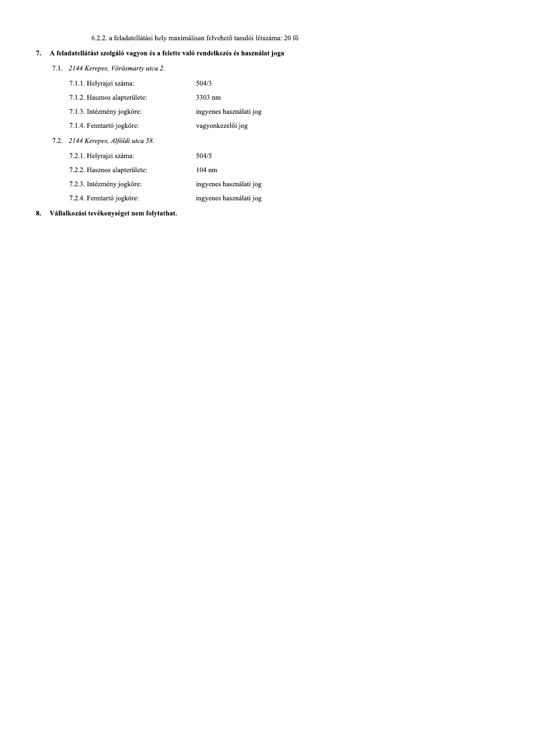### 6.2.2. a feladatellátási hely maximálisan felvehető tanulói létszáma: 20 fő

# 7. A feladatellátást szolgáló vagyon és a felette való rendelkezés és használat joga

| 7.1. 2144 Kerepes, Vörösmarty utca 2. |                         |  |
|---------------------------------------|-------------------------|--|
| 7.1.1. Helyrajzi száma:               | 504/3                   |  |
| 7.1.2. Hasznos alapterülete:          | 3303 nm                 |  |
| 7.1.3. Intézmény jogköre:             | ingyenes használati jog |  |
| 7.1.4. Fenntartó jogköre:             | vagyonkezelői jog       |  |
| 7.2. 2144 Kerepes, Alföldi utca 58.   |                         |  |
| 7.2.1. Helyrajzi száma:               | 504/5                   |  |
| 7.2.2. Hasznos alapterülete:          | $104 \text{ nm}$        |  |
| 7.2.3. Intézmény jogköre:             | ingyenes használati jog |  |
| 7.2.4. Fenntartó jogköre:             | ingyenes használati jog |  |
|                                       |                         |  |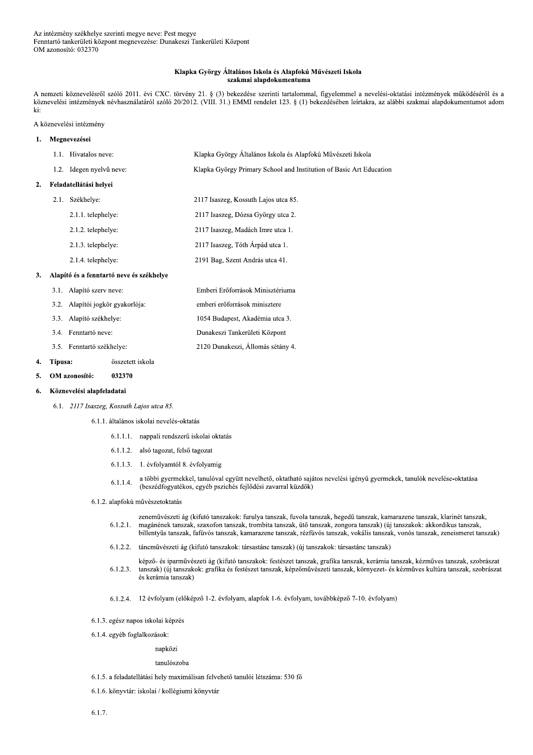#### Klapka György Általános Iskola és Alapfokú Művészeti Iskola szakmai alapdokumentuma

A nemzeti köznevelésről szóló 2011. évi CXC. törvény 21. § (3) bekezdése szerinti tartalommal, figyelemmel a nevelési-oktatási intézmények működéséről és a köznevelési intézmények névhasználatáról szóló 20/2012. (VIII. 31.) EMMI rendelet 123. § (1) bekezdésében leírtakra, az alábbi szakmai alapdokumentumot adom ki:

### A köznevelési intézmény

#### 1. Megnevezései 1.1. Hivatalos neve: Klapka György Általános Iskola és Alapfokú Művészeti Iskola 1.2. Idegen nyelvű neve: Klapka György Primary School and Institution of Basic Art Education 2. Feladatellátási helvei 2.1. Székhelye: 2117 Isaszeg, Kossuth Lajos utca 85. 2.1.1. telephelye: 2117 Isaszeg, Dózsa György utca 2. 2.1.2. telephelye: 2117 Isaszeg, Madách Imre utca 1. 2.1.3. telephelye: 2117 Isaszeg, Tóth Árpád utca 1. 2191 Bag, Szent András utca 41. 2.1.4. telephelye: 3. Alapító és a fenntartó neve és székhelye 3.1. Alapító szerv neve: Emberi Erőforrások Minisztériuma 3.2. Alapítói jogkör gyakorlója: emberi erőforrások minisztere 3.3. Alapító székhelye: 1054 Budapest, Akadémia utca 3. 3.4. Fenntartó neve: Dunakeszi Tankerületi Központ 3.5. Fenntartó székhelye: 2120 Dunakeszi, Állomás sétány 4. 4. Típusa: összetett iskola 5. OM azonosító: 032370

#### Köznevelési alapfeladatai 6.

- 6.1. 2117 Isaszeg, Kossuth Lajos utca 85.
	- 6.1.1. általános iskolai nevelés-oktatás
		- 6.1.1.1. nappali rendszerű iskolai oktatás
		- 6.1.1.2. alsó tagozat, felső tagozat
		- 6.1.1.3. 1. évfolyamtól 8. évfolyamig
		- a többi gyermekkel, tanulóval együtt nevelhető, oktatható sajátos nevelési igényű gyermekek, tanulók nevelése-oktatása  $6.1.1.4.$ (beszédfogyatékos, egyéb pszichés fejlődési zavarral küzdők)
	- 6.1.2. alapfokú művészetoktatás
		- zeneművészeti ág (kifutó tanszakok: furulya tanszak, fuvola tanszak, hegedű tanszak, kamarazene tanszak, klarinét tanszak,  $6.1.2.1.$ magánének tanszak, szaxofon tanszak, trombita tanszak, ütő tanszak, zongora tanszak) (új tanszakok: akkordikus tanszak, billentyűs tanszak, fafúvós tanszak, kamarazene tanszak, rézfúvós tanszak, vokális tanszak, vonós tanszak, zeneismeret tanszak)
		- 6.1.2.2. táncművészeti ág (kifutó tanszakok: társastánc tanszak) (új tanszakok: társastánc tanszak)
		- képző- és iparművészeti ág (kifutó tanszakok: festészet tanszak, grafika tanszak, kerámia tanszak, kézműves tanszak, szobrászat  $6.1.2.3.$ tanszak) (új tanszakok: grafika és festészet tanszak, képzőművészeti tanszak, környezet- és kézműves kultúra tanszak, szobrászat és kerámia tanszak)
		- 6.1.2.4. 12 évfolyam (előképző 1-2. évfolyam, alapfok 1-6. évfolyam, továbbképző 7-10. évfolyam)
	- 6.1.3. egész napos iskolai képzés
	- 6.1.4. egyéb foglalkozások:

#### napközi

#### tanulószoba

- 6.1.5. a feladatellátási hely maximálisan felvehető tanulói létszáma: 530 fő
- 6.1.6. könyvtár: iskolai / kollégiumi könyvtár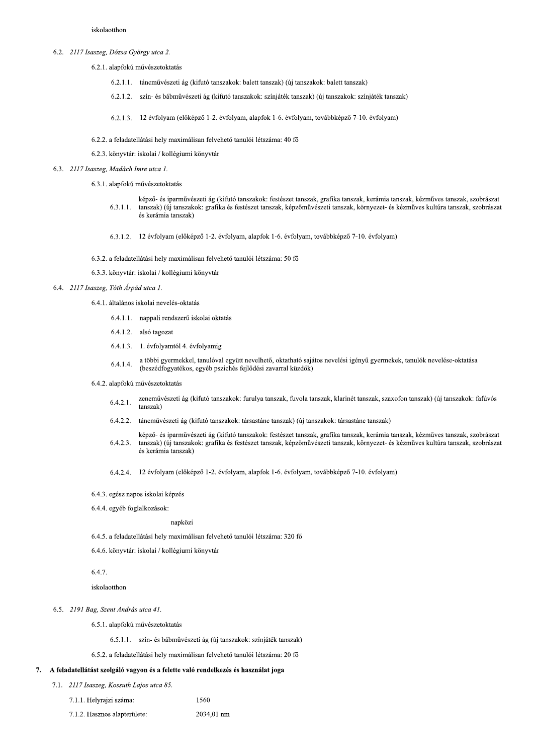- 6.2. 2117 Isaszeg, Dózsa György utca 2.
	- 6.2.1. alapfokú művészetoktatás
		- 6.2.1.1. táncművészeti ág (kifutó tanszakok: balett tanszak) (új tanszakok: balett tanszak)
		- 6.2.1.2. szín- és bábművészeti ág (kifutó tanszakok: színjáték tanszak) (új tanszakok: színjáték tanszak)
		- 6.2.1.3. 12 évfolyam (előképző 1-2. évfolyam, alapfok 1-6. évfolyam, továbbképző 7-10. évfolyam)
	- 6.2.2. a feladatellátási hely maximálisan felvehető tanulói létszáma: 40 fő
	- 6.2.3. könyvtár: iskolai / kollégiumi könyvtár
- 6.3. 2117 Isaszeg, Madách Imre utca 1.
	- 6.3.1. alapfokú művészetoktatás
		- képző- és iparművészeti ág (kifutó tanszakok: festészet tanszak, grafika tanszak, kerámia tanszak, kézműves tanszak, szobrászat tanszak) (új tanszakok: grafika és festészet tanszak, képzőművészeti tanszak, környezet- és kézműves kultúra tanszak, szobrászat  $6.3.1.1.$ és kerámia tanszak)
		- 6.3.1.2. 12 évfolyam (előképző 1-2. évfolyam, alapfok 1-6. évfolyam, továbbképző 7-10. évfolyam)
	- 6.3.2. a feladatellátási hely maximálisan felvehető tanulói létszáma: 50 fő
	- 6.3.3. könyvtár. iskolai / kollégiumi könyvtár
- 6.4. 2117 Isaszeg, Tóth Árpád utca 1.
	- 6.4.1. általános iskolai nevelés-oktatás
		- 6.4.1.1. nappali rendszerű iskolai oktatás
		- 6.4.1.2. alsó tagozat
		- 6.4.1.3. 1. évfolyamtól 4. évfolyamig
		- a többi gyermekkel, tanulóval együtt nevelhető, oktatható sajátos nevelési igényű gyermekek, tanulók nevelése-oktatása  $6.4.1.4.$ (beszédfogyatékos, egyéb pszichés fejlődési zavarral küzdők)
	- 6.4.2. alapfokú művészetoktatás
		- zeneművészeti ág (kifutó tanszakok: furulya tanszak, fuvola tanszak, klarinét tanszak, szaxofon tanszak) (új tanszakok: fafúvós  $6.4.2.1.$ tanszak)
		- 6.4.2.2. táncművészeti ág (kifutó tanszakok: társastánc tanszak) (új tanszakok: társastánc tanszak)
		- képző- és iparművészeti ág (kifutó tanszakok: festészet tanszak, grafika tanszak, kerámia tanszak, kézműves tanszak, szobrászat  $6.4.2.3.$ tanszak) (új tanszakok: grafika és festészet tanszak, képzőművészeti tanszak, környezet- és kézműves kultúra tanszak, szobrászat és kerámia tanszak)
		- 6.4.2.4. 12 évfolyam (előképző 1-2. évfolyam, alapfok 1-6. évfolyam, továbbképző 7-10. évfolyam)
	- 6.4.3. egész napos iskolai képzés
	- 6.4.4. egyéb foglalkozások:

napközi

- 6.4.5. a feladatellátási hely maximálisan felvehető tanulói létszáma: 320 fő
- 6.4.6. könyvtár: iskolai / kollégiumi könyvtár

6.4.7.

iskolaotthon

- 6.5. 2191 Bag, Szent András utca 41.
	- 6.5.1. alapfokú művészetoktatás
		- 6.5.1.1. szín- és bábművészeti ág (új tanszakok: színjáték tanszak)

1560

6.5.2. a feladatellátási hely maximálisan felvehető tanulói létszáma: 20 fő

### 7. A feladatellátást szolgáló vagyon és a felette való rendelkezés és használat joga

- 7.1. 2117 Isaszeg, Kossuth Lajos utca 85.
	- 7.1.1. Helyrajzi száma:
	- 7.1.2. Hasznos alapterülete: 2034,01 nm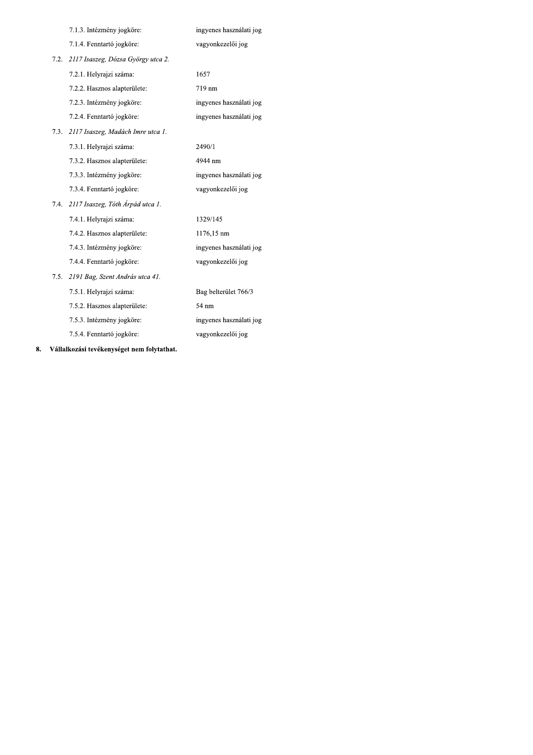|      | 7.1.3. Intézmény jogköre:          | ingyenes használati jog |
|------|------------------------------------|-------------------------|
|      | 7.1.4. Fenntartó jogköre:          | vagyonkezelői jog       |
| 7.2. | 2117 Isaszeg, Dózsa György utca 2. |                         |
|      | 7.2.1. Helyrajzi száma:            | 1657                    |
|      | 7.2.2. Hasznos alapterülete:       | 719 nm                  |
|      | 7.2.3. Intézmény jogköre:          | ingyenes használati jog |
|      | 7.2.4. Fenntartó jogköre:          | ingyenes használati jog |
| 7.3. | 2117 Isaszeg, Madách Imre utca 1.  |                         |
|      | 7.3.1. Helyrajzi száma:            | 2490/1                  |
|      | 7.3.2. Hasznos alapterülete:       | 4944 nm                 |
|      | 7.3.3. Intézmény jogköre:          | ingyenes használati jog |
|      | 7.3.4. Fenntartó jogköre:          | vagyonkezelői jog       |
| 7.4. | 2117 Isaszeg, Tóth Árpád utca 1.   |                         |
|      |                                    |                         |
|      | 7.4.1. Helyrajzi száma:            | 1329/145                |
|      | 7.4.2. Hasznos alapterülete:       | 1176,15 nm              |
|      | 7.4.3. Intézmény jogköre:          | ingyenes használati jog |
|      | 7.4.4. Fenntartó jogköre:          | vagyonkezelői jog       |
| 7.5. | 2191 Bag, Szent András utca 41.    |                         |
|      | 7.5.1. Helyrajzi száma:            | Bag belterület 766/3    |
|      | 7.5.2. Hasznos alapterülete:       | 54 nm                   |
|      | 7.5.3. Intézmény jogköre:          | ingyenes használati jog |
|      | 7.5.4. Fenntartó jogköre:          | vagyonkezelői jog       |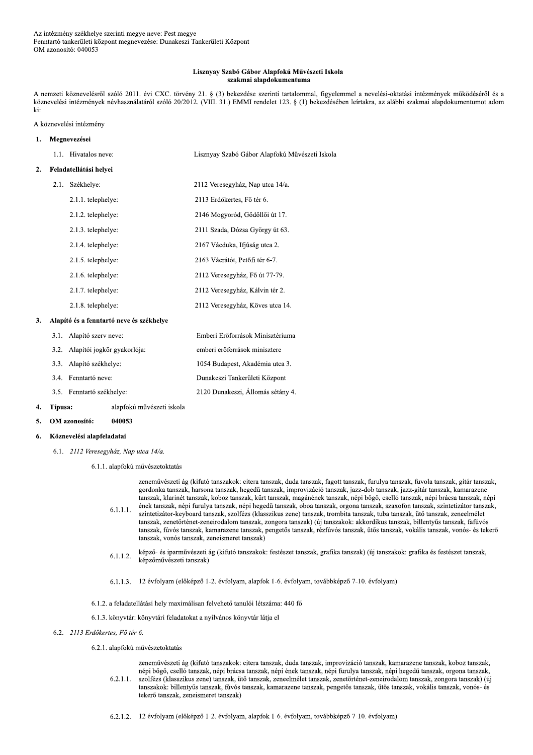#### Lisznyay Szabó Gábor Alapfokú Művészeti Iskola szakmai alapdokumentuma

A nemzeti köznevelésről szóló 2011. évi CXC. törvény 21. § (3) bekezdése szerinti tartalommal, figyelemmel a nevelési-oktatási intézmények működéséről és a köznevelési intézmények névhasználatáról szóló 20/2012. (VIII. 31.) EMMI rendelet 123. § (1) bekezdésében leírtakra, az alábbi szakmai alapdokumentumot adom ki:

### A köznevelési intézmény

| 1. |      | Megnevezései                             |                                                |
|----|------|------------------------------------------|------------------------------------------------|
|    |      | 1.1. Hivatalos neve:                     | Lisznyay Szabó Gábor Alapfokú Művészeti Iskola |
| 2. |      | Feladatellátási helyei                   |                                                |
|    | 2.1. | Székhelye:                               | 2112 Veresegyház, Nap utca 14/a.               |
|    |      | 2.1.1. telephelye:                       | 2113 Erdőkertes, Fő tér 6.                     |
|    |      | 2.1.2. telephelye:                       | 2146 Mogyoród, Gödöllői út 17.                 |
|    |      | 2.1.3. telephelye:                       | 2111 Szada, Dózsa György út 63.                |
|    |      | 2.1.4. telephelye:                       | 2167 Vácduka, Ifjúság utca 2.                  |
|    |      | 2.1.5. telephelye:                       | 2163 Vácrátót, Petőfi tér 6-7.                 |
|    |      | 2.1.6. telephelye:                       | 2112 Veresegyház, Fő út 77-79.                 |
|    |      | 2.1.7. telephelye:                       | 2112 Veresegyház, Kálvin tér 2.                |
|    |      | 2.1.8. telephelye:                       | 2112 Veresegyház, Köves utca 14.               |
| 3. |      | Alapító és a fenntartó neve és székhelye |                                                |
|    | 3.1. | Alapító szerv neve:                      | Emberi Erőforrások Minisztériuma               |
|    | 3.2. | Alapítói jogkör gyakorlója:              | emberi erőforrások minisztere                  |
|    | 3.3. | Alapító székhelye:                       | 1054 Budapest, Akadémia utca 3.                |
|    | 3.4. | Fenntartó neve:                          | Dunakeszi Tankerületi Központ                  |
|    | 3.5. | Fenntartó székhelye:                     | 2120 Dunakeszi, Állomás sétány 4.              |

#### Típusa: alapfokú művészeti iskola 4.

040053 OM azonosító:  $\mathbf{5}$ 

#### 6. Köznevelési alapfeladatai

- 6.1. 2112 Veresegyház, Nap utca 14/a.
	- 6.1.1. alapfokú művészetoktatás

zeneművészeti ág (kifutó tanszakok: citera tanszak, duda tanszak, fagott tanszak, furulya tanszak, fuvola tanszak, gitár tanszak, gordonka tanszak, harsona tanszak, hegedű tanszak, improvizáció tanszak, jazz-dob tanszak, jazz-gitár tanszak, kamarazene tanszak, klarinét tanszak, koboz tanszak, kürt tanszak, magánének tanszak, népi bőgő, cselló tanszak, népi brácsa tanszak, népi ének tanszak, népi furulya tanszak, népi hegedű tanszak, oboa tanszak, orgona tanszak, szaxofon tanszak, szintetizátor tanszak,  $6.1.1.1.$ szintetizátor-keyboard tanszak, szolfézs (klasszikus zene) tanszak, trombita tanszak, tuba tanszak, ütő tanszak, zeneelmélet tanszak, zenetörténet-zeneirodalom tanszak, zongora tanszak) (új tanszakok: akkordikus tanszak, billentyűs tanszak, fafúvós tanszak, fúvós tanszak, kamarazene tanszak, pengetős tanszak, rézfúvós tanszak, ütős tanszak, vokális tanszak, vonós- és tekerő tanszak, vonós tanszak, zeneismeret tanszak)

- képző- és iparművészeti ág (kifutó tanszakok: festészet tanszak, grafika tanszak) (új tanszakok: grafika és festészet tanszak,  $6.1.1.2.$ képzőművészeti tanszak)
- 6.1.1.3. 12 évfolyam (előképző 1-2. évfolyam, alapfok 1-6. évfolyam, továbbképző 7-10. évfolyam)
- 6.1.2. a feladatellátási hely maximálisan felvehető tanulói létszáma: 440 fő
- 6.1.3. könyvtár: könyvtári feladatokat a nyilvános könyvtár látja el
- 6.2. 2113 Erdőkertes, Fő tér 6.

### 6.2.1. alapfokú művészetoktatás

zeneművészeti ág (kifutó tanszakok: citera tanszak, duda tanszak, improvizáció tanszak, kamarazene tanszak, koboz tanszak, népi bőgő, cselló tanszak, népi brácsa tanszak, népi ének tanszak, népi furulya tanszak, népi hegedű tanszak, orgona tanszak,  $6.2.1.1.$ szolfézs (klasszikus zene) tanszak, ütő tanszak, zeneelmélet tanszak, zenetörténet-zeneirodalom tanszak, zongora tanszak) (új tanszakok: billentyűs tanszak, fúvós tanszak, kamarazene tanszak, pengetős tanszak, ütős tanszak, vokális tanszak, vonós- és tekerő tanszak, zeneismeret tanszak)

6.2.1.2. 12 évfolyam (előképző 1-2. évfolyam, alapfok 1-6. évfolyam, továbbképző 7-10. évfolyam)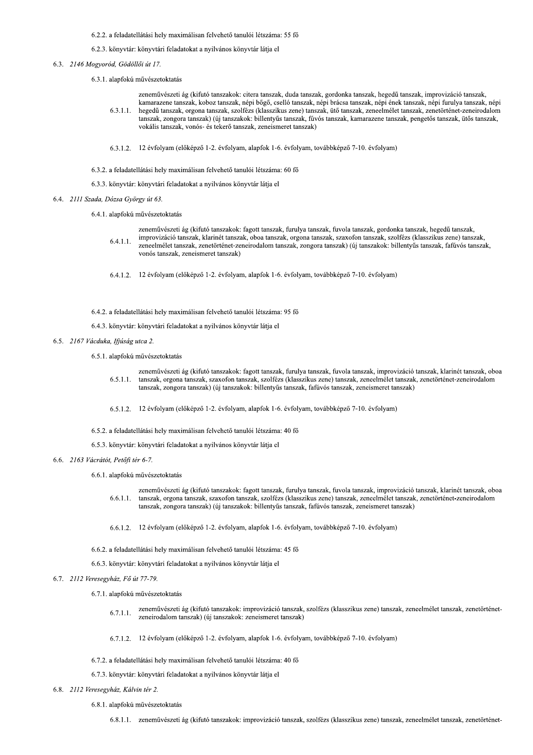### 6.2.2. a feladatellátási hely maximálisan felvehető tanulói létszáma: 55 fő

### 6.2.3. könyvtár: könyvtári feladatokat a nyilvános könyvtár látja el

- 6.3. 2146 Mogyoród, Gödöllői út 17.
	- 6.3.1. alapfokú művészetoktatás

zeneművészeti ág (kifutó tanszakok: citera tanszak, duda tanszak, gordonka tanszak, hegedű tanszak, improvizáció tanszak, kamarazene tanszak, koboz tanszak, népi bőgő, cselló tanszak, népi brácsa tanszak, népi ének tanszak, népi furulya tanszak, népi hegedű tanszak, orgona tanszak, szolfézs (klasszikus zene) tanszak, ütő tanszak, zeneelmélet tanszak, zenetörténet-zeneirodalom  $6.3.1.1.$ tanszak, zongora tanszak) (új tanszakok: billentyűs tanszak, fúvós tanszak, kamarazene tanszak, pengetős tanszak, ütős tanszak,

6.3.1.2. 12 évfolyam (előképző 1-2. évfolyam, alapfok 1-6. évfolyam, továbbképző 7-10. évfolyam)

vokális tanszak, vonós- és tekerő tanszak, zeneismeret tanszak)

- 6.3.2. a feladatellátási hely maximálisan felvehető tanulói létszáma: 60 fő
- 6.3.3. könyvtár: könyvtári feladatokat a nyilvános könyvtár látja el
- 6.4. 2111 Szada, Dózsa György út 63.
	- 6.4.1. alapfokú művészetoktatás
		- zeneművészeti ág (kifutó tanszakok: fagott tanszak, furulya tanszak, fuvola tanszak, gordonka tanszak, hegedű tanszak,
		- improvizáció tanszak, klarinét tanszak, oboa tanszak, orgona tanszak, szaxofon tanszak, szolfézs (klasszikus zene) tanszak,  $6.4.1.1.$ zeneelmélet tanszak, zenetörténet-zeneirodalom tanszak, zongora tanszak) (új tanszakok: billentyűs tanszak, fafúvós tanszak, vonós tanszak, zeneismeret tanszak)
		- 6.4.1.2. 12 évfolyam (előképző 1-2. évfolyam, alapfok 1-6. évfolyam, továbbképző 7-10. évfolyam)
	- 6.4.2. a feladatellátási hely maximálisan felvehető tanulói létszáma: 95 fő
	- 6.4.3. könyvtár: könyvtári feladatokat a nyilvános könyvtár látja el
- 6.5. 2167 Vácduka, Ifjúság utca 2.
	- 6.5.1. alapfokú művészetoktatás
		- zeneművészeti ág (kifutó tanszakok: fagott tanszak, furulya tanszak, fuvola tanszak, improvizáció tanszak, klarinét tanszak, oboa  $6.5.1.1.$ tanszak, orgona tanszak, szaxofon tanszak, szolfézs (klasszikus zene) tanszak, zeneelmélet tanszak, zenetörténet-zeneirodalom tanszak, zongora tanszak) (új tanszakok: billentyűs tanszak, fafúvós tanszak, zeneismeret tanszak)
		- 6.5.1.2. 12 évfolyam (előképző 1-2. évfolyam, alapfok 1-6. évfolyam, továbbképző 7-10. évfolyam)
	- 6.5.2. a feladatellátási hely maximálisan felvehető tanulói létszáma: 40 fő
	- 6.5.3. könyvtár: könyvtári feladatokat a nyilvános könyvtár látja el
- 6.6. 2163 Vácrátót, Petőfi tér 6-7.
	- 6.6.1. alapfokú művészetoktatás
		- zeneművészeti ág (kifutó tanszakok: fagott tanszak, furulya tanszak, fuvola tanszak, improvizáció tanszak, klarinét tanszak, oboa tanszak, orgona tanszak, szaxofon tanszak, szolfézs (klasszikus zene) tanszak, zeneelmélet tanszak, zenetörténet-zeneirodalom  $6.6.1.1.$ tanszak, zongora tanszak) (új tanszakok: billentyűs tanszak, fafúvós tanszak, zeneismeret tanszak)
		- 6.6.1.2. 12 évfolyam (előképző 1-2. évfolyam, alapfok 1-6. évfolyam, továbbképző 7-10. évfolyam)
	- 6.6.2. a feladatellátási hely maximálisan felvehető tanulói létszáma: 45 fő
	- 6.6.3. könyvtár: könyvtári feladatokat a nyilvános könyvtár látja el
- 6.7. 2112 Veresegyház, Fő út 77-79.
	- 6.7.1. alapfokú művészetoktatás
		- zeneművészeti ág (kifutó tanszakok: improvizáció tanszak, szolfézs (klasszikus zene) tanszak, zeneelmélet tanszak, zenetörténet- $6.7.1.1.$ zeneirodalom tanszak) (új tanszakok: zeneismeret tanszak)
		- 6.7.1.2. 12 évfolyam (előképző 1-2. évfolyam, alapfok 1-6. évfolyam, továbbképző 7-10. évfolyam)
	- 6.7.2. a feladatellátási hely maximálisan felvehető tanulói létszáma: 40 fő
	- 6.7.3. könyvtár: könyvtári feladatokat a nyilvános könyvtár látja el
- 6.8. 2112 Veresegyház, Kálvin tér 2.
	- 6.8.1. alapfokú művészetoktatás
		- 6.8.1.1. zeneművészeti ág (kifutó tanszakok: improvizáció tanszak, szolfézs (klasszikus zene) tanszak, zeneelmélet tanszak, zenetörténet-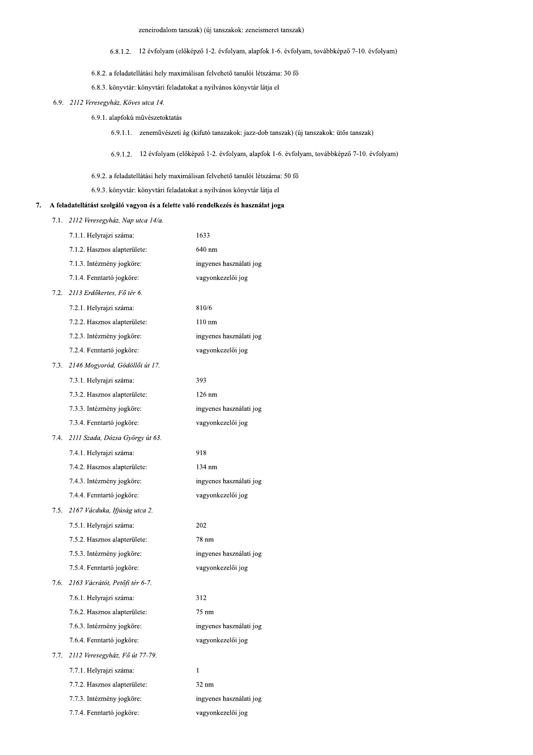zeneirodalom tanszak) (új tanszakok: zeneismeret tanszak)

- 6.8.1.2. 12 évfolyam (előképző 1-2. évfolyam, alapfok 1-6. évfolyam, továbbképző 7-10. évfolyam)
- 6.8.2. a feladatellátási hely maximálisan felvehető tanulói létszáma: 30 fő
- 6.8.3. könyvtár: könyvtári feladatokat a nyilvános könyvtár látja el
- 6.9. 2112 Veresegyház, Köves utca 14.
	- 6.9.1. alapfokú művészetoktatás
		- 6.9.1.1. zeneművészeti ág (kifutó tanszakok: jazz-dob tanszak) (új tanszakok: ütős tanszak)
		- 6.9.1.2. 12 évfolyam (előképző 1-2. évfolyam, alapfok 1-6. évfolyam, továbbképző 7-10. évfolyam)
	- 6.9.2. a feladatellátási hely maximálisan felvehető tanulói létszáma: 50 fő

6.9.3. könyvtár: könyvtári feladatokat a nyilvános könyvtár látja el

### 7. A feladatellátást szolgáló vagyon és a felette való rendelkezés és használat joga

7.1. 2112 Veresegyház, Nap utca 14/a.

7.7.4. Fenntartó jogköre:

|      | 7.1.1. Helyrajzi száma:         | 1633                    |
|------|---------------------------------|-------------------------|
|      | 7.1.2. Hasznos alapterülete:    | 640 nm                  |
|      | 7.1.3. Intézmény jogköre:       | ingyenes használati jog |
|      | 7.1.4. Fenntartó jogköre:       | vagyonkezelői jog       |
| 7.2. | 2113 Erdőkertes, Fő tér 6.      |                         |
|      | 7.2.1. Helyrajzi száma:         | 810/6                   |
|      | 7.2.2. Hasznos alapterülete:    | $110 \text{ nm}$        |
|      | 7.2.3. Intézmény jogköre:       | ingyenes használati jog |
|      | 7.2.4. Fenntartó jogköre:       | vagyonkezelői jog       |
| 7.3. | 2146 Mogyoród, Gödöllői út 17.  |                         |
|      | 7.3.1. Helyrajzi száma:         | 393                     |
|      | 7.3.2. Hasznos alapterülete:    | $126 \text{ nm}$        |
|      | 7.3.3. Intézmény jogköre:       | ingyenes használati jog |
|      | 7.3.4. Fenntartó jogköre:       | vagyonkezelői jog       |
| 7.4  | 2111 Szada, Dózsa György út 63. |                         |
|      | 7.4.1. Helyrajzi száma:         | 918                     |
|      | 7.4.2. Hasznos alapterülete:    | 134 nm                  |
|      | 7.4.3. Intézmény jogköre:       | ingyenes használati jog |
|      | 7.4.4. Fenntartó jogköre:       | vagyonkezelői jog       |
| 7.5. | 2167 Vácduka, Ifjúság utca 2.   |                         |
|      | 7.5.1. Helyrajzi száma:         | 202                     |
|      | 7.5.2. Hasznos alapterülete:    | 78 nm                   |
|      | 7.5.3. Intézmény jogköre:       | ingyenes használati jog |
|      | 7.5.4. Fenntartó jogköre:       | vagyonkezelői jog       |
| 7.6. | 2163 Vácrátót, Petőfi tér 6-7.  |                         |
|      | 7.6.1. Helyrajzi száma:         | 312                     |
|      | 7.6.2. Hasznos alapterülete:    | 75 nm                   |
|      | 7.6.3. Intézmény jogköre:       | ingyenes használati jog |
|      | 7.6.4. Fenntartó jogköre:       | vagyonkezelői jog       |
| 7.7. | 2112 Veresegyház, Fő út 77-79.  |                         |
|      | 7.7.1. Helyrajzi száma:         | $\mathbf{1}$            |
|      | 7.7.2. Hasznos alapterülete:    | $32 \text{ nm}$         |
|      | 7.7.3. Intézmény jogköre:       | ingyenes használati jog |

vagyonkezelői jog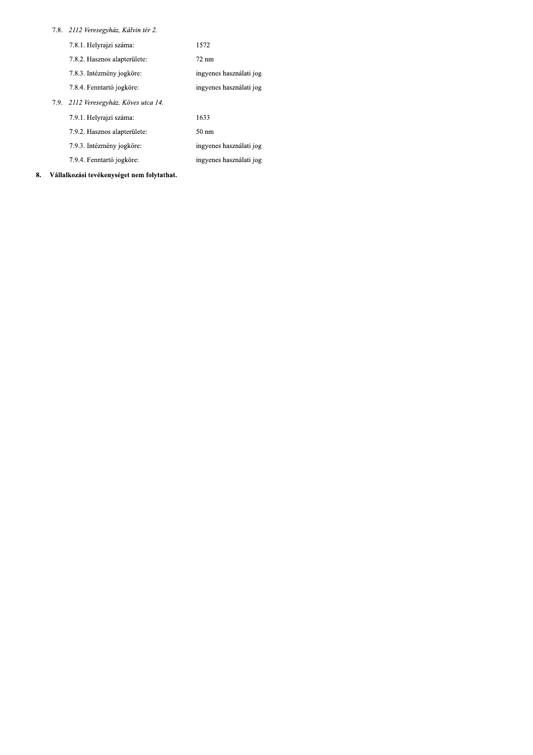### 7.8. 2112 Veresegyház, Kálvin tér 2.

| 7.8.1. Helyrajzi száma:               | 1572                    |
|---------------------------------------|-------------------------|
| 7.8.2. Hasznos alapterülete:          | $72 \text{ nm}$         |
| 7.8.3. Intézmény jogköre:             | ingyenes használati jog |
| 7.8.4. Fenntartó jogköre:             | ingyenes használati jog |
| 7.9. 2112 Veresegyház, Köves utca 14. |                         |
| 7.9.1. Helyrajzi száma:               | 1633                    |
| 7.9.2. Hasznos alapterülete:          | $50 \text{ nm}$         |
| 7.9.3. Intézmény jogköre:             | ingyenes használati jog |
| 7.9.4. Fenntartó jogköre:             | ingyenes használati jog |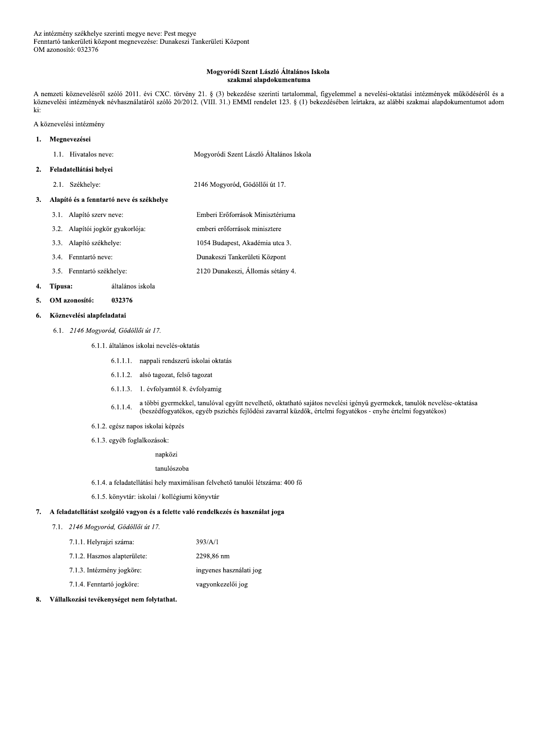### Mogyoródi Szent László Általános Iskola szakmai alapdokumentuma

A nemzeti köznevelésről szóló 2011. évi CXC. törvény 21. § (3) bekezdése szerinti tartalommal, figyelemmel a nevelési-oktatási intézmények működéséről és a köznevelési intézmények névhasználatáról szóló 20/2012. (VIII. 31.) EMMI rendelet 123. § (1) bekezdésében leírtakra, az alábbi szakmai alapdokumentumot adom ki:

A köznevelési intézmény

#### $\mathbf{1}$ . Megnevezései

| 1.1. Hivatalos neve: | Mogyoródi Szent László Általános Iskola |
|----------------------|-----------------------------------------|

#### Feladatellátási helyei  $2.$

2.1. Székhelye: 2146 Mogyoród, Gödöllői út 17.

### 3. Alapító és a fenntartó neve és székhelye

- 3.1. Alapító szerv neve: Emberi Erőforrások Minisztériuma 3.2. Alapítói jogkör gyakorlója: emberi erőforrások minisztere 3.3. Alapító székhelye: 1054 Budapest, Akadémia utca 3. Dunakeszi Tankerületi Központ 3.4. Fenntartó neve:
- 2120 Dunakeszi, Állomás sétány 4. 3.5. Fenntartó székhelye:

#### 4. Típusa: általános iskola

OM azonosító: 032376  $\mathbf{5}$ 

#### Köznevelési alapfeladatai 6.

6.1. 2146 Mogyoród, Gödöllői út 17.

### 6.1.1. általános iskolai nevelés-oktatás

- 6.1.1.1. nappali rendszerű iskolai oktatás
- 6.1.1.2. alsó tagozat, felső tagozat
- 6.1.1.3. 1. évfolyamtól 8. évfolyamig
- a többi gyermekkel, tanulóval együtt nevelhető, oktatható sajátos nevelési igényű gyermekek, tanulók nevelése-oktatása  $6.1.1.4.$ (beszédfogyatékos, egyéb pszichés fejlődési zavarral küzdők, értelmi fogyatékos - enyhe értelmi fogyatékos)
- 6.1.2. egész napos iskolai képzés
- 6.1.3. egyéb foglalkozások:
	- napközi

tanulószoba

- 6.1.4. a feladatellátási hely maximálisan felvehető tanulói létszáma: 400 fő
- 6.1.5. könyvtár: iskolai / kollégiumi könyvtár

### 7. A feladatellátást szolgáló vagyon és a felette való rendelkezés és használat joga

7.1. 2146 Mogyoród, Gödöllői út 17.

| 7.1.1. Helyrajzi száma:      | 393/A/1                 |
|------------------------------|-------------------------|
| 7.1.2. Hasznos alapterülete: | 2298.86 nm              |
| 7.1.3. Intézmény jogköre:    | ingyenes használati jog |
| 7.1.4. Fenntartó jogköre:    | vagyonkezelői jog       |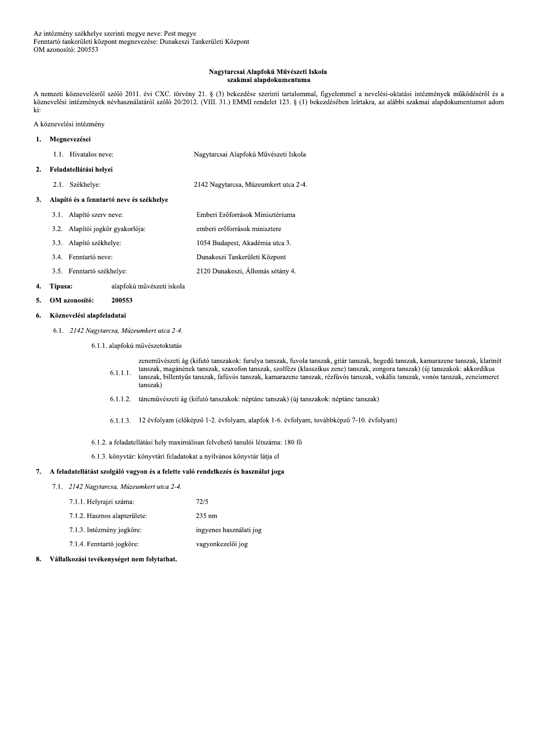#### Nagytarcsai Alapfokú Művészeti Iskola szakmai alapdokumentuma

A nemzeti köznevelésről szóló 2011. évi CXC. törvény 21. § (3) bekezdése szerinti tartalommal, figyelemmel a nevelési-oktatási intézmények működéséről és a köznevelési intézmények névhasználatáról szóló 20/2012. (VIII. 31.) EMMI rendelet 123. § (1) bekezdésében leírtakra, az alábbi szakmai alapdokumentumot adom ki:

A köznevelési intézmény

#### $\mathbf{1}$ . Megnevezései

 $2.$ 

3.

| 1.1. Hivatalos neve:                     | Nagytarcsai Alapfokú Művészeti Iskola |
|------------------------------------------|---------------------------------------|
| Feladatellátási helyei                   |                                       |
| 2.1. Székhelye:                          | 2142 Nagytarcsa, Múzeumkert utca 2-4. |
| Alapító és a fenntartó neve és székhelve |                                       |

- 3.1. Alapító szerv neve: Emberi Erőforrások Minisztériuma 3.2. Alapítói jogkör gyakorlója: emberi erőforrások minisztere 3.3. Alapító székhelye: 1054 Budapest, Akadémia utca 3. Dunakeszi Tankerületi Központ 3.4. Fenntartó neve:
- 2120 Dunakeszi, Állomás sétány 4. 3.5. Fenntartó székhelye:

#### 4. Típusa: alapfokú művészeti iskola

OM azonosító: 200553  $\mathbf{5}$ 

#### Köznevelési alapfeladatai 6.

6.1. 2142 Nagytarcsa, Múzeumkert utca 2-4.

6.1.1. alapfokú művészetoktatás

- zeneművészeti ág (kifutó tanszakok: furulya tanszak, fuvola tanszak, gitár tanszak, hegedű tanszak, kamarazene tanszak, klarinét tanszak, magánének tanszak, szaxofon tanszak, szolfézs (klasszikus zene) tanszak, zongora tanszak) (új tanszakok: akkordikus  $6.1.1.1.$ tanszak, billentyűs tanszak, fafúvós tanszak, kamarazene tanszak, rézfúvós tanszak, vokális tanszak, vonós tanszak, zeneismeret tanszak)
- 6.1.1.2. táncművészeti ág (kifutó tanszakok: néptánc tanszak) (új tanszakok: néptánc tanszak)
- 6.1.1.3. 12 évfolyam (előképző 1-2. évfolyam, alapfok 1-6. évfolyam, továbbképző 7-10. évfolyam)
- 6.1.2. a feladatellátási hely maximálisan felvehető tanulói létszáma: 180 fő
- 6.1.3. könyvtár: könyvtári feladatokat a nyilvános könyvtár látja el

### 7. A feladatellátást szolgáló vagyon és a felette való rendelkezés és használat joga

7.1. 2142 Nagytarcsa, Múzeumkert utca 2-4.

| 7.1.1. Helyrajzi száma:      | 72/5                    |
|------------------------------|-------------------------|
| 7.1.2. Hasznos alapterülete: | $235 \text{ nm}$        |
| 7.1.3. Intézmény jogköre:    | ingyenes használati jog |
| 7.1.4. Fenntartó jogköre:    | vagyonkezelői jog       |
|                              |                         |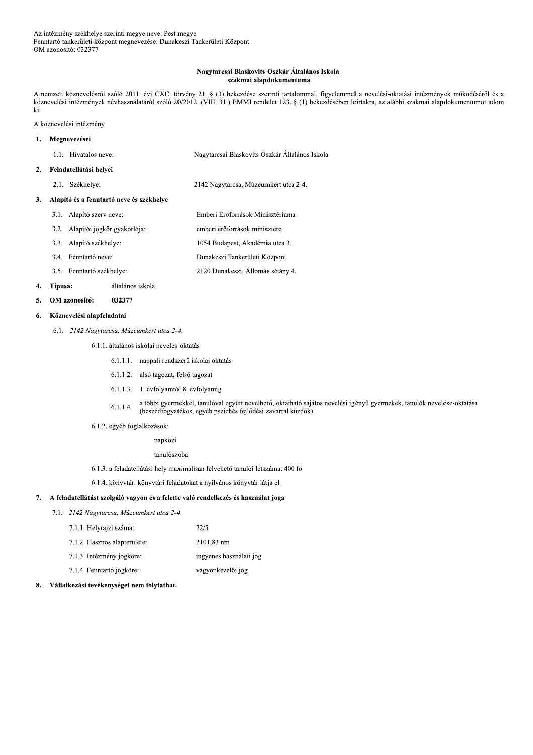### Nagytarcsai Blaskovits Oszkár Általános Iskola szakmai alapdokumentuma

A nemzeti köznevelésről szóló 2011. évi CXC. törvény 21. § (3) bekezdése szerinti tartalommal, figyelemmel a nevelési-oktatási intézmények működéséről és a köznevelési intézmények névhasználatáról szóló 20/2012. (VIII. 31.) EMMI rendelet 123. § (1) bekezdésében leírtakra, az alábbi szakmai alapdokumentumot adom ki:

Emberi Erőforrások Minisztériuma

emberi erőforrások minisztere

A köznevelési intézmény

#### Megnevezései  $\mathbf{1}$ .

| 1.1. Hivatalos neve: | Nagytarcsai Blaskovits Oszkár Általános Iskola |
|----------------------|------------------------------------------------|
|                      |                                                |

#### Feladatellátási helyei  $2.$

2.1. Székhelye: 2142 Nagytarcsa, Múzeumkert utca 2-4.

### 3. Alapító és a fenntartó neve és székhelye

- 3.1. Alapító szerv neve:
- 3.2. Alapítói jogkör gyakorlója:
- 3.3. Alapító székhelye: 1054 Budapest, Akadémia utca 3.
- Dunakeszi Tankerületi Központ 3.4. Fenntartó neve:
- 2120 Dunakeszi, Állomás sétány 4. 3.5. Fenntartó székhelye:

#### 4. Típusa: általános iskola

OM azonosító: 032377  $5.$ 

#### Köznevelési alapfeladatai 6.

6.1. 2142 Nagytarcsa, Múzeumkert utca 2-4.

6.1.1. általános iskolai nevelés-oktatás

- 6.1.1.1. nappali rendszerű iskolai oktatás
- 6.1.1.2. alsó tagozat, felső tagozat
- 6.1.1.3. 1. évfolyamtól 8. évfolyamig
- a többi gyermekkel, tanulóval együtt nevelhető, oktatható sajátos nevelési igényű gyermekek, tanulók nevelése-oktatása  $6.1.1.4.$ (beszédfogyatékos, egyéb pszichés fejlődési zavarral küzdők)
- 6.1.2. egyéb foglalkozások:

# napközi

tanulószoba

6.1.3. a feladatellátási hely maximálisan felvehető tanulói létszáma: 400 fő

6.1.4. könyvtár: könyvtári feladatokat a nyilvános könyvtár látja el

### 7. A feladatellátást szolgáló vagyon és a felette való rendelkezés és használat joga

7.1. 2142 Nagytarcsa, Múzeumkert utca 2-4.

| 7.1.1. Helyrajzi száma:      | 72/5                    |
|------------------------------|-------------------------|
| 7.1.2. Hasznos alapterülete: | 2101,83 nm              |
| 7.1.3. Intézmény jogköre:    | ingyenes használati jog |
| 7.1.4. Fenntartó jogköre:    | vagyonkezelői jog       |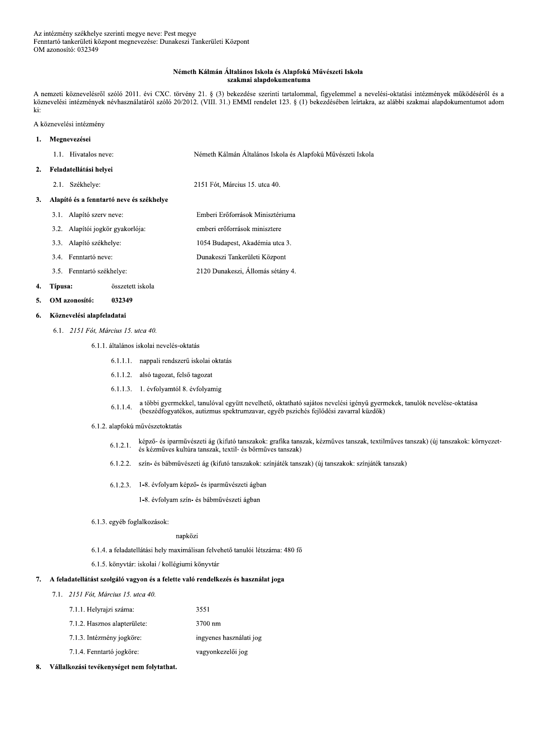### Németh Kálmán Általános Iskola és Alapfokú Művészeti Iskola szakmai alapdokumentuma

A nemzeti köznevelésről szóló 2011. évi CXC. törvény 21. § (3) bekezdése szerinti tartalommal, figyelemmel a nevelési-oktatási intézmények működéséről és a köznevelési intézmények névhasználatáról szóló 20/2012. (VIII. 31.) EMMI rendelet 123. § (1) bekezdésében leírtakra, az alábbi szakmai alapdokumentumot adom ki:

A köznevelési intézmény

#### Megnevezései  $\mathbf{1}$ .

| 1.1. Hivatalos neve: | Németh Kálmán Általános Iskola és Alapfokú Művészeti Iskola |
|----------------------|-------------------------------------------------------------|
|                      |                                                             |

Emberi Erőforrások Minisztériuma

emberi erőforrások minisztere 1054 Budapest, Akadémia utca 3.

#### Feladatellátási helyei  $2.$

2.1. Székhelye: 2151 Fót. Március 15, utca 40.

#### $\overline{3}$ . Alapító és a fenntartó neve és székhelye

- 3.1. Alapító szerv neve:
- 3.2. Alapítói jogkör gyakorlója:
- 3.3. Alapító székhelye:
- 3.4. Fenntartó neve: Dunakeszi Tankerületi Központ
- 2120 Dunakeszi, Állomás sétány 4. 3.5. Fenntartó székhelye:

#### 4. Típusa: összetett iskola

OM azonosító: 032349  $\mathbf{5}$ 

#### Köznevelési alapfeladatai 6.

6.1. 2151 Fót. Március 15. utca 40.

### 6.1.1. általános iskolai nevelés-oktatás

- 6.1.1.1. nappali rendszerű iskolai oktatás
- 6.1.1.2. alsó tagozat, felső tagozat
- 6.1.1.3. 1. évfolyamtól 8. évfolyamig
- a többi gyermekkel, tanulóval együtt nevelhető, oktatható sajátos nevelési igényű gyermekek, tanulók nevelése-oktatása  $6.1.1.4.$ (beszédfogyatékos, autizmus spektrumzavar, egyéb pszichés fejlődési zavarral küzdők)
- 6.1.2. alapfokú művészetoktatás
	- képző- és iparművészeti ág (kifutó tanszakok: grafika tanszak, kézműves tanszak, textilműves tanszak) (új tanszakok: környezet- $6.1.2.1.$ és kézműves kultúra tanszak, textil- és bőrműves tanszak)
	- 6.1.2.2. szín- és bábművészeti ág (kifutó tanszakok: színjáték tanszak) (új tanszakok: színjáték tanszak)
	- 6.1.2.3. 1-8. évfolyam képző- és iparművészeti ágban

1-8. évfolyam szín- és bábművészeti ágban

6.1.3. egyéb foglalkozások:

napközi

6.1.4. a feladatellátási hely maximálisan felvehető tanulói létszáma: 480 fő

3551

6.1.5. könyvtár: iskolai / kollégiumi könyvtár

### 7. A feladatellátást szolgáló vagyon és a felette való rendelkezés és használat joga

- 7.1. 2151 Fót, Március 15. utca 40.
	- 7.1.1. Helyrajzi száma:
	- 7.1.2. Hasznos alapterülete: 3700 nm
	- 7.1.3. Intézmény jogköre: ingyenes használati jog
	- 7.1.4. Fenntartó jogköre: vagyonkezelői jog
- Vállalkozási tevékenységet nem folytathat. 8.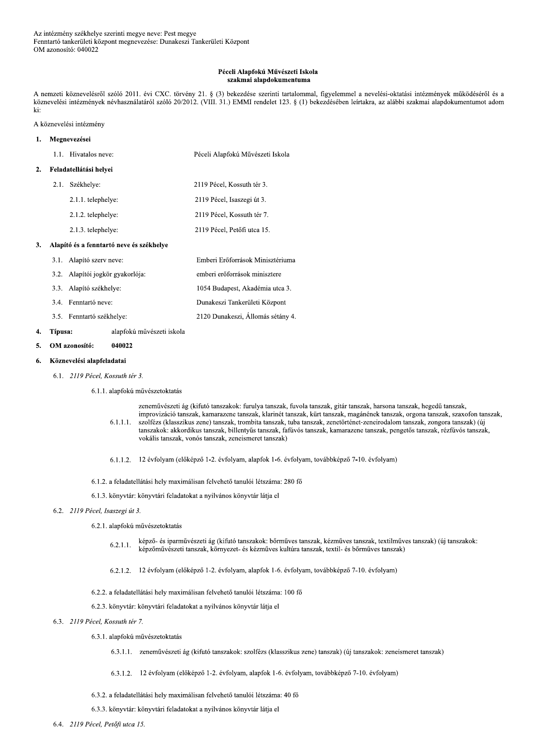## Péceli Alapfokú Művészeti Iskola szakmai alapdokumentuma

A nemzeti köznevelésről szóló 2011. évi CXC. törvény 21. § (3) bekezdése szerinti tartalommal, figyelemmel a nevelési-oktatási intézmények működéséről és a köznevelési intézmények névhasználatáról szóló 20/2012. (VIII. 31.) EMMI rendelet 123. § (1) bekezdésében leírtakra, az alábbi szakmai alapdokumentumot adom ki:

# A köznevelési intézmény

| 1. | Megnevezései |                                          |                                   |
|----|--------------|------------------------------------------|-----------------------------------|
|    |              | 1.1. Hivatalos neve:                     | Péceli Alapfokú Művészeti Iskola  |
| 2. |              | Feladatellátási helyei                   |                                   |
|    | 2.1.         | Székhelye:                               | 2119 Pécel, Kossuth tér 3.        |
|    |              | 2.1.1. telephelye:                       | 2119 Pécel, Isaszegi út 3.        |
|    |              | 2.1.2. telephelye:                       | 2119 Pécel, Kossuth tér 7.        |
|    |              | 2.1.3. telephelye:                       | 2119 Pécel, Petőfi utca 15.       |
| 3. |              | Alapító és a fenntartó neve és székhelye |                                   |
|    |              | 3.1. Alapító szerv neve:                 | Emberi Erőforrások Minisztériuma  |
|    | 3.2.         | Alapítói jogkör gyakorlója:              | emberi erőforrások minisztere     |
|    | 3.3.         | Alapító székhelye:                       | 1054 Budapest, Akadémia utca 3.   |
|    | 3.4.         | Fenntartó neve:                          | Dunakeszi Tankerületi Központ     |
|    |              | 3.5. Fenntartó székhelye:                | 2120 Dunakeszi. Állomás sétány 4. |

#### 4. Típusa: alapfokú művészeti iskola

 $\overline{5}$ . OM azonosító: 040022

### Köznevelési alapfeladatai 6.

6.1. 2119 Pécel, Kossuth tér 3.

# 6.1.1. alapfokú művészetoktatás

zeneművészeti ág (kifutó tanszakok: furulya tanszak, fuvola tanszak, gitár tanszak, harsona tanszak, hegedű tanszak, improvizáció tanszak, kamarazene tanszak, klarinét tanszak, kürt tanszak, magánének tanszak, orgona tanszak, szaxofon tanszak,  $6.1.1.1.$ szolfézs (klasszikus zene) tanszak, trombita tanszak, tuba tanszak, zenetörténet-zeneirodalom tanszak, zongora tanszak) (új tanszakok: akkordikus tanszak, billentyűs tanszak, fafúvós tanszak, kamarazene tanszak, pengetős tanszak, rézfúvós tanszak, vokális tanszak, vonós tanszak, zeneismeret tanszak)

- 6.1.1.2. 12 évfolyam (előképző 1-2. évfolyam, alapfok 1-6. évfolyam, továbbképző 7-10. évfolyam)
- 6.1.2. a feladatellátási hely maximálisan felvehető tanulói létszáma: 280 fő
- 6.1.3. könyvtár: könyvtári feladatokat a nyilvános könyvtár látja el

# 6.2. 2119 Pécel, Isaszegi út 3.

- 6.2.1. alapfokú művészetoktatás
	- képző- és iparművészeti ág (kifutó tanszakok: bőrműves tanszak, kézműves tanszak, textilműves tanszak) (új tanszakok:  $6.2.1.1.$ képzőművészeti tanszak, környezet- és kézműves kultúra tanszak, textil- és bőrműves tanszak)
	- 6.2.1.2. 12 évfolyam (előképző 1-2. évfolyam, alapfok 1-6. évfolyam, továbbképző 7-10. évfolyam)
- 6.2.2. a feladatellátási hely maximálisan felvehető tanulói létszáma: 100 fő

# 6.2.3. könyvtár: könyvtári feladatokat a nyilvános könyvtár látja el

# 6.3. 2119 Pécel, Kossuth tér 7.

- 6.3.1. alapfokú művészetoktatás
	- 6.3.1.1. zeneművészeti ág (kifutó tanszakok: szolfézs (klasszikus zene) tanszak) (új tanszakok: zeneismeret tanszak)
	- 6.3.1.2. 12 évfolyam (előképző 1-2. évfolyam, alapfok 1-6. évfolyam, továbbképző 7-10. évfolyam)
- 6.3.2. a feladatellátási hely maximálisan felvehető tanulói létszáma: 40 fő

## 6.3.3. könyvtár: könyvtári feladatokat a nyilvános könyvtár látja el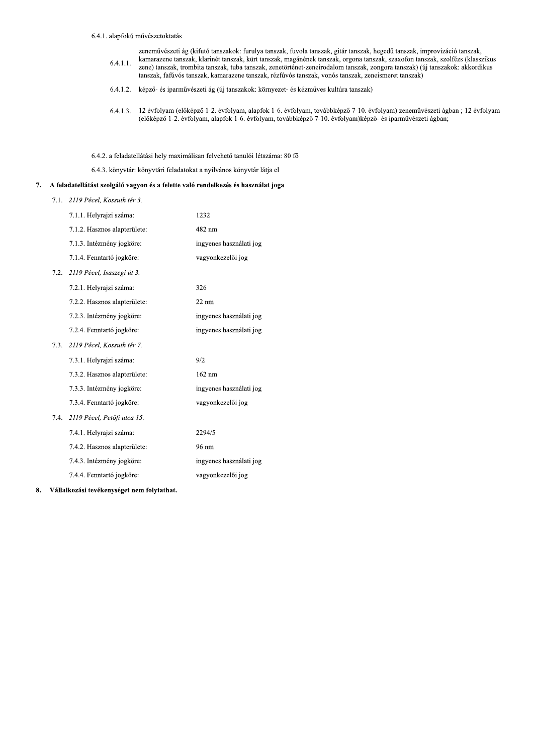6.4.1. alapfokú művészetoktatás

zeneművészeti ág (kifutó tanszakok: furulya tanszak, fuvola tanszak, gitár tanszak, hegedű tanszak, improvizáció tanszak, kamarazene tanszak, klarinét tanszak, kürt tanszak, magánének tanszak, orgona tanszak, szaxofon tanszak, szolfézs (klasszikus  $6.4.1.1.$ zene) tanszak, trombita tanszak, tuba tanszak, zenetörténet-zeneirodalom tanszak, zongora tanszak) (új tanszakok: akkordikus tanszak, fafúvós tanszak, kamarazene tanszak, rézfúvós tanszak, vonós tanszak, zeneismeret tanszak)

- 6.4.1.2. képző- és iparművészeti ág (új tanszakok: környezet- és kézműves kultúra tanszak)
- $6.4.1.3.$ 12 évfolyam (előképző 1-2. évfolyam, alapfok 1-6. évfolyam, továbbképző 7-10. évfolyam) zeneművészeti ágban; 12 évfolyam (előképző 1-2. évfolyam, alapfok 1-6. évfolyam, továbbképző 7-10. évfolyam)képző- és iparművészeti ágban;
- 6.4.2. a feladatellátási hely maximálisan felvehető tanulói létszáma: 80 fő

6.4.3. könyvtár: könyvtári feladatokat a nyilvános könyvtár látja el

# 7. A feladatellátást szolgáló vagyon és a felette való rendelkezés és használat joga

7.1. 2119 Pécel, Kossuth tér 3.

|      | 7.1.1. Helyrajzi száma:      | 1232                    |
|------|------------------------------|-------------------------|
|      | 7.1.2. Hasznos alapterülete: | 482 nm                  |
|      | 7.1.3. Intézmény jogköre:    | ingyenes használati jog |
|      | 7.1.4. Fenntartó jogköre:    | vagyonkezelői jog       |
| 7.2. | 2119 Pécel, Isaszegi út 3.   |                         |
|      | 7.2.1. Helyrajzi száma:      | 326                     |
|      | 7.2.2. Hasznos alapterülete: | $22 \text{ nm}$         |
|      | 7.2.3. Intézmény jogköre:    | ingyenes használati jog |
|      | 7.2.4. Fenntartó jogköre:    | ingyenes használati jog |
| 7.3. | 2119 Pécel, Kossuth tér 7.   |                         |
|      | 7.3.1. Helyrajzi száma:      | 9/2                     |
|      | 7.3.2. Hasznos alapterülete: | $162 \text{ nm}$        |
|      | 7.3.3. Intézmény jogköre:    | ingyenes használati jog |
|      | 7.3.4. Fenntartó jogköre:    | vagyonkezelői jog       |
| 7.4. | 2119 Pécel, Petőfi utca 15.  |                         |
|      | 7.4.1. Helyrajzi száma:      | 2294/5                  |
|      | 7.4.2. Hasznos alapterülete: | 96 nm                   |
|      | 7.4.3. Intézmény jogköre:    | ingyenes használati jog |
|      | 7.4.4. Fenntartó jogköre:    | vagyonkezelői jog       |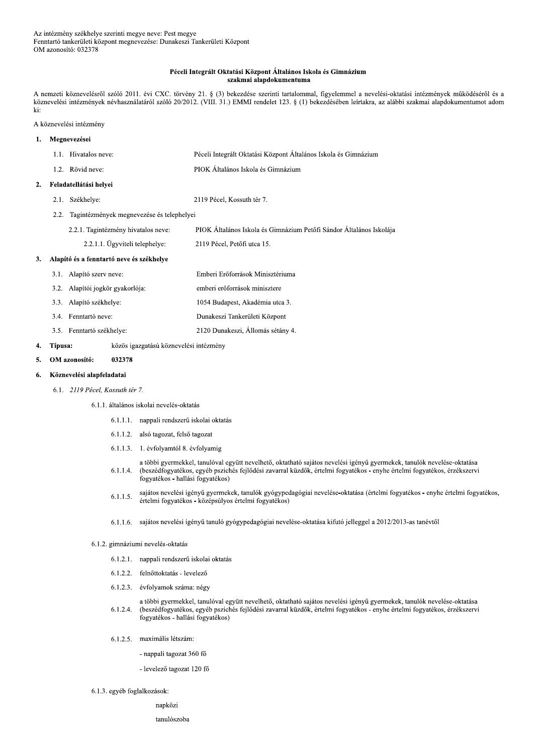# Péceli Integrált Oktatási Központ Általános Iskola és Gimnázium szakmai alapdokumentuma

A nemzeti köznevelésről szóló 2011. évi CXC. törvény 21. § (3) bekezdése szerinti tartalommal, figyelemmel a nevelési-oktatási intézmények működéséről és a köznevelési intézmények névhasználatáról szóló 20/2012. (VIII. 31.) EMMI rendelet 123. § (1) bekezdésében leírtakra, az alábbi szakmai alapdokumentumot adom ki:

# A köznevelési intézmény

#### Megnevezései  $\mathbf{1}$ .

 $\overline{2}$ .

3.

 $\overline{4}$ .

|         | 1.1. Hivatalos neve:                      | Péceli Integrált Oktatási Központ Általános Iskola és Gimnázium     |  |
|---------|-------------------------------------------|---------------------------------------------------------------------|--|
|         | 1.2. Rövid neve:                          | PIOK Általános Iskola és Gimnázium                                  |  |
|         | Feladatellátási helyei                    |                                                                     |  |
| 2.1.    | Székhelye:                                | 2119 Pécel, Kossuth tér 7.                                          |  |
| 2.2.    | Tagintézmények megnevezése és telephelyei |                                                                     |  |
|         | 2.2.1. Tagintézmény hivatalos neve:       | PIOK Általános Iskola és Gimnázium Petőfi Sándor Általános Iskolája |  |
|         | 2.2.1.1. Ügyviteli telephelye:            | 2119 Pécel, Petőfi utca 15.                                         |  |
|         | Alapító és a fenntartó neve és székhelye  |                                                                     |  |
|         | 3.1. Alapító szerv neve:                  | Emberi Erőforrások Minisztériuma                                    |  |
| 3.2.    | Alapítói jogkör gyakorlója:               | emberi erőforrások minisztere                                       |  |
| 3.3.    | Alapító székhelye:                        | 1054 Budapest, Akadémia utca 3.                                     |  |
|         | 3.4. Fenntartó neve:                      | Dunakeszi Tankerületi Központ                                       |  |
|         | 3.5. Fenntartó székhelye:                 | 2120 Dunakeszi, Állomás sétány 4.                                   |  |
| Típusa: | közös igazgatású köznevelési intézmény    |                                                                     |  |

#### OM azonosító: 032378 5.

### Köznevelési alapfeladatai 6.

6.1. 2119 Pécel, Kossuth tér 7.

6.1.1. általános iskolai nevelés-oktatás

- 6.1.1.1. nappali rendszerű iskolai oktatás
- 6.1.1.2. alsó tagozat, felső tagozat
- 6.1.1.3. 1. évfolyamtól 8. évfolyamig
- a többi gyermekkel, tanulóval együtt nevelhető, oktatható sajátos nevelési igényű gyermekek, tanulók nevelése-oktatása  $6.1.1.4.$ (beszédfogyatékos, egyéb pszichés fejlődési zavarral küzdők, értelmi fogyatékos - enyhe értelmi fogyatékos, érzékszervi fogyatékos - hallási fogyatékos)
- sajátos nevelési igényű gyermekek, tanulók gyógypedagógiai nevelése-oktatása (értelmi fogyatékos enyhe értelmi fogyatékos,  $6.1.1.5.$ értelmi fogyatékos - középsúlyos értelmi fogyatékos)
- 6.1.1.6. sajátos nevelési igényű tanuló gyógypedagógiai nevelése-oktatása kifutó jelleggel a 2012/2013-as tanévtől

# 6.1.2. gimnáziumi nevelés-oktatás

- 6.1.2.1. nappali rendszerű iskolai oktatás
- 6.1.2.2. felnőttoktatás levelező
- 6.1.2.3. évfolyamok száma: négy
- a többi gyermekkel, tanulóval együtt nevelhető, oktatható sajátos nevelési igényű gyermekek, tanulók nevelése-oktatása  $6.1.2.4.$ (beszédfogyatékos, egyéb pszichés fejlődési zavarral küzdők, értelmi fogyatékos - enyhe értelmi fogyatékos, érzékszervi fogyatékos - hallási fogyatékos)
- 6.1.2.5. maximális létszám:
	- nappali tagozat 360 fő
	- levelező tagozat 120 fő
- 6.1.3. egyéb foglalkozások:

napközi

tanulószoba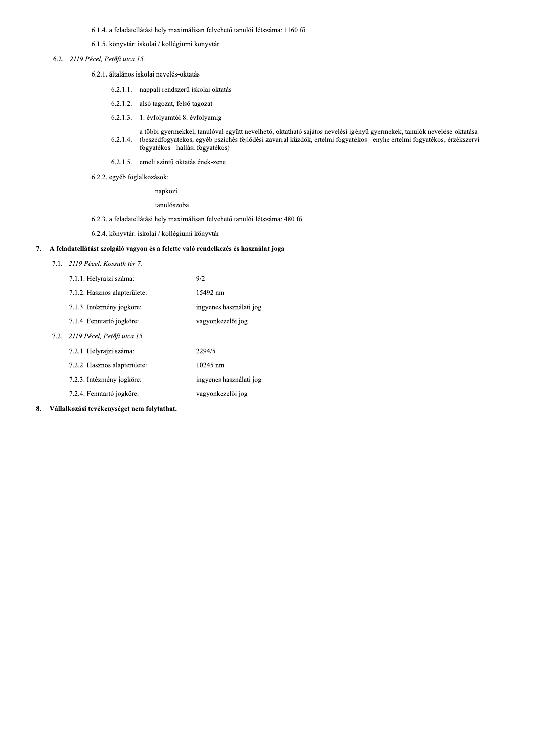6.1.4. a feladatellátási hely maximálisan felvehető tanulói létszáma: 1160 fő

6.1.5. könyvtár: iskolai / kollégiumi könyvtár

6.2. 2119 Pécel, Petőfi utca 15.

6.2.1. általános iskolai nevelés-oktatás

- 6.2.1.1. nappali rendszerű iskolai oktatás
- 6.2.1.2. alsó tagozat, felső tagozat
- 6.2.1.3. 1. évfolyamtól 8. évfolyamig
- a többi gyermekkel, tanulóval együtt nevelhető, oktatható sajátos nevelési igényű gyermekek, tanulók nevelése-oktatása<br>(beszédfogyatékos, egyéb pszichés fejlődési zavarral küzdők, értelmi fogyatékos enyhe értelmi fogyaté  $6.2.1.4.$
- 6.2.1.5. emelt szintű oktatás ének-zene
- 6.2.2. egyéb foglalkozások:

napközi

tanulószoba

6.2.3. a feladatellátási hely maximálisan felvehető tanulói létszáma: 480 fő

6.2.4. könyvtár: iskolai / kollégiumi könyvtár

# 7. A feladatellátást szolgáló vagyon és a felette való rendelkezés és használat joga

7.1. 2119 Pécel, Kossuth tér 7.

| 7.1.1. Helyrajzi száma:          | 9/2                     |
|----------------------------------|-------------------------|
| 7.1.2. Hasznos alapterülete:     | 15492 nm                |
| 7.1.3. Intézmény jogköre:        | ingyenes használati jog |
| 7.1.4. Fenntartó jogköre:        | vagyonkezelői jog       |
| 7.2. 2119 Pécel, Petőfi utca 15. |                         |
| 7.2.1. Helyrajzi száma:          | 2294/5                  |
| 7.2.2. Hasznos alapterülete:     | 10245 nm                |
| 7.2.3. Intézmény jogköre:        | ingyenes használati jog |
| 7.2.4. Fenntartó jogköre:        | vagyonkezelői jog       |
|                                  |                         |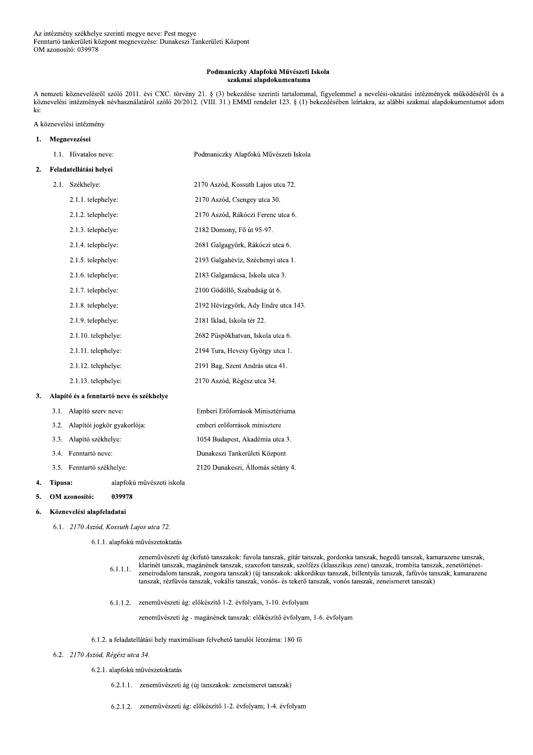### Podmaniczky Alapfokú Művészeti Iskola szakmai alapdokumentuma

A nemzeti köznevelésről szóló 2011. évi CXC. törvény 21. § (3) bekezdése szerinti tartalommal, figyelemmel a nevelési-oktatási intézmények működéséről és a köznevelési intézmények névhasználatáról szóló 20/2012. (VIII. 31.) EMMI rendelet 123. § (1) bekezdésében leírtakra, az alábbi szakmai alapdokumentumot adom ki:

# A köznevelési intézmény

### Megnevezései  $\mathbf{1}$ . 1.1. Hivatalos neve: Podmaniczky Alapfokú Művészeti Iskola Feladatellátási helyei  $2.$ 2.1. Székhelye: 2170 Aszód, Kossuth Lajos utca 72. 2.1.1. telephelye: 2170 Aszód, Csengey utca 30. 2.1.2. telephelye: 2170 Aszód, Rákóczi Ferenc utca 6. 2.1.3. telephelye: 2182 Domony, Fő út 95-97. 2.1.4. telephelye: 2681 Galgagyörk, Rákóczi utca 6. 2193 Galgahévíz, Széchenyi utca 1. 2.1.5. telephelye: 2.1.6. telephelye: 2183 Galgamácsa, Iskola utca 3. 2.1.7. telephelye: 2100 Gödöllő, Szabadság út 6. 2.1.8. telephelye: 2192 Hévízgyörk, Ady Endre utca 143. 2181 Iklad, Iskola tér 22. 2.1.9. telephelye: 2.1.10. telephelye: 2682 Püspökhatvan, Iskola utca 6. 2.1.11. telephelye: 2194 Tura, Hevesy György utca 1. 2.1.12. telephelye: 2191 Bag, Szent András utca 41. 2170 Aszód, Régész utca 34. 2.1.13. telephelye: 3. Alapító és a fenntartó neve és székhelye 3.1. Alapító szerv neve: Emberi Erőforrások Minisztériuma 3.2. Alapítói jogkör gyakorlója: emberi erőforrások minisztere 3.3. Alapító székhelye: 1054 Budapest, Akadémia utca 3. 3.4. Fenntartó neve: Dunakeszi Tankerületi Központ 3.5. Fenntartó székhelye: 2120 Dunakeszi, Állomás sétány 4.

4. Típusa:

OM azonosító: 039978  $5.$ 

### Köznevelési alapfeladatai 6.

6.1. 2170 Aszód, Kossuth Lajos utca 72.

6.1.1. alapfokú művészetoktatás

alapfokú művészeti iskola

zeneművészeti ág (kifutó tanszakok: fuvola tanszak, gitár tanszak, gordonka tanszak, hegedű tanszak, kamarazene tanszak, klarinét tanszak, magánének tanszak, szaxofon tanszak, szolfézs (klasszikus zene) tanszak, trombita tanszak, zenetörténet- $6.1.1.1.$ zeneirodalom tanszak, zongora tanszak) (új tanszakok: akkordikus tanszak, billentyűs tanszak, fafúvós tanszak, kamarazene tanszak, rézfúvós tanszak, vokális tanszak, vonós- és tekerő tanszak, vonós tanszak, zeneismeret tanszak)

6.1.1.2. zeneművészeti ág: előkészítő 1-2. évfolyam, 1-10. évfolyam

zeneművészeti ág - magánének tanszak: előkészítő évfolyam, 1-6. évfolyam

# 6.1.2. a feladatellátási hely maximálisan felvehető tanulói létszáma: 180 fő

# 6.2. 2170 Aszód, Régész utca 34.

6.2.1. alapfokú művészetoktatás

- 6.2.1.1. zeneművészeti ág (új tanszakok: zeneismeret tanszak)
- 6.2.1.2. zeneművészeti ág: előkészítő 1-2. évfolyam; 1-4. évfolyam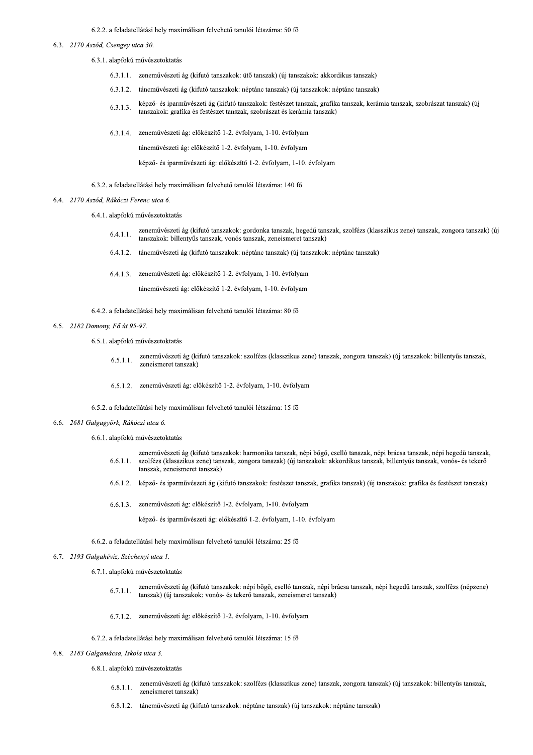# 6.2.2. a feladatellátási hely maximálisan felvehető tanulói létszáma: 50 fő

- $6.3.$ 
	- 3.1. alapfokú művészetoktatás
	- $6.3.1.1$ . zeneművészeti ág (kifutó tanszakok: ütő tanszak) (új tanszakok: akkordikus tanszak)
	- $6.3.1.2$ . táncművészeti ág (kifutó tanszakok: néptánc tanszak) (új tanszakok: néptánc tanszak)
- 1.3.  $\frac{2170 \text{ Aszód}}{2130}$ . (1) Associal Chapter and the set of the set of the set of the set of the set of the set of the set of the set of the set of the set of the set of the set of the set of the set of the set of th  $6.3.1.3.$ képző- és iparművészeti ág (kifutó tanszakok: festészet tanszak, grafika tanszak, kerámia tanszak, szobrászat tanszak) (új tanszakok: grafika és festészet tanszak, szobrászat és kerámia tanszak)
	- $6.3.$ 3.1.4. zeneművészeti ág: előkészítő 1-2. évfolyam, 1-10. évfolyam

táncművészeti ág: előkészítő 1-2. évfolvam, 1-10. év

képző- és iparművészeti ág: előkészítő 1-2. évfolyam, 1-10. évfolyam

 $6.3.2$ . a feladatellátási hely maximálisan felvehető tanulói létszáma: 140 fő

## 6.4. 2170 Aszód, Rákóczi Ferenc utca 6.

- 6.4.1. alanfokú művészetoktatás
- $6.4.1.1$ . zeneművészeti ág (kifutó tanszakok: gordonka tanszak, hegedű tanszak, szolfézs (klasszikus zene) tanszak, zongora tanszak) (új tanszakok: billentyűs tanszak, vonós tanszak, zeneismeret tanszak)
- $6.4.1.2$ . táncművészeti ág (kifutó tanszakok: néptánc tanszak) (új tanszakok: néptánc tanszak)
- 6.4.1.3. zeneművészeti ág: előkészítő 1-2. évfolyam, 1-10. évfolyam

táneművészeti ág: előkészítő 1-2. évfolvam, 1-10. év

 $6.4.2$ . a feladatellátási hely maximálisan felvehető tanulói létszáma: 80 fő

## 6.5. 2182 Domony, Fő út 95-97.

6.5.1. alapfokú művészetoktatás

- $6.5.1.1$ zeneművészeti ág (kifutó tanszakok: szolfézs (klasszikus zene) tanszak, zongora tanszak) (új tanszakok: billentyűs tanszak, zeneismeret tanszak)
- $6.5.1.2$ . zeneművészeti ág: előkészítő 1-2. évfolyam, 1-10. évfolyam
- $6.5.2$ . a feladatellátási hely maximálisan felvehető tanulói létszáma: 15 fő
	- 6.6. 2681 Galgagyörk, Rákóczi utca 6.
		- 6.6.1. alanfokú művészetoktatás
		- $6.6.1.1$ zeneművészeti ág (kifutó tanszakok: harmonika tanszak, népi bőgő, cselló tanszak, népi brácsa tanszak, népi hegedű tanszak,<br>szolfézs (klasszikus zene) tanszak, zongora tanszak) (új tanszakok: akkordikus tanszak, billentvűs szolfézs (klasszikus zene) tanszak, zongora tanszak) (új tanszakok: akkordikus tanszak, billentyűs tanszak, vonós- és tekerő tanszak, zeneismeret tanszak)
		- 6.6.1.2. képző- és iparművészeti ág (kifutó tanszakok: festészet tanszak, grafika tanszak) (új tanszakok: grafika és festészet tanszak)
		- 6.6.1.3. zeneművészeti ág: előkészítő 1-2. évfolyam, 1-10. évfolyam

képző- és iparművészeti ág: előkészítő 1-2. évfolyam, 1-10. évfolyam

6.6.2. a feladatellátási hely maximálisan felvehető tanulói létszáma: 25 fő

- 6.7. 2193 Galgahévíz, Széchenyi utca 1.
	- 6.7.1. alapfokú művészetoktatás
	- $6.7.1.1.$ zeneművészeti ág (kifutó tanszakok: népi bőgő, cselló tanszak, népi brácsa tanszak, népi hegedű tanszak, szolfézs (népzene) tanszak) (új tanszakok: vonós- és tekerő tanszak, zeneismeret tanszak)
	- $6.7.1.2$ . zeneművészeti ág: előkészítő 1-2. évfolyam, 1-10. évfolyam

# $6.7.2$ . a feladatellátási hely maximálisan felvehető tanulói létszáma: 15 fő

- 6.8. 2183 Galgamácsa. Iskola utca 3.
	- 6.8.1. alanfokú művészetoktatás
	- $6.8.1.1$ zeneművészeti ág (kifutó tanszakok: szolfézs (klasszikus zene) tanszak, zongora tanszak) (új tanszakok: billentyűs tanszak, zeneismeret tanszak)
	- 6.8.1.2. táncművészeti ág (kifutó tanszakok: néptánc tanszak) (új tanszakok: néptánc tanszak)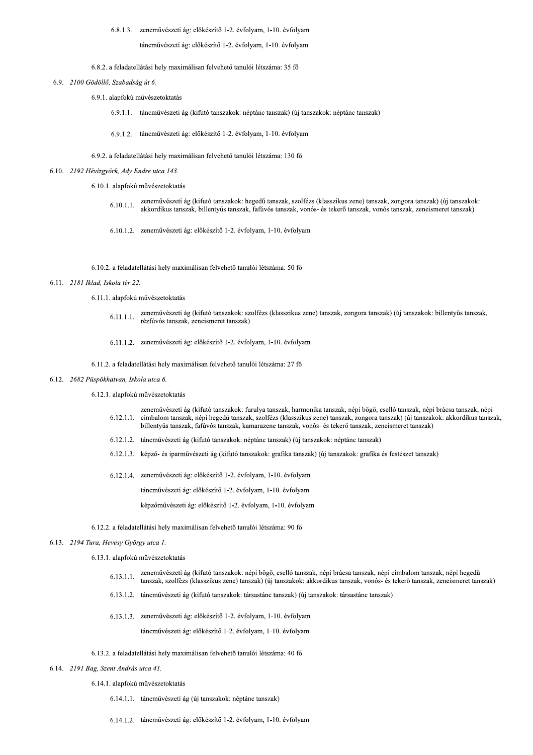6.8.1.3. zeneművészeti ág: előkészítő 1-2. évfolyam, 1-10. évfolyam

táncművészeti ág: előkészítő 1-2. évfolyam, 1-10. évfolyam

### 6.8.2. a feladatellátási hely maximálisan felvehető tanulói létszáma: 35 fő

## 6.9. 2100 Gödöllő, Szabadság út 6.

- 6.9.1. alapfokú művészetoktatás
	- 6.9.1.1. táncművészeti ág (kifutó tanszakok: néptánc tanszak) (új tanszakok: néptánc tanszak)
	- 6.9.1.2. táncművészeti ág: előkészítő 1-2. évfolyam, 1-10. évfolyam
- 6.9.2. a feladatellátási hely maximálisan felvehető tanulói létszáma: 130 fő

# 6.10. 2192 Hévízgyörk, Ady Endre utca 143.

- 6.10.1. alapfokú művészetoktatás
	- zeneművészeti ág (kifutó tanszakok: hegedű tanszak, szolfézs (klasszikus zene) tanszak, zongora tanszak) (új tanszakok:  $6.10.1.1$ akkordikus tanszak, billentyűs tanszak, fafúvós tanszak, vonós- és tekerő tanszak, vonós tanszak, zeneismeret tanszak)
	- 6.10.1.2. zeneművészeti ág: előkészítő 1-2. évfolyam, 1-10. évfolyam

### 6.10.2. a feladatellátási hely maximálisan felvehető tanulói létszáma: 50 fő

# 6.11. 2181 Iklad. Iskola tér 22.

- 6.11.1. alapfokú művészetoktatás
	- zeneművészeti ág (kifutó tanszakok: szolfézs (klasszikus zene) tanszak, zongora tanszak) (új tanszakok: billentyűs tanszak,  $6.11.1.1.$ rézfúvós tanszak, zeneismeret tanszak)
	- 6.11.1.2. zeneművészeti ág: előkészítő 1-2. évfolyam, 1-10. évfolyam

### 6.11.2. a feladatellátási hely maximálisan felvehető tanulói létszáma: 27 fő

### 6.12. 2682 Püspökhatvan, Iskola utca 6.

### 6.12.1. alapfokú művészetoktatás

- zeneművészeti ág (kifutó tanszakok: furulya tanszak, harmonika tanszak, népi bőgő, cselló tanszak, népi brácsa tanszak, népi cimbalom tanszak, népi hegedű tanszak, szolfézs (klasszikus zene) tanszak, zongora tanszak) (új tanszakok: akkordikus tanszak,  $6.12.1.1.$ billentyűs tanszak, fafúvós tanszak, kamarazene tanszak, vonós- és tekerő tanszak, zeneismeret tanszak)
- 6.12.1.2. táncművészeti ág (kifutó tanszakok: néptánc tanszak) (új tanszakok: néptánc tanszak)
- 6.12.1.3. képző- és iparművészeti ág (kifutó tanszakok: grafika tanszak) (új tanszakok: grafika és festészet tanszak)
- 6.12.1.4. zeneművészeti ág: előkészítő 1-2. évfolyam, 1-10. évfolyam

táncművészeti ág: előkészítő 1-2. évfolyam, 1-10. évfolyam

képzőművészeti ág: előkészítő 1-2. évfolyam, 1-10. évfolyam

# 6.12.2. a feladatellátási hely maximálisan felvehető tanulói létszáma: 90 fő

# 6.13. 2194 Tura, Hevesy György utca 1.

6.13.1. alapfokú művészetoktatás

- zeneművészeti ág (kifutó tanszakok: népi bőgő, cselló tanszak, népi brácsa tanszak, népi cimbalom tanszak, népi hegedű  $6.13.1.1.$ tanszak, szolfézs (klasszikus zene) tanszak) (új tanszakok: akkordikus tanszak, vonós- és tekerő tanszak, zeneismeret tanszak)
- 6.13.1.2. táncművészeti ág (kifutó tanszakok: társastánc tanszak) (új tanszakok: társastánc tanszak)
- 6.13.1.3. zeneművészeti ág: előkészítő 1-2. évfolyam, 1-10. évfolyam

táncművészeti ág: előkészítő 1-2. évfolyam, 1-10. évfolyam

- 6.13.2. a feladatellátási hely maximálisan felvehető tanulói létszáma: 40 fő
- 6.14. 2191 Bag, Szent András utca 41.

6.14.1. alapfokú művészetoktatás

- 6.14.1.1. táncművészeti ág (új tanszakok: néptánc tanszak)
- 6.14.1.2. táncművészeti ág: előkészítő 1-2. évfolyam, 1-10. évfolyam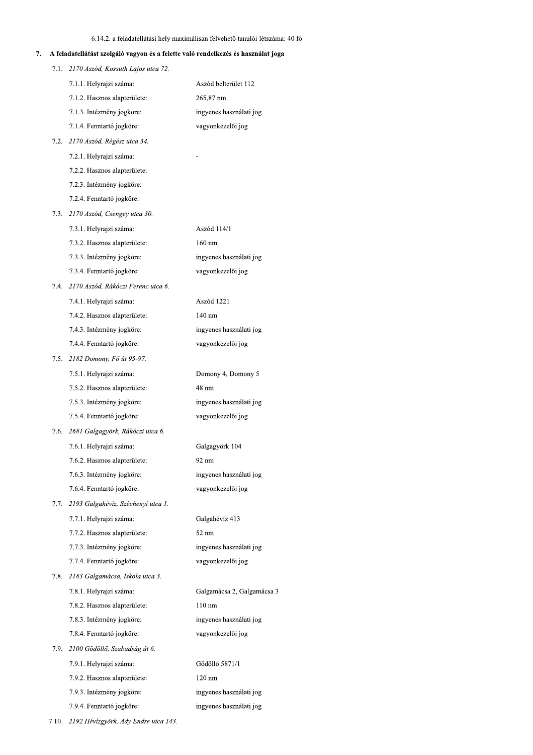|      |                                                                                   | 6.14.2. a feladatellátási hely maximálisan felvehető tanulói létszáma: 40 fő |
|------|-----------------------------------------------------------------------------------|------------------------------------------------------------------------------|
|      | A feladatellátást szolgáló vagyon és a felette való rendelkezés és használat joga |                                                                              |
|      | 7.1. 2170 Aszód, Kossuth Lajos utca 72.                                           |                                                                              |
|      | 7.1.1. Helyrajzi száma:                                                           | Aszód belterület 112                                                         |
|      | 7.1.2. Hasznos alapterülete:                                                      | 265,87 nm                                                                    |
|      | 7.1.3. Intézmény jogköre:                                                         | ingyenes használati jog                                                      |
|      | 7.1.4. Fenntartó jogköre:                                                         | vagyonkezelői jog                                                            |
|      | 7.2. 2170 Aszód, Régész utca 34.                                                  |                                                                              |
|      | 7.2.1. Helyrajzi száma:                                                           |                                                                              |
|      | 7.2.2. Hasznos alapterülete:                                                      |                                                                              |
|      | 7.2.3. Intézmény jogköre:                                                         |                                                                              |
|      | 7.2.4. Fenntartó jogköre:                                                         |                                                                              |
|      | 7.3. 2170 Aszód, Csengey utca 30.                                                 |                                                                              |
|      | 7.3.1. Helyrajzi száma:                                                           | Aszód 114/1                                                                  |
|      | 7.3.2. Hasznos alapterülete:                                                      | $160$ nm                                                                     |
|      | 7.3.3. Intézmény jogköre:                                                         | ingyenes használati jog                                                      |
|      | 7.3.4. Fenntartó jogköre:                                                         | vagyonkezelői jog                                                            |
|      | 7.4. 2170 Aszód, Rákóczi Ferenc utca 6.                                           |                                                                              |
|      | 7.4.1. Helyrajzi száma:                                                           | Aszód 1221                                                                   |
|      | 7.4.2. Hasznos alapterülete:                                                      | $140 \text{ nm}$                                                             |
|      | 7.4.3. Intézmény jogköre:                                                         | ingyenes használati jog                                                      |
|      | 7.4.4. Fenntartó jogköre:                                                         | vagyonkezelői jog                                                            |
|      | 7.5. 2182 Domony, Fő út 95-97.                                                    |                                                                              |
|      | 7.5.1. Helyrajzi száma:                                                           | Domony 4, Domony 5                                                           |
|      | 7.5.2. Hasznos alapterülete:                                                      | 48 nm                                                                        |
|      | 7.5.3. Intézmény jogköre:                                                         | ingyenes használati jog                                                      |
|      | 7.5.4. Fenntartó jogköre:                                                         | vagyonkezelői jog                                                            |
| 7.6. | 2681 Galgagyörk, Rákóczi utca 6.                                                  |                                                                              |
|      | 7.6.1. Helyrajzi száma:                                                           | Galgagyörk 104                                                               |
|      | 7.6.2. Hasznos alapterülete:                                                      | 92 nm                                                                        |
|      | 7.6.3. Intézmény jogköre:                                                         | ingyenes használati jog                                                      |
|      | 7.6.4. Fenntartó jogköre:                                                         | vagyonkezelői jog                                                            |
| 7.7. | 2193 Galgahévíz, Széchenyi utca 1.                                                |                                                                              |
|      | 7.7.1. Helyrajzi száma:                                                           | Galgahévíz 413                                                               |
|      | 7.7.2. Hasznos alapterülete:                                                      | 52 nm                                                                        |
|      | 7.7.3. Intézmény jogköre:                                                         | ingyenes használati jog                                                      |
|      | 7.7.4. Fenntartó jogköre:                                                         | vagyonkezelői jog                                                            |
| 7.8. | 2183 Galgamácsa, Iskola utca 3.                                                   |                                                                              |
|      | 7.8.1. Helyrajzi száma:                                                           | Galgamácsa 2, Galgamácsa 3                                                   |
|      | 7.8.2. Hasznos alapterülete:                                                      | $110 \text{ nm}$                                                             |
|      | 7.8.3. Intézmény jogköre:                                                         | ingyenes használati jog                                                      |
|      | 7.8.4. Fenntartó jogköre:                                                         | vagyonkezelői jog                                                            |
|      | 7.9. 2100 Gödöllő, Szabadság út 6.                                                |                                                                              |
|      | 7.9.1. Helyrajzi száma:                                                           | Gödöllő 5871/1                                                               |
|      | 7.9.2. Hasznos alapterülete:                                                      | $120 \text{ nm}$                                                             |
|      | 7.9.3. Intézmény jogköre:                                                         | ingyenes használati jog                                                      |
|      |                                                                                   |                                                                              |
|      | 7.9.4. Fenntartó jogköre:                                                         | ingyenes használati jog                                                      |

1.10. 2192 Hevizgyork, Ady Endre utca 143.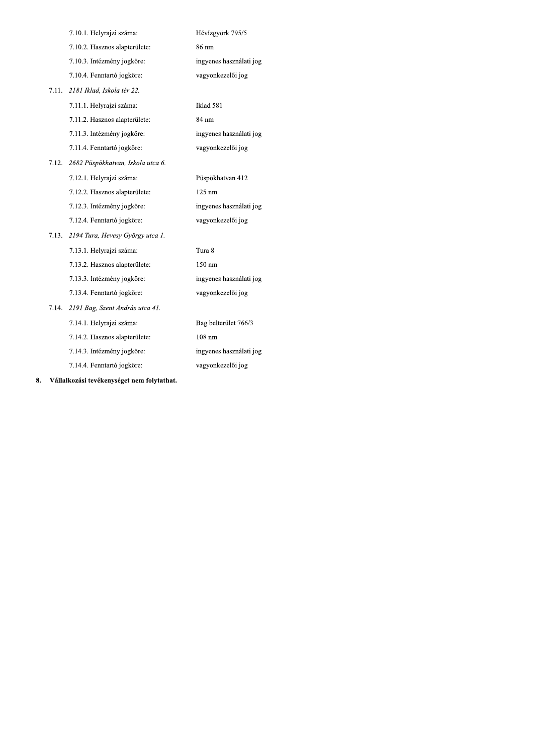|       | 7.10.1. Helyrajzi száma:          | Hévízgyörk 795/5        |
|-------|-----------------------------------|-------------------------|
|       | 7.10.2. Hasznos alapterülete:     | 86 nm                   |
|       | 7.10.3. Intézmény jogköre:        | ingyenes használati jog |
|       | 7.10.4. Fenntartó jogköre:        | vagyonkezelői jog       |
| 7.11. | 2181 Iklad, Iskola tér 22.        |                         |
|       | 7.11.1. Helyrajzi száma:          | Iklad 581               |
|       | 7.11.2. Hasznos alapterülete:     | 84 nm                   |
|       | 7.11.3. Intézmény jogköre:        | ingyenes használati jog |
|       | 7.11.4. Fenntartó jogköre:        | vagyonkezelői jog       |
| 7.12. | 2682 Püspökhatvan, Iskola utca 6. |                         |
|       | 7.12.1. Helyrajzi száma:          | Püspökhatvan 412        |
|       | 7.12.2. Hasznos alapterülete:     | $125 \text{ nm}$        |
|       | 7.12.3. Intézmény jogköre:        | ingyenes használati jog |
|       | 7.12.4. Fenntartó jogköre:        | vagyonkezelői jog       |
| 7.13. | 2194 Tura, Hevesy György utca 1.  |                         |
|       | 7.13.1. Helyrajzi száma:          | Tura 8                  |
|       | 7.13.2. Hasznos alapterülete:     | 150 nm                  |
|       | 7.13.3. Intézmény jogköre:        | ingyenes használati jog |
|       | 7.13.4. Fenntartó jogköre:        | vagyonkezelői jog       |
| 7.14. | 2191 Bag, Szent András utca 41.   |                         |
|       | 7.14.1. Helyrajzi száma:          | Bag belterület 766/3    |
|       | 7.14.2. Hasznos alapterülete:     | $108$ nm                |
|       | 7.14.3. Intézmény jogköre:        | ingyenes használati jog |
|       | 7.14.4. Fenntartó jogköre:        | vagyonkezelői jog       |
|       |                                   |                         |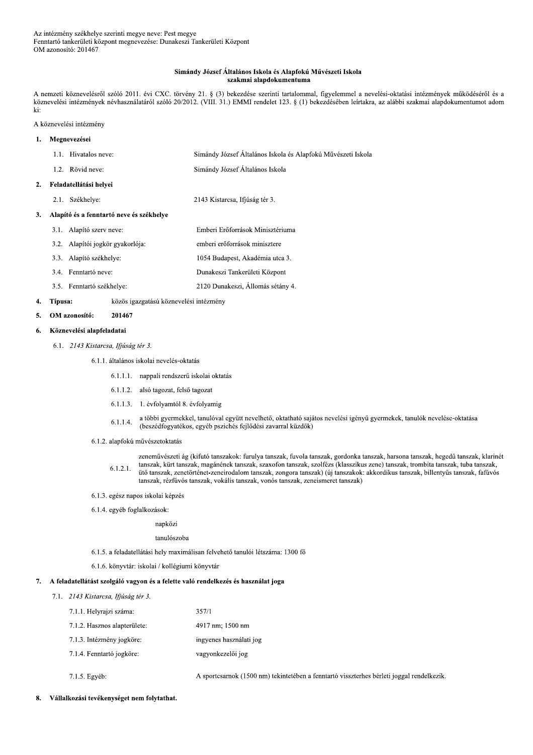## Simándy József Általános Iskola és Alapfokú Művészeti Iskola szakmai alapdokumentuma

A nemzeti köznevelésről szóló 2011. évi CXC. törvény 21. § (3) bekezdése szerinti tartalommal, figyelemmel a nevelési-oktatási intézmények működéséről és a köznevelési intézmények névhasználatáról szóló 20/2012. (VIII. 31.) EMMI rendelet 123. § (1) bekezdésében leírtakra, az alábbi szakmai alapdokumentumot adom ki:

A köznevelési intézmény

### Megnevezései  $\mathbf{1}$ .

 $\overline{2}$ .

 $\overline{3}$ .

|      | 1.1. Hivatalos neve:                     | Simándy József Általános Iskola és Alapfokú Művészeti Iskola |
|------|------------------------------------------|--------------------------------------------------------------|
|      | 1.2. Rövid neve:                         | Simándy József Általános Iskola                              |
|      | Feladatellátási helyei                   |                                                              |
| 2.1. | Székhelye:                               | 2143 Kistarcsa, Ifjúság tér 3.                               |
|      | Alapító és a fenntartó neve és székhelye |                                                              |
|      | 3.1. Alapító szerv neve:                 | Emberi Erőforrások Minisztériuma                             |
|      | 3.2. Alapítói jogkör gyakorlója:         | emberi erőforrások minisztere                                |
|      | 3.3. Alapító székhelye:                  | 1054 Budapest, Akadémia utca 3.                              |
|      | 3.4. Fenntartó neve:                     | Dunakeszi Tankerületi Központ                                |
|      | 3.5. Fenntartó székhelye:                | 2120 Dunakeszi, Állomás sétány 4.                            |

#### $\overline{4}$ . Típusa: közös igazgatású köznevelési intézmény

#### 5. OM azonosító: 201467

### Köznevelési alapfeladatai 6.

6.1. 2143 Kistarcsa, Ifjúság tér 3.

# 6.1.1. általános iskolai nevelés-oktatás

- 6.1.1.1. nappali rendszerű iskolai oktatás
- 6.1.1.2. alsó tagozat, felső tagozat
- 6.1.1.3. 1. évfolyamtól 8. évfolyamig
- a többi gyermekkel, tanulóval együtt nevelhető, oktatható sajátos nevelési igényű gyermekek, tanulók nevelése-oktatása  $6.1.1.4.$ (beszédfogyatékos, egyéb pszichés fejlődési zavarral küzdők)
- 6.1.2. alapfokú művészetoktatás

zeneművészeti ág (kifutó tanszakok: furulya tanszak, fuvola tanszak, gordonka tanszak, harsona tanszak, hegedű tanszak, klarinét tanszak, kürt tanszak, magánének tanszak, szaxofon tanszak, szolfézs (klasszikus zene) tanszak, trombita tanszak, tuba tanszak,  $6.1.2.1.$ ütő tanszak, zenetörténet-zeneirodalom tanszak, zongora tanszak) (új tanszakok: akkordikus tanszak, billentyűs tanszak, fafúvós tanszak, rézfúvós tanszak, vokális tanszak, vonós tanszak, zeneismeret tanszak)

- 6.1.3. egész napos iskolai képzés
- 6.1.4. egyéb foglalkozások:

napközi

## tanulószoba

- 6.1.5. a feladatellátási hely maximálisan felvehető tanulói létszáma: 1300 fő
- 6.1.6. könyvtár: iskolai / kollégiumi könyvtár

# 7. A feladatellátást szolgáló vagyon és a felette való rendelkezés és használat joga

7.1. 2143 Kistarcsa, Ifjúság tér 3.

| 7.1.1. Helyrajzi száma:      | 357/1                             |
|------------------------------|-----------------------------------|
| 7.1.2. Hasznos alapterülete: | 4917 nm; 1500 nm                  |
| 7.1.3. Intézmény jogköre:    | ingyenes használati jog           |
| 7.1.4. Fenntartó jogköre:    | vagyonkezelői jog                 |
| 7.1.5. Egyéb:                | A sportcsarnok (1500 nm) tekinter |

- A sportcsarnok (1500 nm) tekintetében a fenntartó visszterhes bérleti joggal rendelkezik.
- 8. Vállalkozási tevékenységet nem folytathat.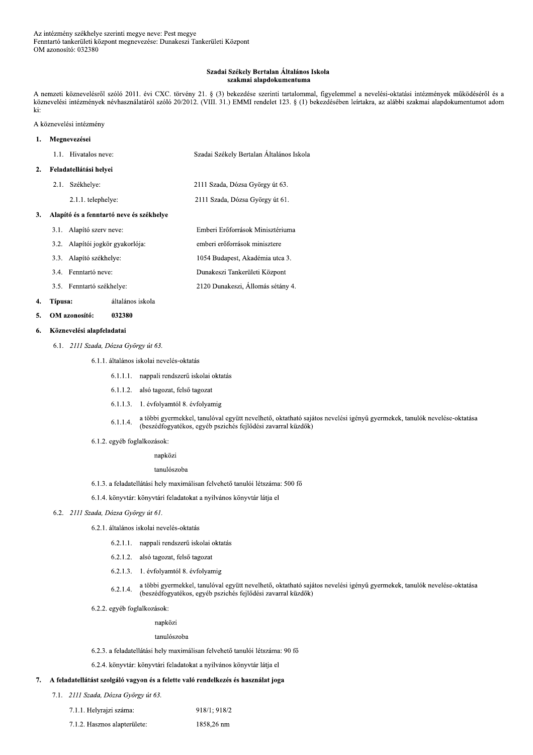### Szadai Székely Bertalan Általános Iskola szakmai alapdokumentuma

A nemzeti köznevelésről szóló 2011. évi CXC. törvény 21. § (3) bekezdése szerinti tartalommal, figyelemmel a nevelési-oktatási intézmények működéséről és a köznevelési intézmények névhasználatáról szóló 20/2012. (VIII. 31.) EMMI rendelet 123. § (1) bekezdésében leírtakra, az alábbi szakmai alapdokumentumot adom ki:

A köznevelési intézmény

### Megnevezései  $\mathbf{1}$ . 1.1. Hivatalos neve: Szadai Székely Bertalan Általános Iskola Feladatellátási helyei  $2.$ 2.1. Székhelye: 2111 Szada, Dózsa György út 63.

2.1.1. telephelye:

2111 Szada, Dózsa György út 61.

Emberi Erőforrások Minisztériuma

2120 Dunakeszi, Állomás sétány 4.

# 3. Alapító és a fenntartó neve és székhelye

- 3.1. Alapító szerv neve:
- 3.2. Alapítói jogkör gyakorlója: emberi erőforrások minisztere
- 3.3. Alapító székhelye: 1054 Budapest, Akadémia utca 3.
- 3.4. Fenntartó neve: Dunakeszi Tankerületi Központ
- 3.5. Fenntartó székhelye:

#### $\overline{4}$ . Típusa: általános iskola

#### OM azonosító: 5. 032380

### Köznevelési alapfeladatai 6.

6.1. 2111 Szada, Dózsa György út 63.

6.1.1. általános iskolai nevelés-oktatás

- 6.1.1.1. nappali rendszerű iskolai oktatás
- 6.1.1.2. alsó tagozat, felső tagozat
- 6.1.1.3. 1. évfolyamtól 8. évfolyamig
- a többi gyermekkel, tanulóval együtt nevelhető, oktatható sajátos nevelési igényű gyermekek, tanulók nevelése-oktatása 6.1.1.4. (beszédfogyatékos, egyéb pszichés fejlődési zavarral küzdők)
- 6.1.2. egyéb foglalkozások:

napközi

tanulószoba

- 6.1.3. a feladatellátási hely maximálisan felvehető tanulói létszáma: 500 fő
- 6.1.4. könyvtár: könyvtári feladatokat a nyilvános könyvtár látja el

# 6.2. 2111 Szada, Dózsa György út 61.

- 6.2.1. általános iskolai nevelés-oktatás
	- 6.2.1.1. nappali rendszerű iskolai oktatás
	- 6.2.1.2. alsó tagozat, felső tagozat
	- 6.2.1.3. 1. évfolyamtól 8. évfolyamig
	- a többi gyermekkel, tanulóval együtt nevelhető, oktatható sajátos nevelési igényű gyermekek, tanulók nevelése-oktatása  $6.2.1.4.$ (beszédfogyatékos, egyéb pszichés fejlődési zavarral küzdők)
- 6.2.2. egyéb foglalkozások:

napközi

# tanulószoba

6.2.3. a feladatellátási hely maximálisan felvehető tanulói létszáma: 90 fő

6.2.4. könyvtár: könyvtári feladatokat a nyilvános könyvtár látja el

# 7. A feladatellátást szolgáló vagyon és a felette való rendelkezés és használat joga

7.1. 2111 Szada, Dózsa György út 63.

| 7.1.1. Helyrajzi száma: | 918/1; 918/2 |
|-------------------------|--------------|
|-------------------------|--------------|

7.1.2. Hasznos alapterülete: 1858,26 nm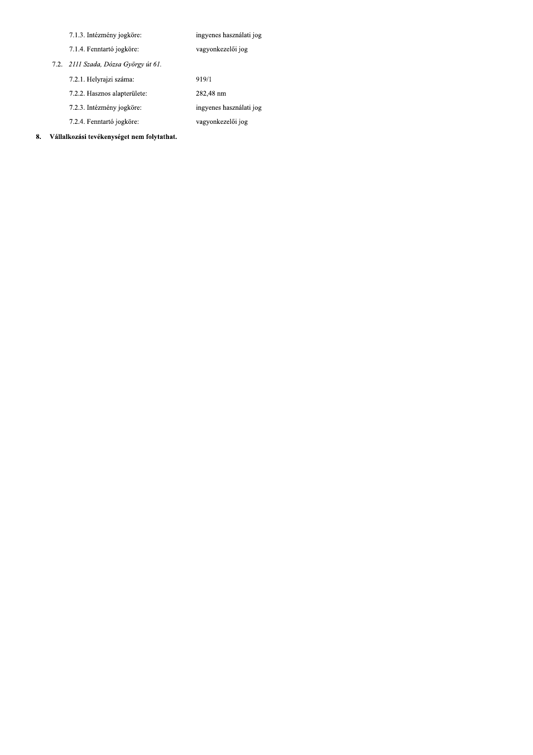| 7.1.3. Intézmény jogköre:            | ingyenes használati jog |
|--------------------------------------|-------------------------|
| 7.1.4. Fenntartó jogköre.            | vagyonkezelői jog       |
| 7.2. 2111 Szada, Dózsa György út 61. |                         |
| 7.2.1. Helyrajzi száma:              | 919/1                   |
| 7.2.2. Hasznos alapterülete:         | 282,48 nm               |
| 7.2.3. Intézmény jogköre:            | ingyenes használati jog |
| 7.2.4. Fenntartó jogköre:            | vagyonkezelői jog       |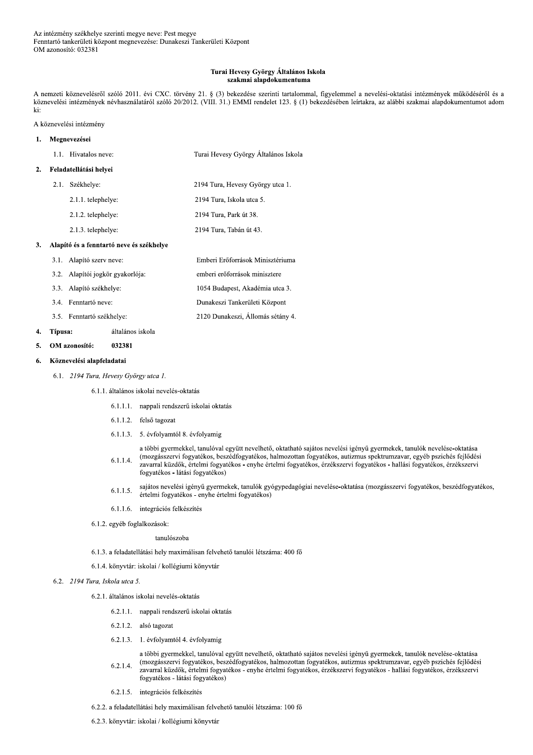### Turai Hevesy György Általános Iskola szakmai alapdokumentuma

A nemzeti köznevelésről szóló 2011. évi CXC. törvény 21. § (3) bekezdése szerinti tartalommal, figyelemmel a nevelési-oktatási intézmények működéséről és a köznevelési intézmények névhasználatáról szóló 20/2012. (VIII. 31.) EMMI rendelet 123. § (1) bekezdésében leírtakra, az alábbi szakmai alapdokumentumot adom ki:

# A köznevelési intézmény

| ı. | Megnevezései |                                          |                                      |
|----|--------------|------------------------------------------|--------------------------------------|
|    |              | 1.1. Hivatalos neve:                     | Turai Hevesy György Általános Iskola |
| 2. |              | Feladatellátási helyei                   |                                      |
|    | 2.1.         | Székhelye:                               | 2194 Tura, Hevesy György utca 1.     |
|    |              | 2.1.1. telephelye:                       | 2194 Tura, Iskola utca 5.            |
|    |              | 2.1.2. telephelye:                       | 2194 Tura, Park út 38.               |
|    |              | 2.1.3. telephelye:                       | 2194 Tura, Tabán út 43.              |
| 3. |              | Alapító és a fenntartó neve és székhelye |                                      |
|    | 3.1.         | Alapító szerv neve:                      | Emberi Erőforrások Minisztériuma     |
|    | 3.2.         | Alapítói jogkör gyakorlója:              | emberi erőforrások minisztere        |
|    | 3.3.         | Alapító székhelye:                       | 1054 Budapest, Akadémia utca 3.      |
|    | 3.4.         | Fenntartó neve:                          | Dunakeszi Tankerületi Központ        |
|    | $3.5 -$      | Fenntartó székhelye:                     | 2120 Dunakeszi, Állomás sétány 4.    |

#### 4. Típusa: általános iskola

OM azonosító: 032381 5.

#### Köznevelési alapfeladatai 6.

6.1. 2194 Tura, Hevesy György utca 1.

# 6.1.1. általános iskolai nevelés-oktatás

- 6.1.1.1. nappali rendszerű iskolai oktatás
- 6.1.1.2. felső tagozat
- 6.1.1.3. 5. évfolyamtól 8. évfolyamig

a többi gyermekkel, tanulóval együtt nevelhető, oktatható sajátos nevelési igényű gyermekek, tanulók nevelése-oktatása (mozgásszervi fogyatékos, beszédfogyatékos, halmozottan fogyatékos, autizmus spektrumzavar, egyéb pszichés fejlődési  $6.1.1.4.$ zavarral küzdők, értelmi fogyatékos - enyhe értelmi fogyatékos, érzékszervi fogyatékos - hallási fogyatékos, érzékszervi fogyatékos - látási fogyatékos)

- sajátos nevelési igényű gyermekek, tanulók gyógypedagógiai nevelése-oktatása (mozgásszervi fogyatékos, beszédfogyatékos,  $6.1.1.5.$ értelmi fogyatékos - enyhe értelmi fogyatékos)
- 6.1.1.6. integrációs felkészítés
- 6.1.2. egyéb foglalkozások:

## tanulószoba

- 6.1.3. a feladatellátási hely maximálisan felvehető tanulói létszáma: 400 fő
- 6.1.4. könyvtár: iskolai / kollégiumi könyvtár

# 6.2. 2194 Tura, Iskola utca 5.

- 6.2.1. általános iskolai nevelés-oktatás
	- 6.2.1.1. nappali rendszerű iskolai oktatás
	- 6.2.1.2. alsó tagozat
	- 6.2.1.3. 1. évfolyamtól 4. évfolyamig

a többi gyermekkel, tanulóval együtt nevelhető, oktatható sajátos nevelési igényű gyermekek, tanulók nevelése-oktatása (mozgásszervi fogyatékos, beszédfogyatékos, halmozottan fogyatékos, autizmus spektrumzavar, egyéb pszichés fejlődési  $6.2.1.4.$ zavarral küzdők, értelmi fogyatékos - enyhe értelmi fogyatékos, érzékszervi fogyatékos - hallási fogyatékos, érzékszervi fogyatékos - látási fogyatékos)

- 6.2.1.5. integrációs felkészítés
- 6.2.2. a feladatellátási hely maximálisan felvehető tanulói létszáma: 100 fő
- 6.2.3. könyvtár: iskolai / kollégiumi könyvtár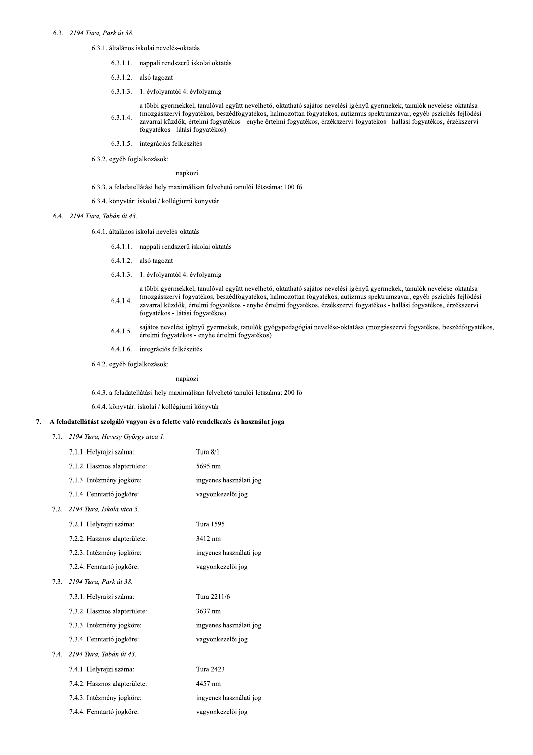# 6.3. 2194 Tura, Park út 38.

- 6.3.1. általános iskolai nevelés-oktatás
	- 6.3.1.1. nappali rendszerű iskolai oktatás
	- 6.3.1.2. alsó tagozat
	- 6.3.1.3. 1. évfolyamtól 4. évfolyamig
	- a többi gyermekkel, tanulóval együtt nevelhető, oktatható sajátos nevelési igényű gyermekek, tanulók nevelése-oktatása (mozgásszervi fogyatékos, beszédfogyatékos, halmozottan fogyatékos, autizmus spektrumzavar, egyéb pszichés fejlődési 6.3.1.4. zavarral küzdők, értelmi fogyatékos - enyhe értelmi fogyatékos, érzékszervi fogyatékos - hallási fogyatékos, érzékszervi fogyatékos - látási fogyatékos)
	- 6.3.1.5. integrációs felkészítés
- 6.3.2. egyéb foglalkozások:

napközi

- 6.3.3. a feladatellátási hely maximálisan felvehető tanulói létszáma: 100 fő
- 6.3.4. könyvtár: iskolai / kollégiumi könyvtár
- 6.4 2194 Tura, Tabán út 43.
	- 6.4.1. általános iskolai nevelés-oktatás
		- 6.4.1.1. nappali rendszerű iskolai oktatás
		- 6.4.1.2. alsó tagozat
		- 6.4.1.3. 1. évfolyamtól 4. évfolyamig
		- a többi gyermekkel, tanulóval együtt nevelhető, oktatható sajátos nevelési igényű gyermekek, tanulók nevelése-oktatása (mozgásszervi fogyatékos, beszédfogyatékos, halmozottan fogyatékos, autizmus spektrumzavar, egyéb pszichés fejlődési  $6.4.1.4.$ zavarral küzdők, értelmi fogyatékos - enyhe értelmi fogyatékos, érzékszervi fogyatékos - hallási fogyatékos, érzékszervi
		- fogyatékos látási fogyatékos)
		- sajátos nevelési igényű gyermekek, tanulók gyógypedagógiai nevelése-oktatása (mozgásszervi fogyatékos, beszédfogyatékos,  $6.4.1.5.$ értelmi fogyatékos - enyhe értelmi fogyatékos)
		- 6.4.1.6. integrációs felkészítés
	- 6.4.2. egyéb foglalkozások:

# napközi

6.4.3. a feladatellátási hely maximálisan felvehető tanulói létszáma: 200 fő

6.4.4. könyvtár: iskolai / kollégiumi könyvtár

#### 7. A feladatellátást szolgáló vagyon és a felette való rendelkezés és használat joga

|      | 7.1. 2194 Tura, Hevesy György utca 1. |                         |
|------|---------------------------------------|-------------------------|
|      | 7.1.1. Helyrajzi száma:               | Tura $8/1$              |
|      | 7.1.2. Hasznos alapterülete:          | 5695 nm                 |
|      | 7.1.3. Intézmény jogköre:             | ingyenes használati jog |
|      | 7.1.4. Fenntartó jogköre:             | vagyonkezelői jog       |
|      | 7.2. 2194 Tura, Iskola utca 5.        |                         |
|      | 7.2.1. Helyrajzi száma:               | Tura 1595               |
|      | 7.2.2. Hasznos alapterülete:          | 3412 nm                 |
|      | 7.2.3. Intézmény jogköre:             | ingyenes használati jog |
|      | 7.2.4. Fenntartó jogköre:             | vagyonkezelői jog       |
|      | 7.3. 2194 Tura, Park út 38.           |                         |
|      | 7.3.1. Helyrajzi száma:               | Tura 2211/6             |
|      | 7.3.2. Hasznos alapterülete:          | 3637 nm                 |
|      | 7.3.3. Intézmény jogköre:             | ingyenes használati jog |
|      | 7.3.4. Fenntartó jogköre:             | vagyonkezelői jog       |
| 7.4. | 2194 Tura, Tabán út 43.               |                         |
|      | 7.4.1. Helyrajzi száma:               | <b>Tura 2423</b>        |
|      | 7.4.2. Hasznos alapterülete:          | 4457 nm                 |
|      | 7.4.3. Intézmény jogköre:             | ingyenes használati jog |
|      | 7.4.4. Fenntartó jogköre:             | vagyonkezelői jog       |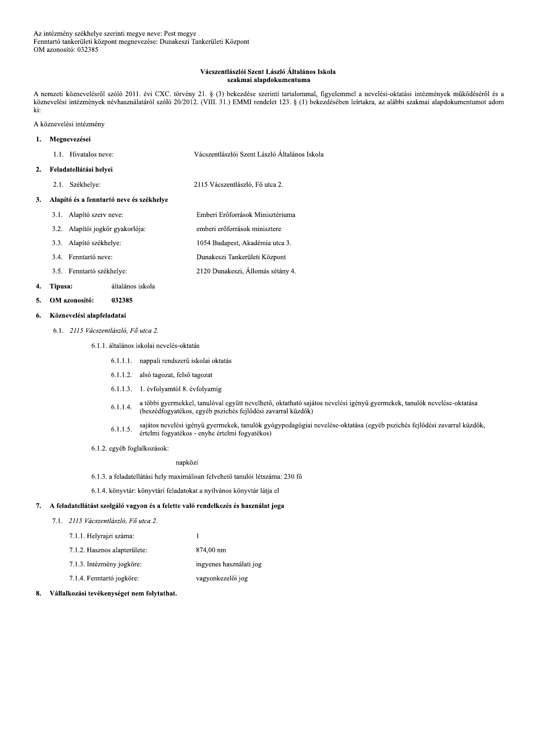# Vácszentlászlói Szent László Általános Iskola szakmai alapdokumentuma

A nemzeti köznevelésről szóló 2011. évi CXC. törvény 21. § (3) bekezdése szerinti tartalommal, figyelemmel a nevelési-oktatási intézmények működéséről és a köznevelési intézmények névhasználatáról szóló 20/2012. (VIII. 31.) EMMI rendelet 123. § (1) bekezdésében leírtakra, az alábbi szakmai alapdokumentumot adom ki:

A köznevelési intézmény

#### Megnevezései  $\mathbf{1}$ .

| 1.1. Hivatalos neve: | Vácszentlászlói Szent László Általános Iskola |
|----------------------|-----------------------------------------------|
|                      |                                               |

### Feladatellátási helyei  $2.$

2.1. Székhelye: 2115 Vácszentlászló. Fő utca 2.

# 3. Alapító és a fenntartó neve és székhelye

- 3.1. Alapító szerv neve: Emberi Erőforrások Minisztériuma 3.2. Alapítói jogkör gyakorlója: emberi erőforrások minisztere 3.3. Alapító székhelye: 1054 Budapest, Akadémia utca 3. Dunakeszi Tankerületi Központ 3.4. Fenntartó neve:
	- 2120 Dunakeszi, Állomás sétány 4. 3.5. Fenntartó székhelye:

#### 4. Típusa: általános iskola

OM azonosító: 032385  $\mathbf{5}$ 

### Köznevelési alapfeladatai 6.

6.1. 2115 Vácszentlászló. Fő utca 2.

6.1.1. általános iskolai nevelés-oktatás

- 6.1.1.1. nappali rendszerű iskolai oktatás
- 6.1.1.2. alsó tagozat, felső tagozat
- 6.1.1.3. 1. évfolyamtól 8. évfolyamig
- a többi gyermekkel, tanulóval együtt nevelhető, oktatható sajátos nevelési igényű gyermekek, tanulók nevelése-oktatása  $6.1.1.4.$ (beszédfogyatékos, egyéb pszichés fejlődési zavarral küzdők)
- sajátos nevelési igényű gyermekek, tanulók gyógypedagógiai nevelése-oktatása (egyéb pszichés fejlődési zavarral küzdők,  $6.1.1.5.$ értelmi fogyatékos - enyhe értelmi fogyatékos)
- 6.1.2. egyéb foglalkozások:

# napközi

6.1.3. a feladatellátási hely maximálisan felvehető tanulói létszáma: 230 fő

 $\overline{1}$ 

6.1.4. könyvtár: könyvtári feladatokat a nyilvános könyvtár látja el

# 7. A feladatellátást szolgáló vagyon és a felette való rendelkezés és használat joga

- 7.1. 2115 Vácszentlászló, Fő utca 2.
	- 7.1.1. Helyrajzi száma:
	- 874,00 nm 7.1.2. Hasznos alapterülete:
	- 7.1.3. Intézmény jogköre: ingyenes használati jog
	- 7.1.4. Fenntartó jogköre: vagyonkezelői jog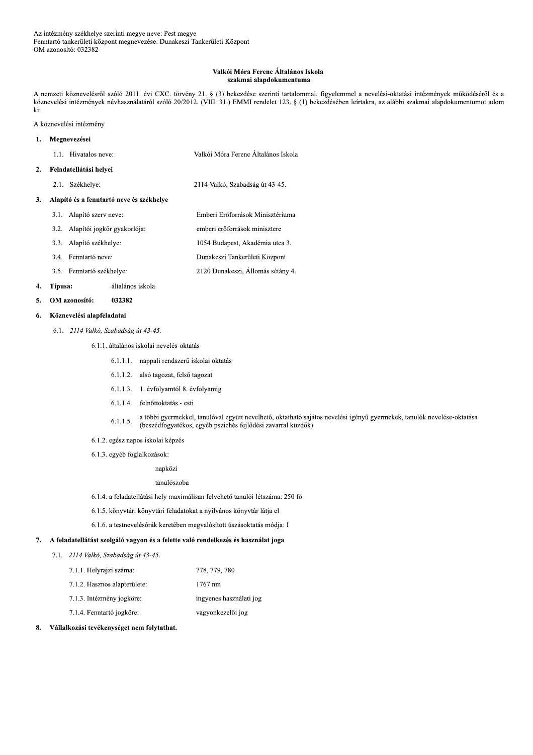# Valkói Móra Ferenc Általános Iskola szakmai alapdokumentuma

A nemzeti köznevelésről szóló 2011. évi CXC. törvény 21. § (3) bekezdése szerinti tartalommal, figyelemmel a nevelési-oktatási intézmények működéséről és a köznevelési intézmények névhasználatáról szóló 20/2012. (VIII. 31.) EMMI rendelet 123. § (1) bekezdésében leírtakra, az alábbi szakmai alapdokumentumot adom ki:

A köznevelési intézmény

#### Megnevezései  $\mathbf{1}$ .

| 1.1. Hivatalos neve: | Valkói Móra Ferenc Általános Iskola |  |
|----------------------|-------------------------------------|--|
|                      |                                     |  |

### Feladatellátási helyei  $2.$

2.1. Székhelye: 2114 Valkó, Szabadság út 43-45.

# 3. Alapító és a fenntartó neve és székhelye

- 3.1. Alapító szerv neve: Emberi Erőforrások Minisztériuma 3.2. Alapítói jogkör gyakorlója: emberi erőforrások minisztere
- 3.3. Alapító székhelye: 1054 Budapest, Akadémia utca 3.
- Dunakeszi Tankerületi Központ 3.4. Fenntartó neve:
- 2120 Dunakeszi, Állomás sétány 4. 3.5. Fenntartó székhelye:

#### 4. Típusa: általános iskola

032382 OM azonosító:  $5.$ 

### Köznevelési alapfeladatai 6.

6.1. 2114 Valkó, Szabadság út 43-45.

# 6.1.1. általános iskolai nevelés-oktatás

- 6.1.1.1. nappali rendszerű iskolai oktatás
- 6.1.1.2. alsó tagozat, felső tagozat
- 6.1.1.3. 1. évfolyamtól 8. évfolyamig
- 6.1.1.4. felnőttoktatás esti
- a többi gyermekkel, tanulóval együtt nevelhető, oktatható sajátos nevelési igényű gyermekek, tanulók nevelése-oktatása  $6.1.1.5.$ (beszédfogyatékos, egyéb pszichés fejlődési zavarral küzdők)
- 6.1.2. egész napos iskolai képzés
- 6.1.3. egyéb foglalkozások:

napközi

# tanulószoba

- 6.1.4. a feladatellátási hely maximálisan felvehető tanulói létszáma: 250 fő
- 6.1.5. könyvtár: könyvtári feladatokat a nyilvános könyvtár látja el
- 6.1.6. a testnevelésórák keretében megvalósított úszásoktatás módja: I

# 7. A feladatellátást szolgáló vagyon és a felette való rendelkezés és használat joga

7.1. 2114 Valkó, Szabadság út 43-45.

| 7.1.1. Helyrajzi száma:      | 778, 779, 780           |
|------------------------------|-------------------------|
| 7.1.2. Hasznos alapterülete: | 1767 nm                 |
| 7.1.3. Intézmény jogköre:    | ingyenes használati jog |
| 7.1.4. Fenntartó jogköre:    | vagyonkezelői jog       |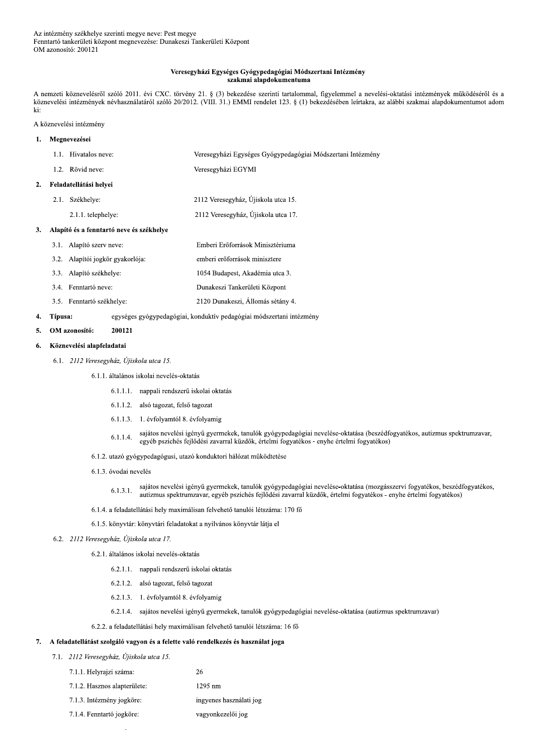## Veresegyházi Egységes Gyógypedagógiai Módszertani Intézmény szakmai alapdokumentuma

A nemzeti köznevelésről szóló 2011. évi CXC. törvény 21. § (3) bekezdése szerinti tartalommal, figyelemmel a nevelési-oktatási intézmények működéséről és a köznevelési intézmények névhasználatáról szóló 20/2012. (VIII. 31.) EMMI rendelet 123. § (1) bekezdésében leírtakra, az alábbi szakmai alapdokumentumot adom ki:

# A köznevelési intézmény

# 1. Megnevezései 1.1. Hivatalos neve: Veresegyházi Egységes Gyógypedagógiai Módszertani Intézmény 1.2. Rövid neve: Veresegyházi EGYMI 2. Feladatellátási helvei 2.1. Székhelye: 2112 Veresegyház, Újiskola utca 15. 2.1.1. telephelye: 2112 Veresegyház, Újiskola utca 17. Alapító és a fenntartó neve és székhelye  $\mathbf{3}$ . 3.1. Alapító szerv neve: Emberi Erőforrások Minisztériuma 3.2. Alapítói jogkör gyakorlója: emberi erőforrások minisztere 3.3. Alapító székhelye: 1054 Budapest, Akadémia utca 3.

3.4. Fenntartó neve: Dunakeszi Tankerületi Központ 3.5. Fenntartó székhelye: 2120 Dunakeszi, Állomás sétány 4.

#### $\overline{4}$ . Típusa: egységes gyógypedagógiai, konduktív pedagógiai módszertani intézmény

200121  $\overline{5}$ . OM azonosító:

### Köznevelési alapfeladatai 6.

- 6.1. 2112 Veresegyház, Újiskola utca 15.
	- 6.1.1. általános iskolai nevelés-oktatás
		- 6.1.1.1. nappali rendszerű iskolai oktatás
		- 6.1.1.2. alsó tagozat, felső tagozat
		- 6.1.1.3. 1. évfolyamtól 8. évfolyamig
		- sajátos nevelési igényű gyermekek, tanulók gyógypedagógiai nevelése-oktatása (beszédfogyatékos, autizmus spektrumzavar,  $6.1.1.4.$ egyéb pszichés fejlődési zavarral küzdők, értelmi fogyatékos - enyhe értelmi fogyatékos)
	- 6.1.2. utazó gyógypedagógusi, utazó konduktori hálózat működtetése
	- 6.1.3. óvodai nevelés
		- sajátos nevelési igényű gyermekek, tanulók gyógypedagógiai nevelése-oktatása (mozgásszervi fogyatékos, beszédfogyatékos,  $6.1.3.1.$ autizmus spektrumzavar, egyéb pszichés fejlődési zavarral küzdők, értelmi fogyatékos - enyhe értelmi fogyatékos)
	- 6.1.4. a feladatellátási hely maximálisan felvehető tanulói létszáma: 170 fő
	- 6.1.5. könyvtár: könyvtári feladatokat a nyilvános könyvtár látja el

# 6.2. 2112 Veresegyház, Újiskola utca 17.

- 6.2.1. általános iskolai nevelés-oktatás
	- 6.2.1.1. nappali rendszerű iskolai oktatás
	- 6.2.1.2. alsó tagozat, felső tagozat
	- 6.2.1.3. 1. évfolyamtól 8. évfolyamig
	- 6.2.1.4. sajátos nevelési igényű gyermekek, tanulók gyógypedagógiai nevelése-oktatása (autizmus spektrumzavar)
- 6.2.2. a feladatellátási hely maximálisan felvehető tanulói létszáma: 16 fő

26

# 7. A feladatellátást szolgáló vagyon és a felette való rendelkezés és használat joga

- 7.1. 2112 Veresegyház, Újiskola utca 15.
	- 7.1.1. Helyrajzi száma:
	- 7.1.2. Hasznos alapterülete: 1295 nm
	- 7.1.3. Intézmény jogköre: ingyenes használati jog
	- 7.1.4. Fenntartó jogköre: vagyonkezelői jog